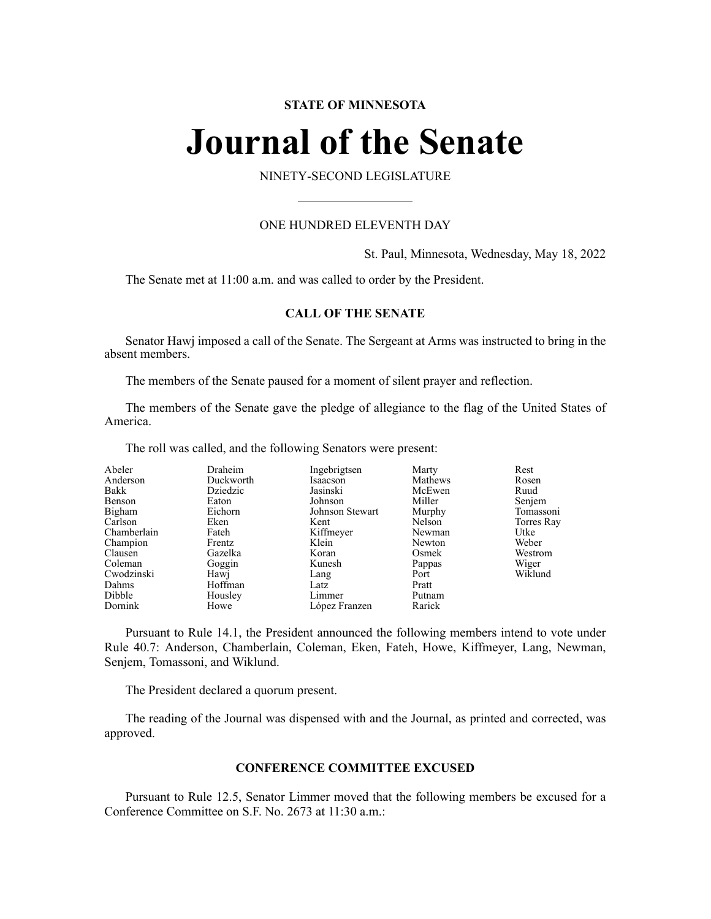#### **STATE OF MINNESOTA**

# **Journal of the Senate**

#### NINETY-SECOND LEGISLATURE

#### ONE HUNDRED ELEVENTH DAY

St. Paul, Minnesota, Wednesday, May 18, 2022

The Senate met at 11:00 a.m. and was called to order by the President.

#### **CALL OF THE SENATE**

Senator Hawj imposed a call of the Senate. The Sergeant at Arms was instructed to bring in the absent members.

The members of the Senate paused for a moment of silent prayer and reflection.

The members of the Senate gave the pledge of allegiance to the flag of the United States of America.

The roll was called, and the following Senators were present:

| Abeler      | Draheim   | Ingebrigtsen    | Marty   | Rest       |
|-------------|-----------|-----------------|---------|------------|
| Anderson    | Duckworth | Isaacson        | Mathews | Rosen      |
| Bakk        | Dziedzic  | Jasinski        | McEwen  | Ruud       |
| Benson      | Eaton     | Johnson         | Miller  | Senjem     |
| Bigham      | Eichorn   | Johnson Stewart | Murphy  | Tomassoni  |
| Carlson     | Eken      | Kent            | Nelson  | Torres Ray |
| Chamberlain | Fateh     | Kiffmeyer       | Newman  | Utke       |
| Champion    | Frentz    | Klein           | Newton  | Weber      |
| Clausen     | Gazelka   | Koran           | Osmek   | Westrom    |
| Coleman     | Goggin    | Kunesh          | Pappas  | Wiger      |
| Cwodzinski  | Hawj      | Lang            | Port    | Wiklund    |
| Dahms       | Hoffman   | Latz            | Pratt   |            |
| Dibble      | Housley   | Limmer          | Putnam  |            |
| Dornink     | Howe      | López Franzen   | Rarick  |            |

Pursuant to Rule 14.1, the President announced the following members intend to vote under Rule 40.7: Anderson, Chamberlain, Coleman, Eken, Fateh, Howe, Kiffmeyer, Lang, Newman, Senjem, Tomassoni, and Wiklund.

The President declared a quorum present.

The reading of the Journal was dispensed with and the Journal, as printed and corrected, was approved.

#### **CONFERENCE COMMITTEE EXCUSED**

Pursuant to Rule 12.5, Senator Limmer moved that the following members be excused for a Conference Committee on S.F. No. 2673 at 11:30 a.m.: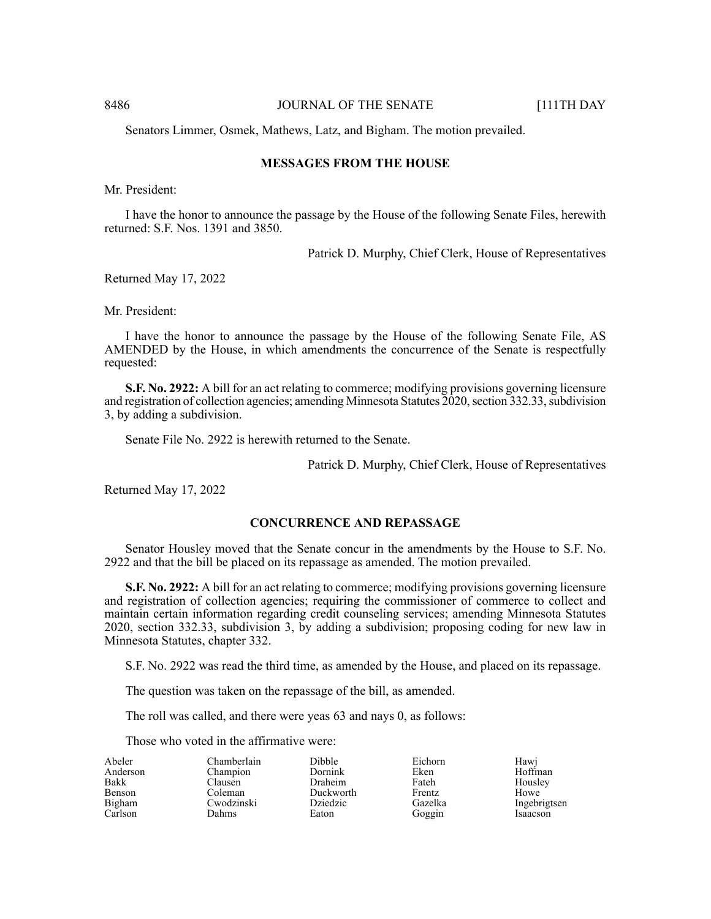8486 **JOURNAL OF THE SENATE** [111TH DAY

Senators Limmer, Osmek, Mathews, Latz, and Bigham. The motion prevailed.

#### **MESSAGES FROM THE HOUSE**

Mr. President:

I have the honor to announce the passage by the House of the following Senate Files, herewith returned: S.F. Nos. 1391 and 3850.

Patrick D. Murphy, Chief Clerk, House of Representatives

Returned May 17, 2022

Mr. President:

I have the honor to announce the passage by the House of the following Senate File, AS AMENDED by the House, in which amendments the concurrence of the Senate is respectfully requested:

**S.F. No. 2922:** A bill for an act relating to commerce; modifying provisions governing licensure and registration of collection agencies; amending Minnesota Statutes 2020, section 332.33, subdivision 3, by adding a subdivision.

Senate File No. 2922 is herewith returned to the Senate.

Patrick D. Murphy, Chief Clerk, House of Representatives

Returned May 17, 2022

#### **CONCURRENCE AND REPASSAGE**

Senator Housley moved that the Senate concur in the amendments by the House to S.F. No. 2922 and that the bill be placed on its repassage as amended. The motion prevailed.

**S.F. No. 2922:** A bill for an act relating to commerce; modifying provisions governing licensure and registration of collection agencies; requiring the commissioner of commerce to collect and maintain certain information regarding credit counseling services; amending Minnesota Statutes 2020, section 332.33, subdivision 3, by adding a subdivision; proposing coding for new law in Minnesota Statutes, chapter 332.

S.F. No. 2922 was read the third time, as amended by the House, and placed on its repassage.

The question was taken on the repassage of the bill, as amended.

The roll was called, and there were yeas 63 and nays 0, as follows:

Dibble Dornink Draheim Duckworth Dziedzic Eaton

Those who voted in the affirmative were:

| Abeler        |  |
|---------------|--|
| Anderson      |  |
| <b>Bakk</b>   |  |
| <b>Benson</b> |  |
| Bigham        |  |
| Carlson       |  |

Chamberlain Champion Clausen Coleman Cwodzinski Dahms

Eichorn Eken Fateh Frentz Gazelka Goggin

Hawj Hoffman Housley Howe Ingebrigtsen Isaacson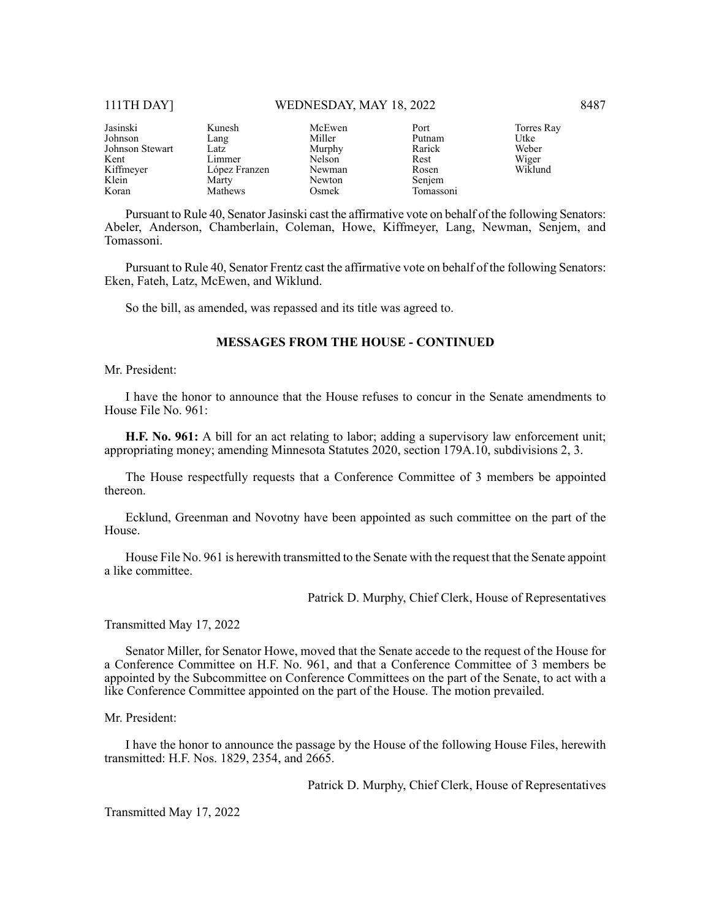#### 111TH DAY] WEDNESDAY, MAY 18, 2022 8487

| Jasinski        | Kunesh        | McEwen | Port      | Torres Ray |
|-----------------|---------------|--------|-----------|------------|
| Johnson         | Lang          | Miller | Putnam    | Utke       |
| Johnson Stewart | Latz          | Murphy | Rarick    | Weber      |
| Kent            | Limmer        | Nelson | Rest      | Wiger      |
| Kiffmeyer       | López Franzen | Newman | Rosen     | Wiklund    |
| Klein           | Marty         | Newton | Senjem    |            |
| Koran           | Mathews       | Osmek  | Tomassoni |            |

Pursuant to Rule 40, Senator Jasinski cast the affirmative vote on behalf of the following Senators: Abeler, Anderson, Chamberlain, Coleman, Howe, Kiffmeyer, Lang, Newman, Senjem, and Tomassoni.

Pursuant to Rule 40, Senator Frentz cast the affirmative vote on behalf of the following Senators: Eken, Fateh, Latz, McEwen, and Wiklund.

So the bill, as amended, was repassed and its title was agreed to.

#### **MESSAGES FROM THE HOUSE - CONTINUED**

Mr. President:

I have the honor to announce that the House refuses to concur in the Senate amendments to House File No. 961:

**H.F. No. 961:** A bill for an act relating to labor; adding a supervisory law enforcement unit; appropriating money; amending Minnesota Statutes 2020, section 179A.10, subdivisions 2, 3.

The House respectfully requests that a Conference Committee of 3 members be appointed thereon.

Ecklund, Greenman and Novotny have been appointed as such committee on the part of the House.

House File No. 961 is herewith transmitted to the Senate with the request that the Senate appoint a like committee.

Patrick D. Murphy, Chief Clerk, House of Representatives

Transmitted May 17, 2022

Senator Miller, for Senator Howe, moved that the Senate accede to the request of the House for a Conference Committee on H.F. No. 961, and that a Conference Committee of 3 members be appointed by the Subcommittee on Conference Committees on the part of the Senate, to act with a like Conference Committee appointed on the part of the House. The motion prevailed.

Mr. President:

I have the honor to announce the passage by the House of the following House Files, herewith transmitted: H.F. Nos. 1829, 2354, and 2665.

Patrick D. Murphy, Chief Clerk, House of Representatives

Transmitted May 17, 2022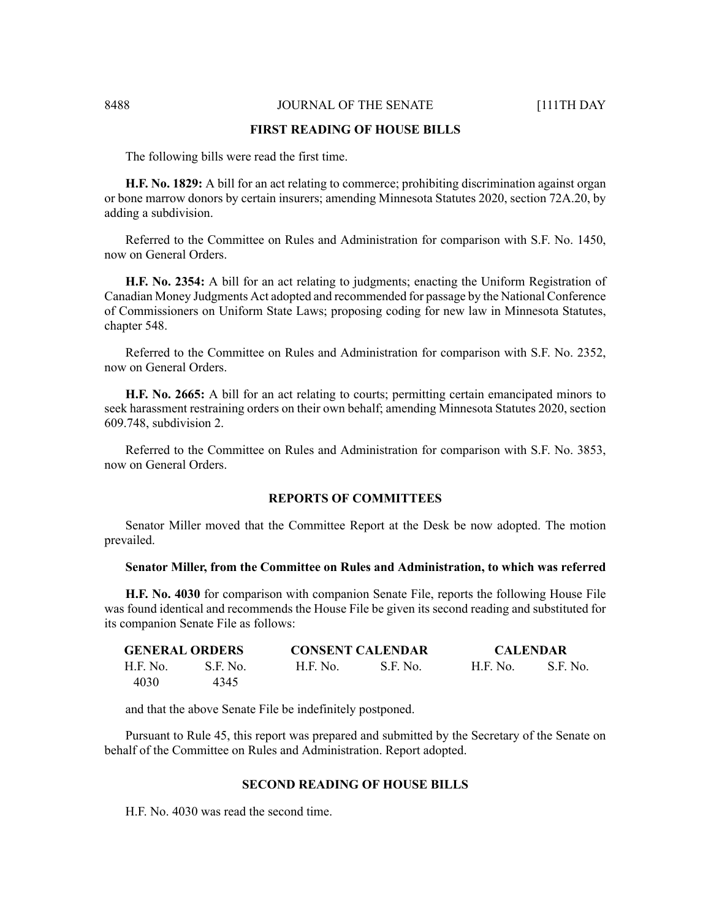#### 8488 **JOURNAL OF THE SENATE** [111TH DAY

#### **FIRST READING OF HOUSE BILLS**

The following bills were read the first time.

**H.F. No. 1829:** A bill for an act relating to commerce; prohibiting discrimination against organ or bone marrow donors by certain insurers; amending Minnesota Statutes 2020, section 72A.20, by adding a subdivision.

Referred to the Committee on Rules and Administration for comparison with S.F. No. 1450, now on General Orders.

**H.F. No. 2354:** A bill for an act relating to judgments; enacting the Uniform Registration of Canadian Money Judgments Act adopted and recommended for passage by the National Conference of Commissioners on Uniform State Laws; proposing coding for new law in Minnesota Statutes, chapter 548.

Referred to the Committee on Rules and Administration for comparison with S.F. No. 2352, now on General Orders.

**H.F. No. 2665:** A bill for an act relating to courts; permitting certain emancipated minors to seek harassment restraining orders on their own behalf; amending Minnesota Statutes 2020, section 609.748, subdivision 2.

Referred to the Committee on Rules and Administration for comparison with S.F. No. 3853, now on General Orders.

#### **REPORTS OF COMMITTEES**

Senator Miller moved that the Committee Report at the Desk be now adopted. The motion prevailed.

#### **Senator Miller, from the Committee on Rules and Administration, to which was referred**

**H.F. No. 4030** for comparison with companion Senate File, reports the following House File was found identical and recommends the House File be given its second reading and substituted for its companion Senate File as follows:

| <b>GENERAL ORDERS</b> |          | <b>CONSENT CALENDAR</b> |            | <b>CALENDAR</b> |          |
|-----------------------|----------|-------------------------|------------|-----------------|----------|
| H.F. No.              | S.F. No. | H.F. No.                | - S.F. No. | <b>H.F. No.</b> | S.F. No. |
| 4030                  | 4345     |                         |            |                 |          |

and that the above Senate File be indefinitely postponed.

Pursuant to Rule 45, this report was prepared and submitted by the Secretary of the Senate on behalf of the Committee on Rules and Administration. Report adopted.

#### **SECOND READING OF HOUSE BILLS**

H.F. No. 4030 was read the second time.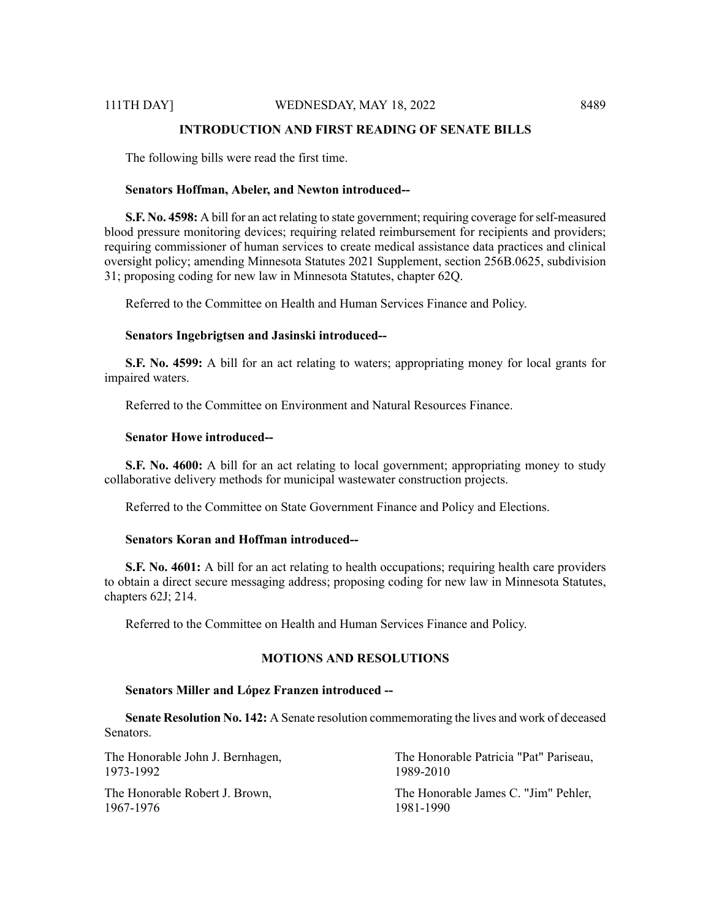#### **INTRODUCTION AND FIRST READING OF SENATE BILLS**

The following bills were read the first time.

#### **Senators Hoffman, Abeler, and Newton introduced--**

**S.F. No. 4598:** A bill for an act relating to state government; requiring coverage forself-measured blood pressure monitoring devices; requiring related reimbursement for recipients and providers; requiring commissioner of human services to create medical assistance data practices and clinical oversight policy; amending Minnesota Statutes 2021 Supplement, section 256B.0625, subdivision 31; proposing coding for new law in Minnesota Statutes, chapter 62Q.

Referred to the Committee on Health and Human Services Finance and Policy.

#### **Senators Ingebrigtsen and Jasinski introduced--**

**S.F. No. 4599:** A bill for an act relating to waters; appropriating money for local grants for impaired waters.

Referred to the Committee on Environment and Natural Resources Finance.

#### **Senator Howe introduced--**

**S.F. No. 4600:** A bill for an act relating to local government; appropriating money to study collaborative delivery methods for municipal wastewater construction projects.

Referred to the Committee on State Government Finance and Policy and Elections.

#### **Senators Koran and Hoffman introduced--**

**S.F. No. 4601:** A bill for an act relating to health occupations; requiring health care providers to obtain a direct secure messaging address; proposing coding for new law in Minnesota Statutes, chapters 62J; 214.

Referred to the Committee on Health and Human Services Finance and Policy.

#### **MOTIONS AND RESOLUTIONS**

#### **Senators Miller and López Franzen introduced --**

**Senate Resolution No. 142:** A Senate resolution commemorating the lives and work of deceased Senators.

| The Honorable John J. Bernhagen, | The Honorable Patricia "Pat" Pariseau, |
|----------------------------------|----------------------------------------|
| 1973-1992                        | 1989-2010                              |
| The Honorable Robert J. Brown,   | The Honorable James C. "Jim" Pehler,   |
| 1967-1976                        | 1981-1990                              |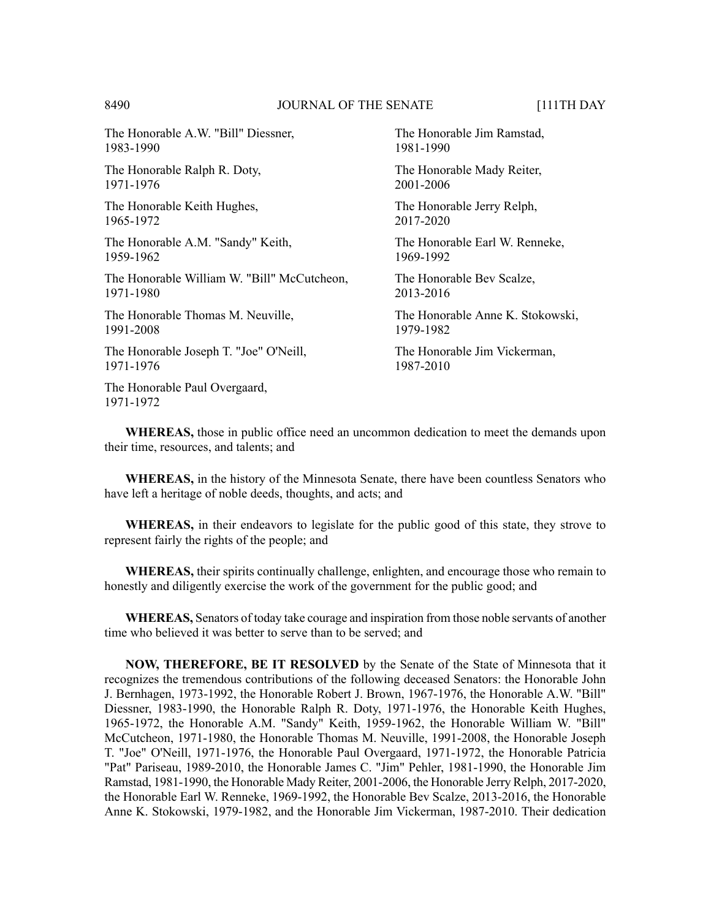#### 8490 **JOURNAL OF THE SENATE** [111TH DAY

The Honorable A.W. "Bill" Diessner, 1983-1990

The Honorable Ralph R. Doty, 1971-1976

The Honorable Keith Hughes, 1965-1972

The Honorable A.M. "Sandy" Keith, 1959-1962

The Honorable William W. "Bill" McCutcheon, 1971-1980

The Honorable Thomas M. Neuville, 1991-2008

The Honorable Joseph T. "Joe" O'Neill, 1971-1976

The Honorable Paul Overgaard, 1971-1972

The Honorable Jim Ramstad, 1981-1990

The Honorable Mady Reiter, 2001-2006

The Honorable Jerry Relph, 2017-2020

The Honorable Earl W. Renneke, 1969-1992

The Honorable Bev Scalze, 2013-2016

The Honorable Anne K. Stokowski, 1979-1982

The Honorable Jim Vickerman, 1987-2010

**WHEREAS,** those in public office need an uncommon dedication to meet the demands upon their time, resources, and talents; and

**WHEREAS,** in the history of the Minnesota Senate, there have been countless Senators who have left a heritage of noble deeds, thoughts, and acts; and

**WHEREAS,** in their endeavors to legislate for the public good of this state, they strove to represent fairly the rights of the people; and

**WHEREAS,** their spirits continually challenge, enlighten, and encourage those who remain to honestly and diligently exercise the work of the government for the public good; and

**WHEREAS,** Senators of today take courage and inspiration from those noble servants of another time who believed it was better to serve than to be served; and

**NOW, THEREFORE, BE IT RESOLVED** by the Senate of the State of Minnesota that it recognizes the tremendous contributions of the following deceased Senators: the Honorable John J. Bernhagen, 1973-1992, the Honorable Robert J. Brown, 1967-1976, the Honorable A.W. "Bill" Diessner, 1983-1990, the Honorable Ralph R. Doty, 1971-1976, the Honorable Keith Hughes, 1965-1972, the Honorable A.M. "Sandy" Keith, 1959-1962, the Honorable William W. "Bill" McCutcheon, 1971-1980, the Honorable Thomas M. Neuville, 1991-2008, the Honorable Joseph T. "Joe" O'Neill, 1971-1976, the Honorable Paul Overgaard, 1971-1972, the Honorable Patricia "Pat" Pariseau, 1989-2010, the Honorable James C. "Jim" Pehler, 1981-1990, the Honorable Jim Ramstad, 1981-1990, the Honorable Mady Reiter, 2001-2006, the Honorable Jerry Relph, 2017-2020, the Honorable Earl W. Renneke, 1969-1992, the Honorable Bev Scalze, 2013-2016, the Honorable Anne K. Stokowski, 1979-1982, and the Honorable Jim Vickerman, 1987-2010. Their dedication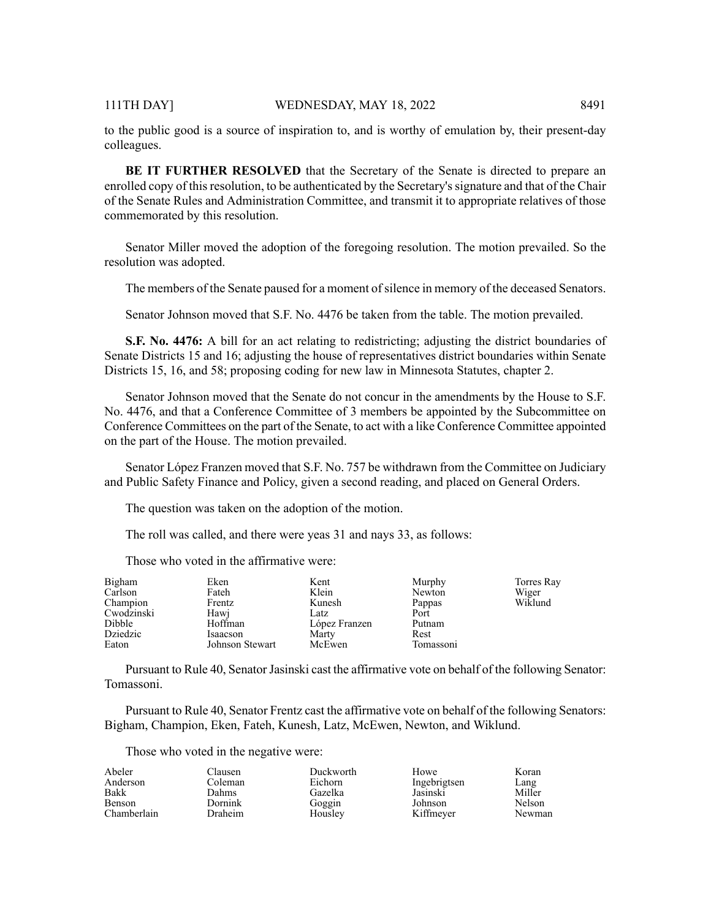to the public good is a source of inspiration to, and is worthy of emulation by, their present-day colleagues.

**BE IT FURTHER RESOLVED** that the Secretary of the Senate is directed to prepare an enrolled copy of this resolution, to be authenticated by the Secretary's signature and that of the Chair of the Senate Rules and Administration Committee, and transmit it to appropriate relatives of those commemorated by this resolution.

Senator Miller moved the adoption of the foregoing resolution. The motion prevailed. So the resolution was adopted.

The members of the Senate paused for a moment of silence in memory of the deceased Senators.

Senator Johnson moved that S.F. No. 4476 be taken from the table. The motion prevailed.

**S.F. No. 4476:** A bill for an act relating to redistricting; adjusting the district boundaries of Senate Districts 15 and 16; adjusting the house of representatives district boundaries within Senate Districts 15, 16, and 58; proposing coding for new law in Minnesota Statutes, chapter 2.

Senator Johnson moved that the Senate do not concur in the amendments by the House to S.F. No. 4476, and that a Conference Committee of 3 members be appointed by the Subcommittee on Conference Committees on the part of the Senate, to act with a like Conference Committee appointed on the part of the House. The motion prevailed.

Senator López Franzen moved that S.F. No. 757 be withdrawn from the Committee on Judiciary and Public Safety Finance and Policy, given a second reading, and placed on General Orders.

The question was taken on the adoption of the motion.

The roll was called, and there were yeas 31 and nays 33, as follows:

Those who voted in the affirmative were:

| Bigham     | Eken            | Kent          | Murphy    | Torres Ray |
|------------|-----------------|---------------|-----------|------------|
| Carlson    | Fateh           | Klein         | Newton    | Wiger      |
| Champion   | Frentz          | Kunesh        | Pappas    | Wiklund    |
| Cwodzinski | Hawi            | Latz          | Port      |            |
| Dibble     | Hoffman         | López Franzen | Putnam    |            |
| Dziedzic   | Isaacson        | Marty         | Rest      |            |
| Eaton      | Johnson Stewart | McEwen        | Tomassoni |            |

Pursuant to Rule 40, Senator Jasinski cast the affirmative vote on behalf of the following Senator: Tomassoni.

Pursuant to Rule 40, Senator Frentz cast the affirmative vote on behalf of the following Senators: Bigham, Champion, Eken, Fateh, Kunesh, Latz, McEwen, Newton, and Wiklund.

Those who voted in the negative were:

| Abeler        | ات ausen       | Duckworth | Howe         | Koran  |
|---------------|----------------|-----------|--------------|--------|
| Anderson      | Coleman        | Eichorn   | Ingebrigtsen | Lang   |
| Bakk          | Dahms.         | Gazelka   | Jasinski     | Miller |
| <b>Benson</b> | Dornink        | Goggin    | Johnson      | Nelson |
| Chamberlain   | <b>Draheim</b> | Houslev   | Kiffmever    | Newman |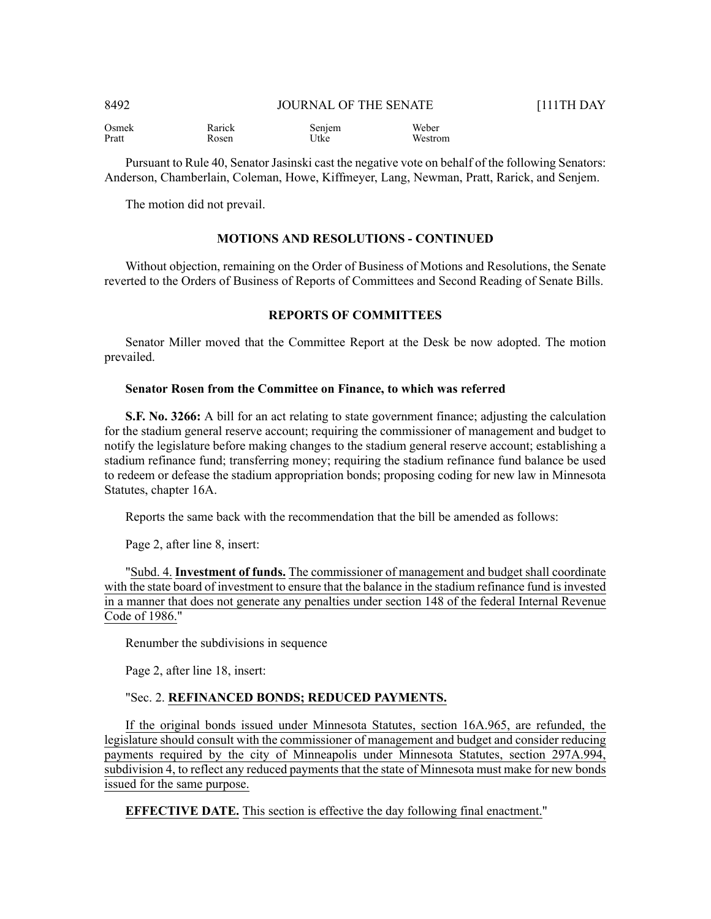| 8492   | <b>JOURNAL OF THE SENATE</b> |              | <b>F111TH DAY</b> |
|--------|------------------------------|--------------|-------------------|
| $\sim$ |                              | <b>TTT</b> 1 |                   |

Osmek Pratt Rarick Rosen Senjem Utke Weber Westrom

Pursuant to Rule 40, Senator Jasinski cast the negative vote on behalf of the following Senators: Anderson, Chamberlain, Coleman, Howe, Kiffmeyer, Lang, Newman, Pratt, Rarick, and Senjem.

The motion did not prevail.

#### **MOTIONS AND RESOLUTIONS - CONTINUED**

Without objection, remaining on the Order of Business of Motions and Resolutions, the Senate reverted to the Orders of Business of Reports of Committees and Second Reading of Senate Bills.

#### **REPORTS OF COMMITTEES**

Senator Miller moved that the Committee Report at the Desk be now adopted. The motion prevailed.

#### **Senator Rosen from the Committee on Finance, to which was referred**

**S.F. No. 3266:** A bill for an act relating to state government finance; adjusting the calculation for the stadium general reserve account; requiring the commissioner of management and budget to notify the legislature before making changes to the stadium general reserve account; establishing a stadium refinance fund; transferring money; requiring the stadium refinance fund balance be used to redeem or defease the stadium appropriation bonds; proposing coding for new law in Minnesota Statutes, chapter 16A.

Reports the same back with the recommendation that the bill be amended as follows:

Page 2, after line 8, insert:

"Subd. 4. **Investment of funds.** The commissioner of management and budget shall coordinate with the state board of investment to ensure that the balance in the stadium refinance fund is invested in a manner that does not generate any penalties under section 148 of the federal Internal Revenue Code of 1986."

Renumber the subdivisions in sequence

Page 2, after line 18, insert:

#### "Sec. 2. **REFINANCED BONDS; REDUCED PAYMENTS.**

If the original bonds issued under Minnesota Statutes, section 16A.965, are refunded, the legislature should consult with the commissioner of management and budget and consider reducing payments required by the city of Minneapolis under Minnesota Statutes, section 297A.994, subdivision 4, to reflect any reduced payments that the state of Minnesota must make for new bonds issued for the same purpose.

**EFFECTIVE DATE.** This section is effective the day following final enactment."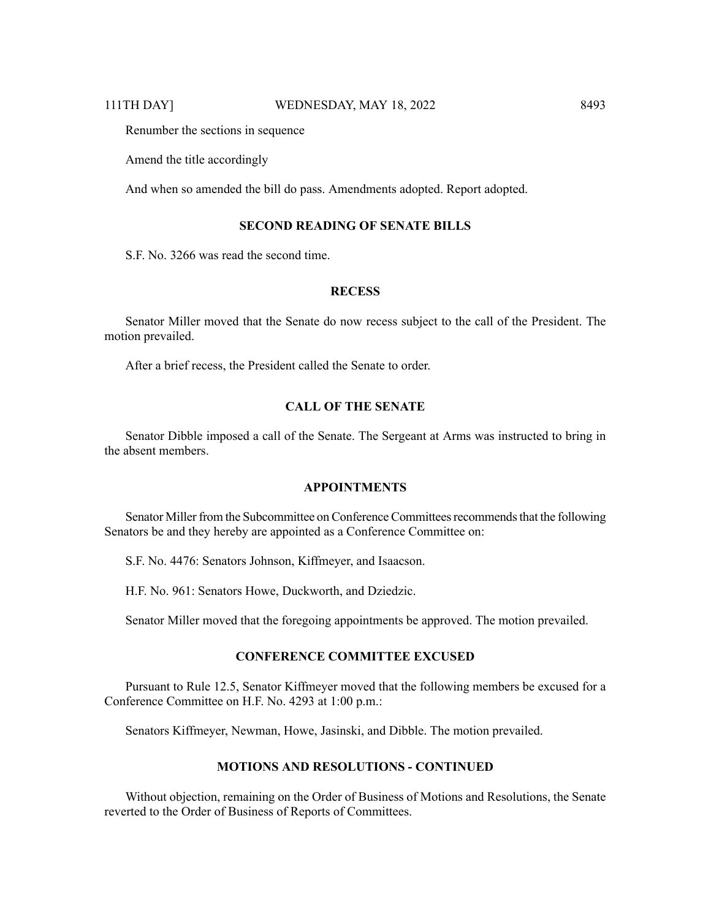Renumber the sections in sequence

Amend the title accordingly

And when so amended the bill do pass. Amendments adopted. Report adopted.

#### **SECOND READING OF SENATE BILLS**

S.F. No. 3266 was read the second time.

#### **RECESS**

Senator Miller moved that the Senate do now recess subject to the call of the President. The motion prevailed.

After a brief recess, the President called the Senate to order.

#### **CALL OF THE SENATE**

Senator Dibble imposed a call of the Senate. The Sergeant at Arms was instructed to bring in the absent members.

#### **APPOINTMENTS**

Senator Miller from the Subcommittee on Conference Committees recommends that the following Senators be and they hereby are appointed as a Conference Committee on:

S.F. No. 4476: Senators Johnson, Kiffmeyer, and Isaacson.

H.F. No. 961: Senators Howe, Duckworth, and Dziedzic.

Senator Miller moved that the foregoing appointments be approved. The motion prevailed.

#### **CONFERENCE COMMITTEE EXCUSED**

Pursuant to Rule 12.5, Senator Kiffmeyer moved that the following members be excused for a Conference Committee on H.F. No. 4293 at 1:00 p.m.:

Senators Kiffmeyer, Newman, Howe, Jasinski, and Dibble. The motion prevailed.

#### **MOTIONS AND RESOLUTIONS - CONTINUED**

Without objection, remaining on the Order of Business of Motions and Resolutions, the Senate reverted to the Order of Business of Reports of Committees.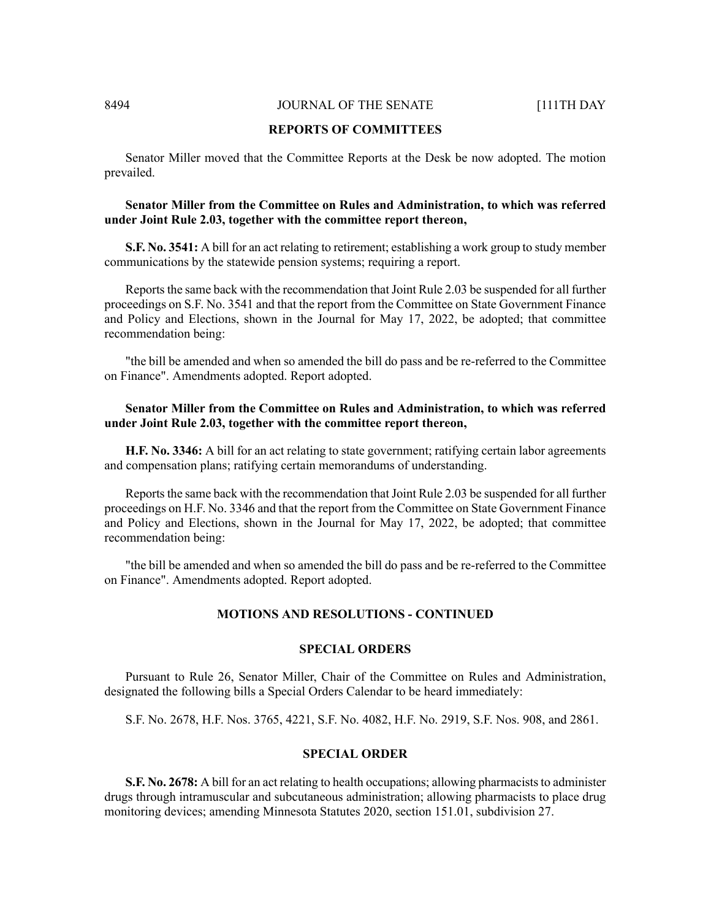#### 8494 **JOURNAL OF THE SENATE** [111TH DAY

#### **REPORTS OF COMMITTEES**

Senator Miller moved that the Committee Reports at the Desk be now adopted. The motion prevailed.

#### **Senator Miller from the Committee on Rules and Administration, to which was referred under Joint Rule 2.03, together with the committee report thereon,**

**S.F. No. 3541:** A bill for an act relating to retirement; establishing a work group to study member communications by the statewide pension systems; requiring a report.

Reports the same back with the recommendation that Joint Rule 2.03 be suspended for all further proceedings on S.F. No. 3541 and that the report from the Committee on State Government Finance and Policy and Elections, shown in the Journal for May 17, 2022, be adopted; that committee recommendation being:

"the bill be amended and when so amended the bill do pass and be re-referred to the Committee on Finance". Amendments adopted. Report adopted.

#### **Senator Miller from the Committee on Rules and Administration, to which was referred under Joint Rule 2.03, together with the committee report thereon,**

**H.F. No. 3346:** A bill for an act relating to state government; ratifying certain labor agreements and compensation plans; ratifying certain memorandums of understanding.

Reports the same back with the recommendation that Joint Rule 2.03 be suspended for all further proceedings on H.F. No. 3346 and that the report from the Committee on State Government Finance and Policy and Elections, shown in the Journal for May 17, 2022, be adopted; that committee recommendation being:

"the bill be amended and when so amended the bill do pass and be re-referred to the Committee on Finance". Amendments adopted. Report adopted.

#### **MOTIONS AND RESOLUTIONS - CONTINUED**

#### **SPECIAL ORDERS**

Pursuant to Rule 26, Senator Miller, Chair of the Committee on Rules and Administration, designated the following bills a Special Orders Calendar to be heard immediately:

S.F. No. 2678, H.F. Nos. 3765, 4221, S.F. No. 4082, H.F. No. 2919, S.F. Nos. 908, and 2861.

#### **SPECIAL ORDER**

**S.F. No. 2678:** A bill for an act relating to health occupations; allowing pharmacists to administer drugs through intramuscular and subcutaneous administration; allowing pharmacists to place drug monitoring devices; amending Minnesota Statutes 2020, section 151.01, subdivision 27.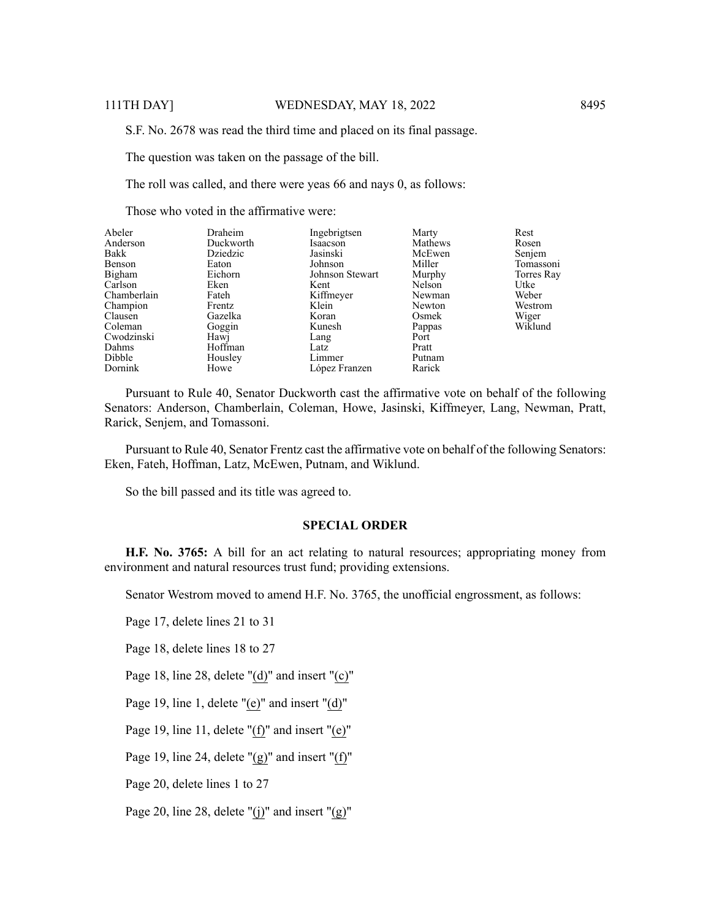S.F. No. 2678 was read the third time and placed on its final passage.

The question was taken on the passage of the bill.

The roll was called, and there were yeas 66 and nays 0, as follows:

Those who voted in the affirmative were:

| Abeler<br>Anderson | Draheim<br>Duckworth | Ingebrigtsen<br>Isaacson | Marty<br>Mathews | Rest<br>Rosen |
|--------------------|----------------------|--------------------------|------------------|---------------|
| Bakk               | Dziedzic             | Jasinski                 | McEwen           |               |
|                    |                      |                          |                  | Senjem        |
| Benson             | Eaton                | Johnson                  | Miller           | Tomassoni     |
| Bigham             | Eichorn              | Johnson Stewart          | Murphy           | Torres Ray    |
| Carlson            | Eken                 | Kent                     | Nelson           | Utke          |
| Chamberlain        | Fateh                | Kiffmeyer                | Newman           | Weber         |
| Champion           | Frentz               | Klein                    | Newton           | Westrom       |
| Clausen            | Gazelka              | Koran                    | Osmek            | Wiger         |
| Coleman            | Goggin               | Kunesh                   | Pappas           | Wiklund       |
| Cwodzinski         | Hawj                 | Lang                     | Port             |               |
| Dahms              | Hoffman              | Latz                     | Pratt            |               |
| Dibble             | Housley              | Limmer                   | Putnam           |               |
| Dornink            | Howe                 | López Franzen            | Rarick           |               |

Pursuant to Rule 40, Senator Duckworth cast the affirmative vote on behalf of the following Senators: Anderson, Chamberlain, Coleman, Howe, Jasinski, Kiffmeyer, Lang, Newman, Pratt, Rarick, Senjem, and Tomassoni.

Pursuant to Rule 40, Senator Frentz cast the affirmative vote on behalf of the following Senators: Eken, Fateh, Hoffman, Latz, McEwen, Putnam, and Wiklund.

So the bill passed and its title was agreed to.

#### **SPECIAL ORDER**

**H.F. No. 3765:** A bill for an act relating to natural resources; appropriating money from environment and natural resources trust fund; providing extensions.

Senator Westrom moved to amend H.F. No. 3765, the unofficial engrossment, as follows:

Page 17, delete lines 21 to 31

Page 18, delete lines 18 to 27

Page 18, line 28, delete "(d)" and insert "(c)"

Page 19, line 1, delete "(e)" and insert "(d)"

Page 19, line 11, delete "(f)" and insert "(e)"

Page 19, line 24, delete " $(g)$ " and insert " $(f)$ "

Page 20, delete lines 1 to 27

Page 20, line 28, delete "(j)" and insert " $(g)$ "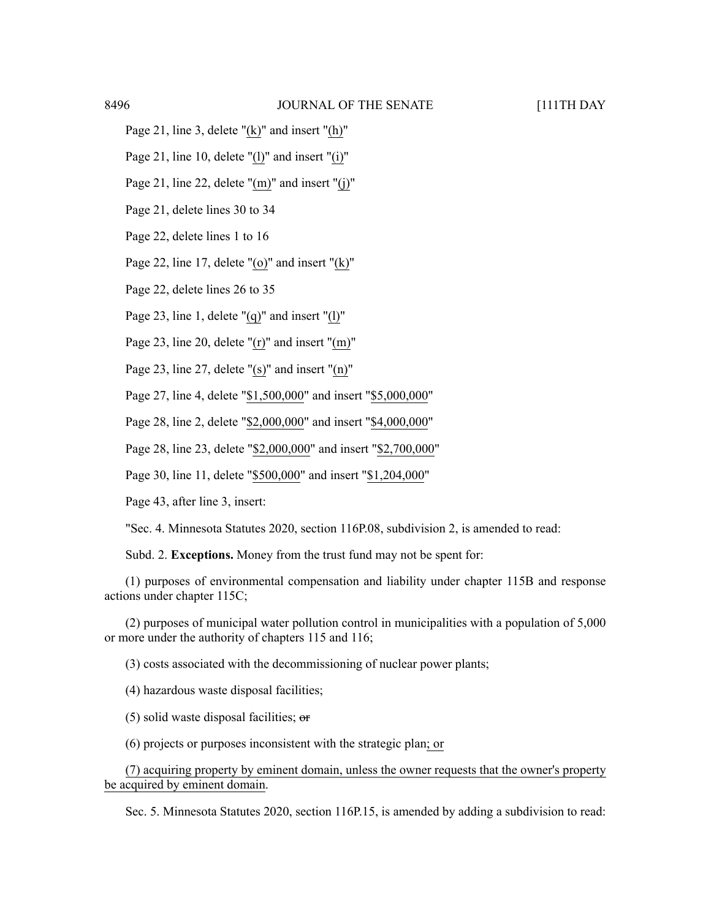- Page 21, line 3, delete "(k)" and insert "(h)"
- Page 21, line 10, delete "(l)" and insert "(i)"
- Page 21, line 22, delete "(m)" and insert "(j)"
- Page 21, delete lines 30 to 34
- Page 22, delete lines 1 to 16
- Page 22, line 17, delete "(o)" and insert " $(k)$ "
- Page 22, delete lines 26 to 35
- Page 23, line 1, delete "(q)" and insert "(l)"
- Page 23, line 20, delete "(r)" and insert "(m)"
- Page 23, line 27, delete "(s)" and insert "(n)"
- Page 27, line 4, delete "\$1,500,000" and insert "\$5,000,000"
- Page 28, line 2, delete "\$2,000,000" and insert "\$4,000,000"
- Page 28, line 23, delete "\$2,000,000" and insert "\$2,700,000"
- Page 30, line 11, delete "\$500,000" and insert "\$1,204,000"
- Page 43, after line 3, insert:
- "Sec. 4. Minnesota Statutes 2020, section 116P.08, subdivision 2, is amended to read:
- Subd. 2. **Exceptions.** Money from the trust fund may not be spent for:
- (1) purposes of environmental compensation and liability under chapter 115B and response actions under chapter 115C;
- (2) purposes of municipal water pollution control in municipalities with a population of 5,000 or more under the authority of chapters 115 and 116;
	- (3) costs associated with the decommissioning of nuclear power plants;
	- (4) hazardous waste disposal facilities;
	- $(5)$  solid waste disposal facilities;  $\theta$
	- (6) projects or purposes inconsistent with the strategic plan; or
- (7) acquiring property by eminent domain, unless the owner requests that the owner's property be acquired by eminent domain.
	- Sec. 5. Minnesota Statutes 2020, section 116P.15, is amended by adding a subdivision to read: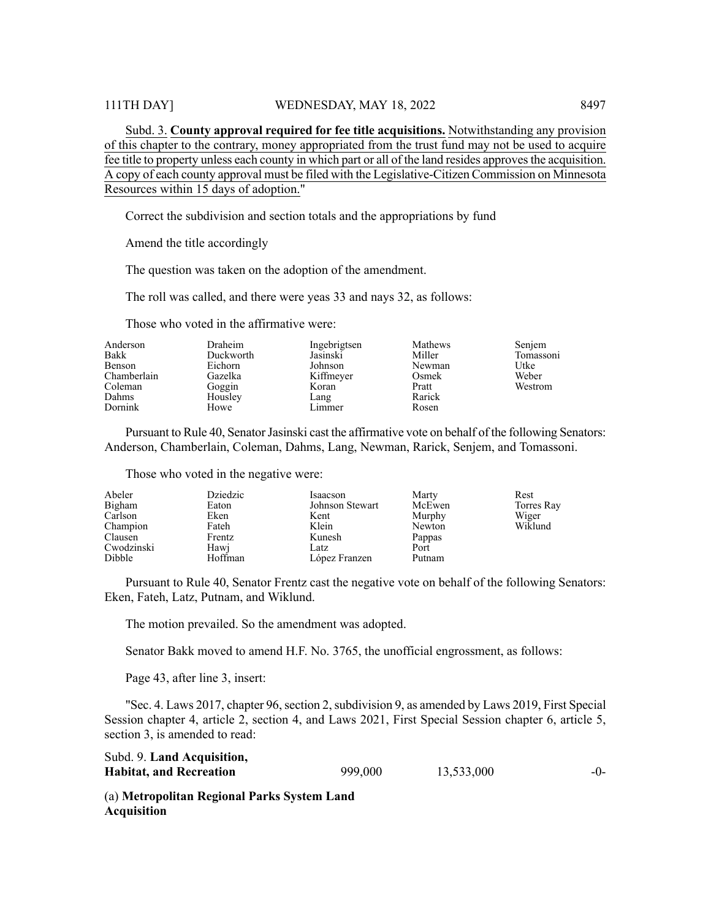Subd. 3. **County approval required for fee title acquisitions.** Notwithstanding any provision of this chapter to the contrary, money appropriated from the trust fund may not be used to acquire fee title to property unless each county in which part or all of the land resides approves the acquisition. A copy of each county approval must be filed with the Legislative-Citizen Commission on Minnesota Resources within 15 days of adoption."

Correct the subdivision and section totals and the appropriations by fund

Amend the title accordingly

The question was taken on the adoption of the amendment.

The roll was called, and there were yeas 33 and nays 32, as follows:

Those who voted in the affirmative were:

| Anderson    | Draheim   | Ingebrigtsen | Mathews | Senjem    |
|-------------|-----------|--------------|---------|-----------|
| Bakk        | Duckworth | Jasinski     | Miller  | Tomassoni |
| Benson      | Eichorn   | Johnson      | Newman  | Utke      |
| Chamberlain | Gazelka   | Kiffmeyer    | Osmek   | Weber     |
| Coleman     | Goggin    | Koran        | Pratt   | Westrom   |
| Dahms       | Housley   | Lang         | Rarick  |           |
| Dornink     | Howe      | Limmer       | Rosen   |           |

Pursuant to Rule 40, Senator Jasinski cast the affirmative vote on behalf of the following Senators: Anderson, Chamberlain, Coleman, Dahms, Lang, Newman, Rarick, Senjem, and Tomassoni.

Those who voted in the negative were:

| Abeler     | Dziedzic | Isaacson        | Marty  | Rest       |
|------------|----------|-----------------|--------|------------|
| Bigham     | Eaton    | Johnson Stewart | McEwen | Torres Ray |
| Carlson    | Eken     | Kent            | Murphy | Wiger      |
| Champion   | Fateh    | Klein           | Newton | Wiklund    |
| Clausen    | Frentz   | Kunesh          | Pappas |            |
| Cwodzinski | Hawj     | Latz            | Port   |            |
| Dibble     | Hoffman  | López Franzen   | Putnam |            |

Pursuant to Rule 40, Senator Frentz cast the negative vote on behalf of the following Senators: Eken, Fateh, Latz, Putnam, and Wiklund.

The motion prevailed. So the amendment was adopted.

Senator Bakk moved to amend H.F. No. 3765, the unofficial engrossment, as follows:

Page 43, after line 3, insert:

"Sec. 4. Laws 2017, chapter 96, section 2, subdivision 9, as amended by Laws 2019, First Special Session chapter 4, article 2, section 4, and Laws 2021, First Special Session chapter 6, article 5, section 3, is amended to read:

| Subd. 9. Land Acquisition,     |         |            |       |
|--------------------------------|---------|------------|-------|
| <b>Habitat, and Recreation</b> | 999,000 | 13,533,000 | $-()$ |

(a) **Metropolitan Regional Parks System Land Acquisition**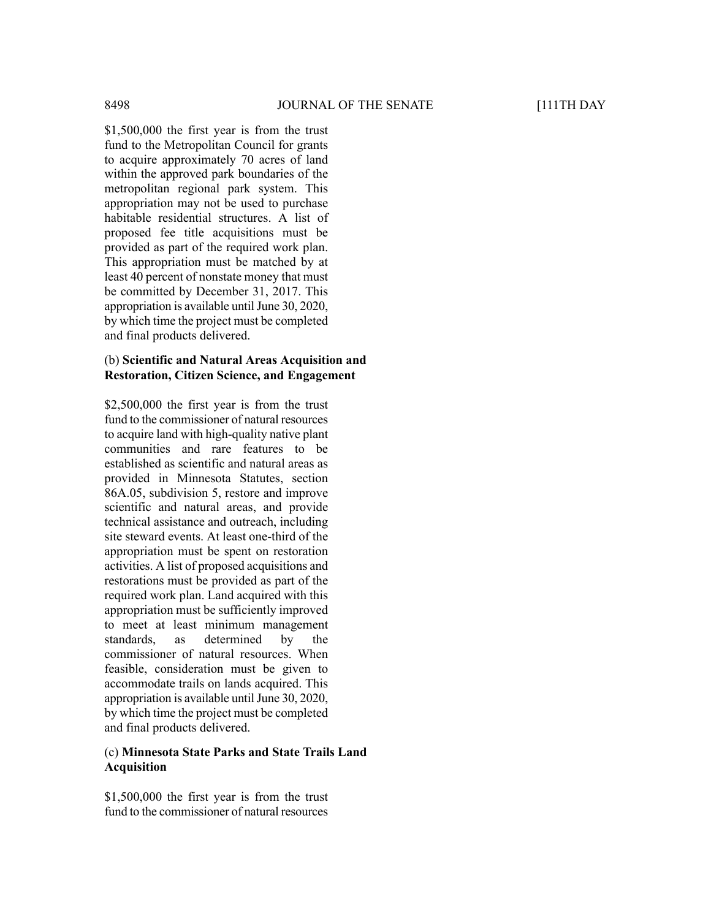\$1,500,000 the first year is from the trust fund to the Metropolitan Council for grants to acquire approximately 70 acres of land within the approved park boundaries of the metropolitan regional park system. This appropriation may not be used to purchase habitable residential structures. A list of proposed fee title acquisitions must be provided as part of the required work plan. This appropriation must be matched by at least 40 percent of nonstate money that must be committed by December 31, 2017. This appropriation is available until June 30, 2020, by which time the project must be completed and final products delivered.

#### (b) **Scientific and Natural Areas Acquisition and Restoration, Citizen Science, and Engagement**

\$2,500,000 the first year is from the trust fund to the commissioner of natural resources to acquire land with high-quality native plant communities and rare features to be established as scientific and natural areas as provided in Minnesota Statutes, section 86A.05, subdivision 5, restore and improve scientific and natural areas, and provide technical assistance and outreach, including site steward events. At least one-third of the appropriation must be spent on restoration activities. A list of proposed acquisitions and restorations must be provided as part of the required work plan. Land acquired with this appropriation must be sufficiently improved to meet at least minimum management standards, as determined by the commissioner of natural resources. When feasible, consideration must be given to accommodate trails on lands acquired. This appropriation is available until June 30, 2020, by which time the project must be completed and final products delivered.

#### (c) **Minnesota State Parks and State Trails Land Acquisition**

\$1,500,000 the first year is from the trust fund to the commissioner of natural resources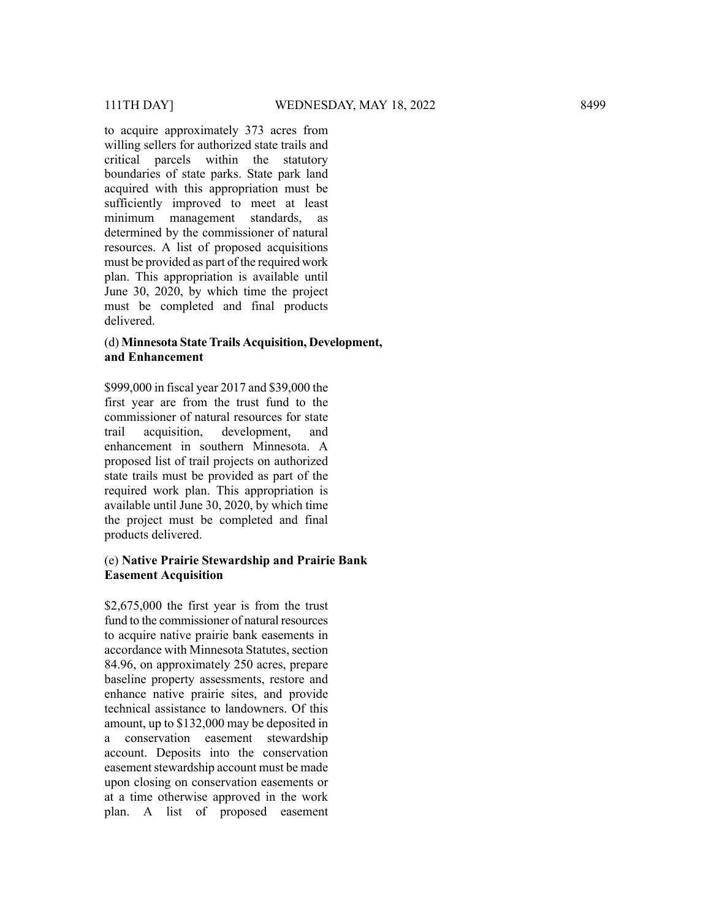to acquire approximately 373 acres from willing sellers for authorized state trails and critical parcels within the statutory boundaries of state parks. State park land acquired with this appropriation must be sufficiently improved to meet at least minimum management standards, as determined by the commissioner of natural resources. A list of proposed acquisitions must be provided as part of the required work plan. This appropriation is available until June 30, 2020, by which time the project must be completed and final products delivered.

#### (d) **Minnesota State Trails Acquisition, Development, and Enhancement**

\$999,000 in fiscal year 2017 and \$39,000 the first year are from the trust fund to the commissioner of natural resources for state trail acquisition, development, and enhancement in southern Minnesota. A proposed list of trail projects on authorized state trails must be provided as part of the required work plan. This appropriation is available until June 30, 2020, by which time the project must be completed and final products delivered.

#### (e) **Native Prairie Stewardship and Prairie Bank Easement Acquisition**

\$2,675,000 the first year is from the trust fund to the commissioner of natural resources to acquire native prairie bank easements in accordance with Minnesota Statutes, section 84.96, on approximately 250 acres, prepare baseline property assessments, restore and enhance native prairie sites, and provide technical assistance to landowners. Of this amount, up to \$132,000 may be deposited in a conservation easement stewardship account. Deposits into the conservation easement stewardship account must be made upon closing on conservation easements or at a time otherwise approved in the work plan. A list of proposed easement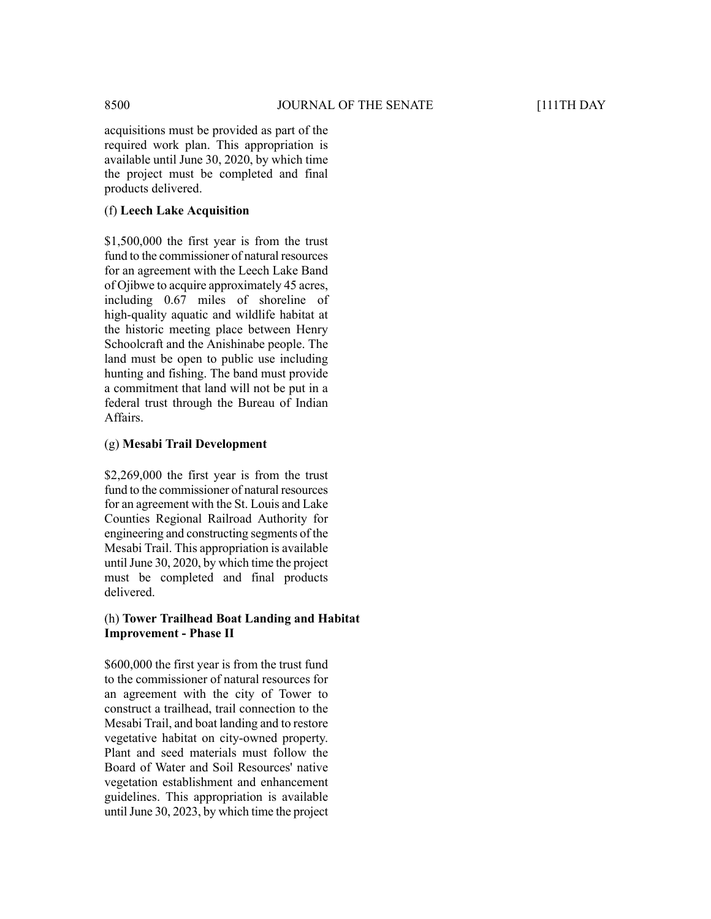acquisitions must be provided as part of the required work plan. This appropriation is available until June 30, 2020, by which time the project must be completed and final products delivered.

#### (f) **Leech Lake Acquisition**

\$1,500,000 the first year is from the trust fund to the commissioner of natural resources for an agreement with the Leech Lake Band of Ojibwe to acquire approximately 45 acres, including 0.67 miles of shoreline of high-quality aquatic and wildlife habitat at the historic meeting place between Henry Schoolcraft and the Anishinabe people. The land must be open to public use including hunting and fishing. The band must provide a commitment that land will not be put in a federal trust through the Bureau of Indian Affairs.

#### (g) **Mesabi Trail Development**

\$2,269,000 the first year is from the trust fund to the commissioner of natural resources for an agreement with the St. Louis and Lake Counties Regional Railroad Authority for engineering and constructing segments of the Mesabi Trail. This appropriation is available until June 30,  $2020$ , by which time the project must be completed and final products delivered.

#### (h) **Tower Trailhead Boat Landing and Habitat Improvement - Phase II**

\$600,000 the first year is from the trust fund to the commissioner of natural resources for an agreement with the city of Tower to construct a trailhead, trail connection to the Mesabi Trail, and boat landing and to restore vegetative habitat on city-owned property. Plant and seed materials must follow the Board of Water and Soil Resources' native vegetation establishment and enhancement guidelines. This appropriation is available until June 30,  $2023$ , by which time the project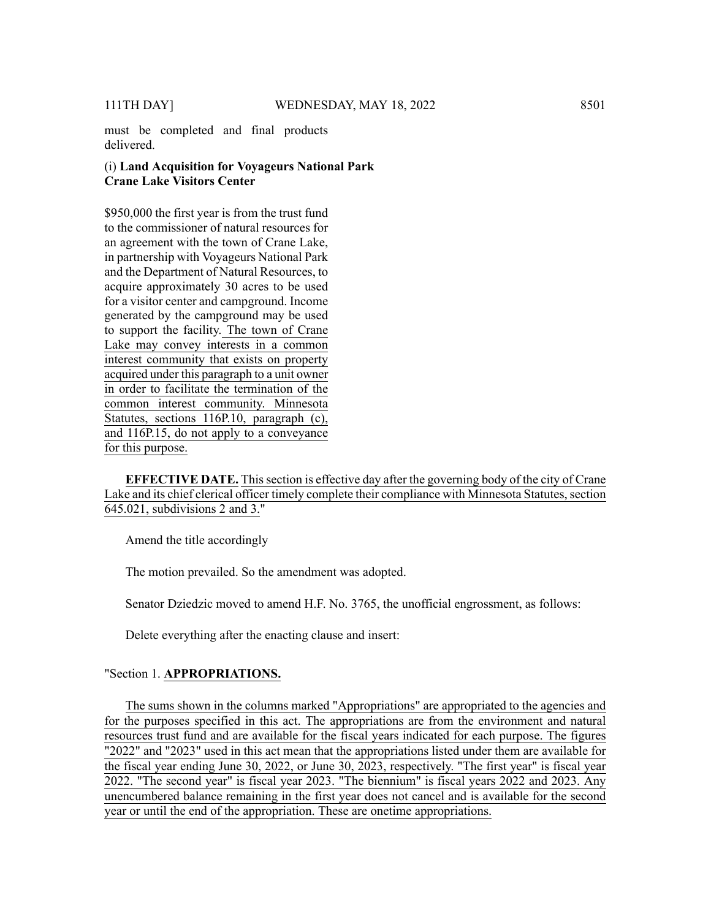must be completed and final products delivered.

#### (i) **Land Acquisition for Voyageurs National Park Crane Lake Visitors Center**

\$950,000 the first year is from the trust fund to the commissioner of natural resources for an agreement with the town of Crane Lake, in partnership with Voyageurs National Park and the Department of Natural Resources, to acquire approximately 30 acres to be used for a visitor center and campground. Income generated by the campground may be used to support the facility. The town of Crane Lake may convey interests in a common interest community that exists on property acquired under this paragraph to a unit owner in order to facilitate the termination of the common interest community. Minnesota Statutes, sections 116P.10, paragraph (c), and 116P.15, do not apply to a conveyance for this purpose.

**EFFECTIVE DATE.** Thissection is effective day after the governing body of the city of Crane Lake and its chief clerical officer timely complete their compliance with Minnesota Statutes, section 645.021, subdivisions 2 and 3."

Amend the title accordingly

The motion prevailed. So the amendment was adopted.

Senator Dziedzic moved to amend H.F. No. 3765, the unofficial engrossment, as follows:

Delete everything after the enacting clause and insert:

#### "Section 1. **APPROPRIATIONS.**

The sums shown in the columns marked "Appropriations" are appropriated to the agencies and for the purposes specified in this act. The appropriations are from the environment and natural resources trust fund and are available for the fiscal years indicated for each purpose. The figures "2022" and "2023" used in this act mean that the appropriations listed under them are available for the fiscal year ending June 30, 2022, or June 30, 2023, respectively. "The first year" is fiscal year 2022. "The second year" is fiscal year 2023. "The biennium" is fiscal years 2022 and 2023. Any unencumbered balance remaining in the first year does not cancel and is available for the second year or until the end of the appropriation. These are onetime appropriations.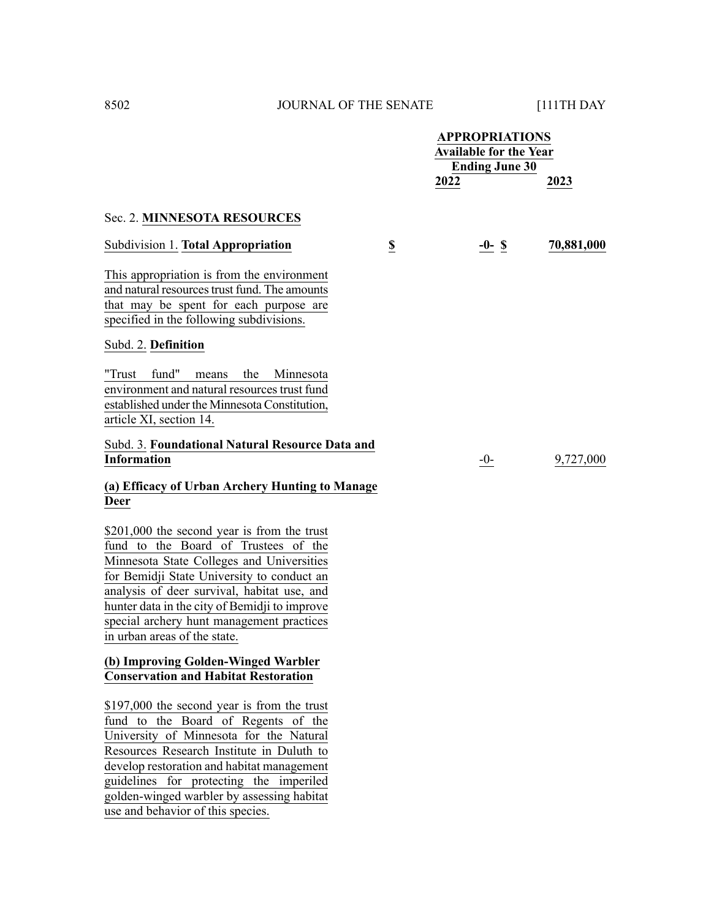|                                                                                                                                                                                                                                                                                                                                                             |                         | <b>APPROPRIATIONS</b><br><b>Available for the Year</b><br><b>Ending June 30</b> |          |  |            |
|-------------------------------------------------------------------------------------------------------------------------------------------------------------------------------------------------------------------------------------------------------------------------------------------------------------------------------------------------------------|-------------------------|---------------------------------------------------------------------------------|----------|--|------------|
|                                                                                                                                                                                                                                                                                                                                                             |                         | 2022                                                                            |          |  | 2023       |
| Sec. 2. MINNESOTA RESOURCES                                                                                                                                                                                                                                                                                                                                 |                         |                                                                                 |          |  |            |
| Subdivision 1. Total Appropriation                                                                                                                                                                                                                                                                                                                          | $\overline{\mathbf{E}}$ |                                                                                 | $-0-$ \$ |  | 70,881,000 |
| This appropriation is from the environment<br>and natural resources trust fund. The amounts<br>that may be spent for each purpose are<br>specified in the following subdivisions.                                                                                                                                                                           |                         |                                                                                 |          |  |            |
| Subd. 2. Definition                                                                                                                                                                                                                                                                                                                                         |                         |                                                                                 |          |  |            |
| "Trust fund"<br>the<br>means<br>Minnesota<br>environment and natural resources trust fund<br>established under the Minnesota Constitution,<br>article XI, section 14.                                                                                                                                                                                       |                         |                                                                                 |          |  |            |
| Subd. 3. Foundational Natural Resource Data and<br><b>Information</b>                                                                                                                                                                                                                                                                                       |                         |                                                                                 | $-0-$    |  | 9,727,000  |
| (a) Efficacy of Urban Archery Hunting to Manage<br><b>Deer</b>                                                                                                                                                                                                                                                                                              |                         |                                                                                 |          |  |            |
| \$201,000 the second year is from the trust<br>fund to the Board of Trustees of the<br>Minnesota State Colleges and Universities<br>for Bemidji State University to conduct an<br>analysis of deer survival, habitat use, and<br>hunter data in the city of Bemidji to improve<br>special archery hunt management practices<br>in urban areas of the state. |                         |                                                                                 |          |  |            |
| (b) Improving Golden-Winged Warbler<br><b>Conservation and Habitat Restoration</b>                                                                                                                                                                                                                                                                          |                         |                                                                                 |          |  |            |
| \$197,000 the second year is from the trust<br>fund to the Board of Regents of the<br>University of Minnesota for the Natural<br>Resources Research Institute in Duluth to<br>develop restoration and habitat management<br>guidelines for protecting the imperiled<br>golden-winged warbler by assessing habitat                                           |                         |                                                                                 |          |  |            |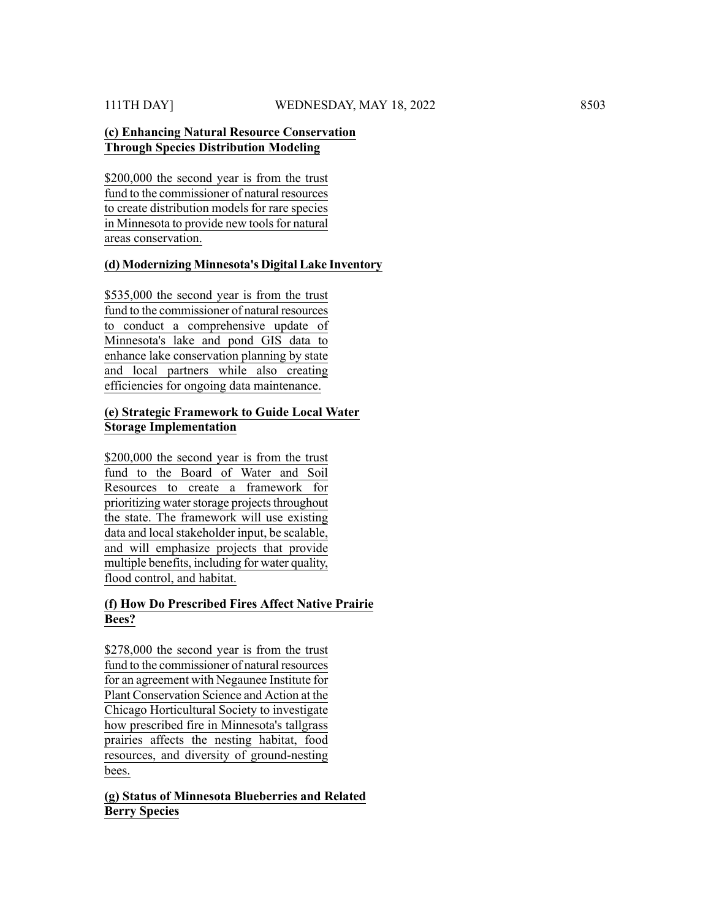#### **(c) Enhancing Natural Resource Conservation Through Species Distribution Modeling**

\$200,000 the second year is from the trust fund to the commissioner of natural resources to create distribution models for rare species in Minnesota to provide new tools for natural areas conservation.

# **(d) Modernizing Minnesota's Digital Lake Inventory**

\$535,000 the second year is from the trust fund to the commissioner of natural resources to conduct a comprehensive update of Minnesota's lake and pond GIS data to enhance lake conservation planning by state and local partners while also creating efficiencies for ongoing data maintenance.

#### **(e) Strategic Framework to Guide Local Water Storage Implementation**

\$200,000 the second year is from the trust fund to the Board of Water and Soil Resources to create a framework for prioritizing water storage projects throughout the state. The framework will use existing data and local stakeholder input, be scalable, and will emphasize projects that provide multiple benefits, including for water quality, flood control, and habitat.

# **(f) How Do Prescribed Fires Affect Native Prairie Bees?**

\$278,000 the second year is from the trust fund to the commissioner of natural resources for an agreement with Negaunee Institute for Plant Conservation Science and Action at the Chicago Horticultural Society to investigate how prescribed fire in Minnesota's tallgrass prairies affects the nesting habitat, food resources, and diversity of ground-nesting bees.

# **(g) Status of Minnesota Blueberries and Related Berry Species**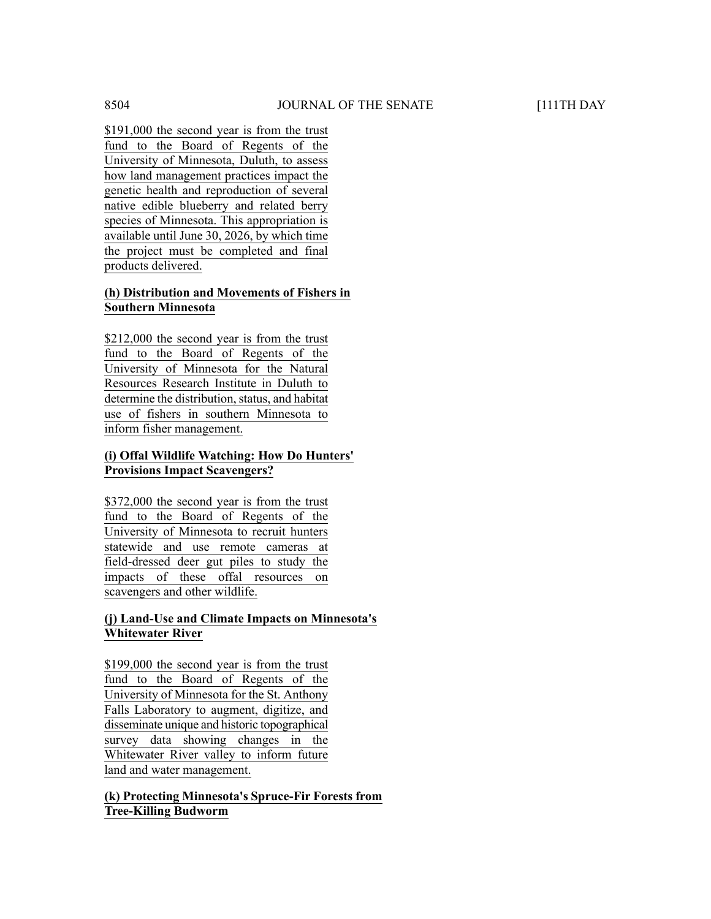\$191,000 the second year is from the trust fund to the Board of Regents of the University of Minnesota, Duluth, to assess how land management practices impact the genetic health and reproduction of several native edible blueberry and related berry species of Minnesota. This appropriation is available until June 30, 2026, by which time the project must be completed and final products delivered.

# **(h) Distribution and Movements of Fishers in Southern Minnesota**

\$212,000 the second year is from the trust fund to the Board of Regents of the University of Minnesota for the Natural Resources Research Institute in Duluth to determine the distribution, status, and habitat use of fishers in southern Minnesota to inform fisher management.

# **(i) Offal Wildlife Watching: How Do Hunters' Provisions Impact Scavengers?**

\$372,000 the second year is from the trust fund to the Board of Regents of the University of Minnesota to recruit hunters statewide and use remote cameras at field-dressed deer gut piles to study the impacts of these offal resources on scavengers and other wildlife.

#### **(j) Land-Use and Climate Impacts on Minnesota's Whitewater River**

\$199,000 the second year is from the trust fund to the Board of Regents of the University of Minnesota for the St. Anthony Falls Laboratory to augment, digitize, and disseminate unique and historic topographical survey data showing changes in the Whitewater River valley to inform future land and water management.

# **(k) Protecting Minnesota's Spruce-Fir Forests from Tree-Killing Budworm**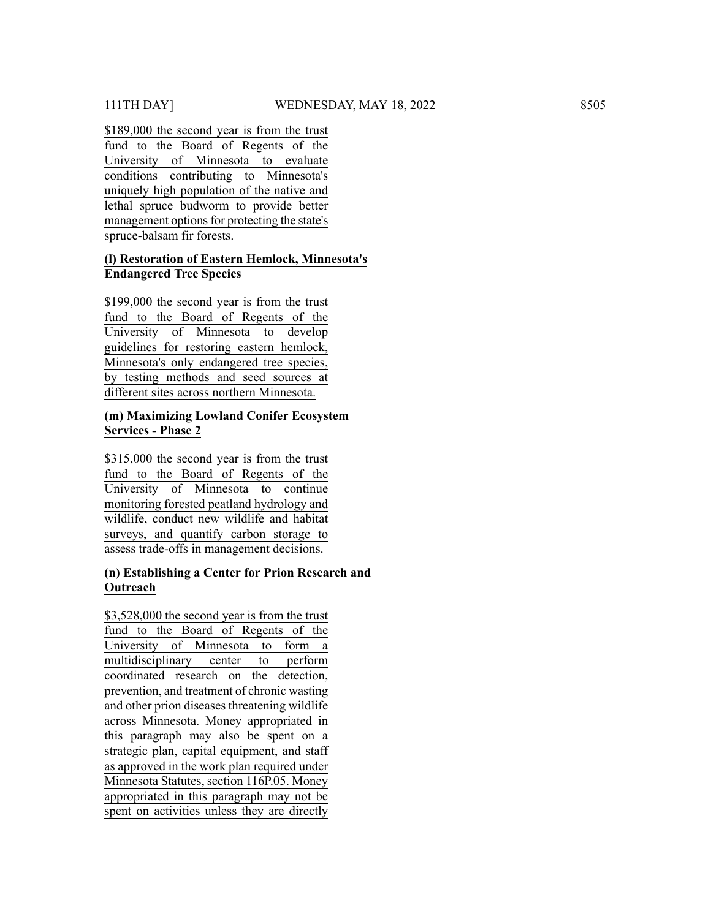\$189,000 the second year is from the trust fund to the Board of Regents of the University of Minnesota to evaluate conditions contributing to Minnesota's uniquely high population of the native and lethal spruce budworm to provide better management options for protecting the state's spruce-balsam fir forests.

# **(l) Restoration of Eastern Hemlock, Minnesota's Endangered Tree Species**

\$199,000 the second year is from the trust fund to the Board of Regents of the University of Minnesota to develop guidelines for restoring eastern hemlock, Minnesota's only endangered tree species, by testing methods and seed sources at different sites across northern Minnesota.

# **(m) Maximizing Lowland Conifer Ecosystem Services - Phase 2**

\$315,000 the second year is from the trust fund to the Board of Regents of the University of Minnesota to continue monitoring forested peatland hydrology and wildlife, conduct new wildlife and habitat surveys, and quantify carbon storage to assess trade-offs in management decisions.

# **(n) Establishing a Center for Prion Research and Outreach**

\$3,528,000 the second year is from the trust fund to the Board of Regents of the University of Minnesota to form a multidisciplinary center to perform coordinated research on the detection, prevention, and treatment of chronic wasting and other prion diseases threatening wildlife across Minnesota. Money appropriated in this paragraph may also be spent on a strategic plan, capital equipment, and staff as approved in the work plan required under Minnesota Statutes, section 116P.05. Money appropriated in this paragraph may not be 111TH DAYT 111 THE DAYT 111 THE DAYT 111 THE DAYT 111 THE DAYT 111 THE UNIT CONTROL TO THE UNIT CONTROL TO THE UNIT CONTROL TO THE UNIT CONTROL CONTROL CONTROL CONTROL CONTROL CONTROL CONTROL CONTROL CONTROL CONTROL CONTRO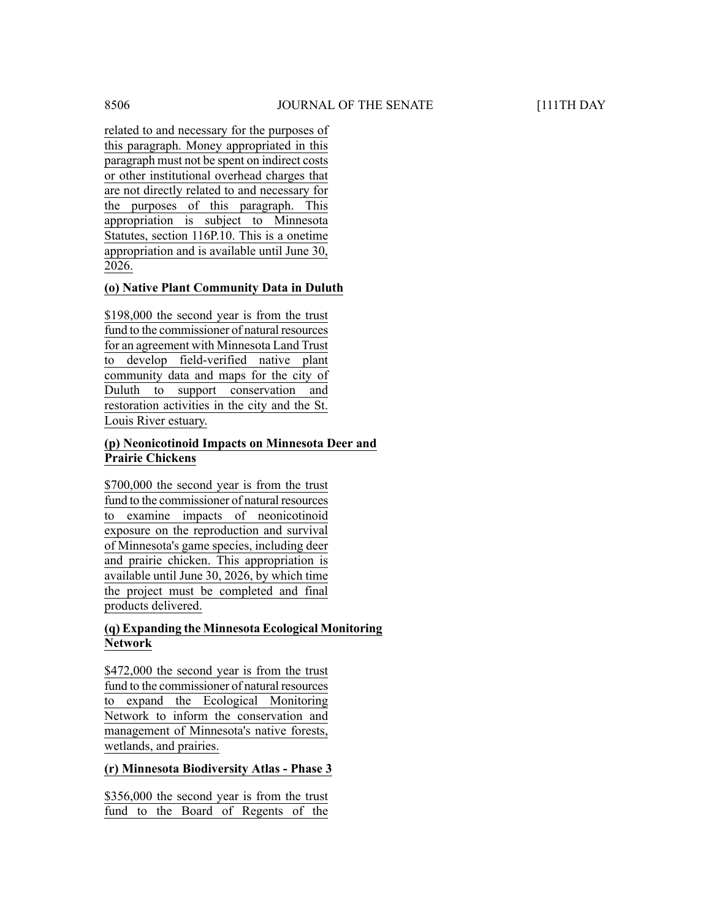related to and necessary for the purposes of this paragraph. Money appropriated in this paragraph must not be spent on indirect costs or other institutional overhead charges that are not directly related to and necessary for the purposes of this paragraph. This appropriation is subject to Minnesota Statutes, section 116P.10. This is a onetime appropriation and is available until June 30, 2026.

# **(o) Native Plant Community Data in Duluth**

\$198,000 the second year is from the trust fund to the commissioner of natural resources for an agreement with Minnesota Land Trust to develop field-verified native plant community data and maps for the city of Duluth to support conservation and restoration activities in the city and the St. Louis River estuary.

# **(p) Neonicotinoid Impacts on Minnesota Deer and Prairie Chickens**

\$700,000 the second year is from the trust fund to the commissioner of natural resources to examine impacts of neonicotinoid exposure on the reproduction and survival of Minnesota's game species, including deer and prairie chicken. This appropriation is available until June 30, 2026, by which time the project must be completed and final products delivered.

# **(q) Expanding the Minnesota Ecological Monitoring Network**

\$472,000 the second year is from the trust fund to the commissioner of natural resources to expand the Ecological Monitoring Network to inform the conservation and management of Minnesota's native forests, wetlands, and prairies.

# **(r) Minnesota Biodiversity Atlas - Phase 3**

\$356,000 the second year is from the trust fund to the Board of Regents of the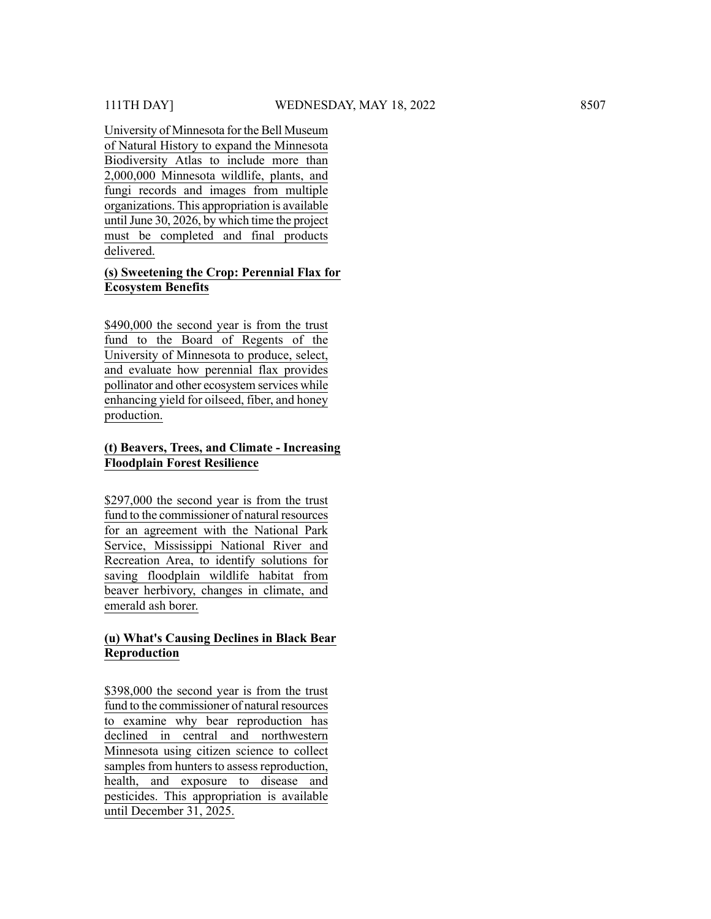University of Minnesota for the Bell Museum of Natural History to expand the Minnesota Biodiversity Atlas to include more than 2,000,000 Minnesota wildlife, plants, and fungi records and images from multiple organizations. This appropriation is available until June 30,  $2026$ , by which time the project must be completed and final products delivered.

# **(s) Sweetening the Crop: Perennial Flax for Ecosystem Benefits**

\$490,000 the second year is from the trust fund to the Board of Regents of the University of Minnesota to produce, select, and evaluate how perennial flax provides pollinator and other ecosystem services while enhancing yield for oilseed, fiber, and honey production.

# **(t) Beavers, Trees, and Climate - Increasing Floodplain Forest Resilience**

\$297,000 the second year is from the trust fund to the commissioner of natural resources for an agreement with the National Park Service, Mississippi National River and Recreation Area, to identify solutions for saving floodplain wildlife habitat from beaver herbivory, changes in climate, and emerald ash borer.

#### **(u) What's Causing Declines in Black Bear Reproduction**

\$398,000 the second year is from the trust fund to the commissioner of natural resources to examine why bear reproduction has declined in central and northwestern Minnesota using citizen science to collect samples from hunters to assess reproduction, health, and exposure to disease and pesticides. This appropriation is available until December 31, 2025.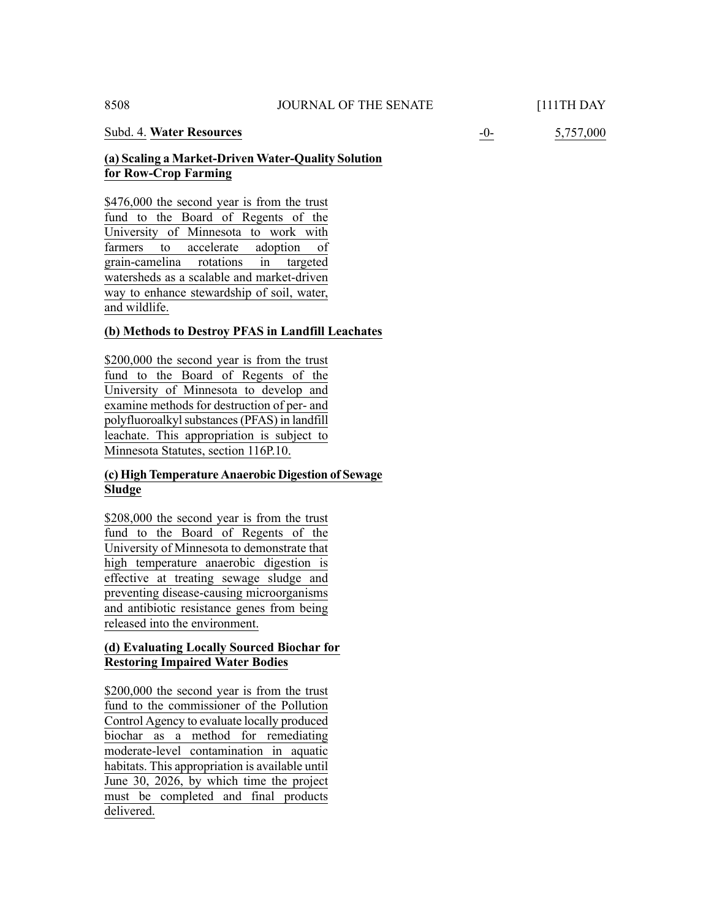#### Subd. 4. **Water Resources** -0- 5,757,000

# **(a) Scaling a Market-Driven Water-Quality Solution for Row-Crop Farming**

\$476,000 the second year is from the trust fund to the Board of Regents of the University of Minnesota to work with farmers to accelerate adoption of grain-camelina rotations in targeted watersheds as a scalable and market-driven way to enhance stewardship of soil, water, and wildlife.

# **(b) Methods to Destroy PFAS in Landfill Leachates**

\$200,000 the second year is from the trust fund to the Board of Regents of the University of Minnesota to develop and examine methods for destruction of per- and polyfluoroalkyl substances (PFAS) in landfill leachate. This appropriation is subject to Minnesota Statutes, section 116P.10.

# **(c) High Temperature Anaerobic Digestion of Sewage Sludge**

\$208,000 the second year is from the trust fund to the Board of Regents of the University of Minnesota to demonstrate that high temperature anaerobic digestion is effective at treating sewage sludge and preventing disease-causing microorganisms and antibiotic resistance genes from being released into the environment.

# **(d) Evaluating Locally Sourced Biochar for Restoring Impaired Water Bodies**

\$200,000 the second year is from the trust fund to the commissioner of the Pollution Control Agency to evaluate locally produced biochar as a method for remediating moderate-level contamination in aquatic habitats. This appropriation is available until June 30, 2026, by which time the project must be completed and final products delivered.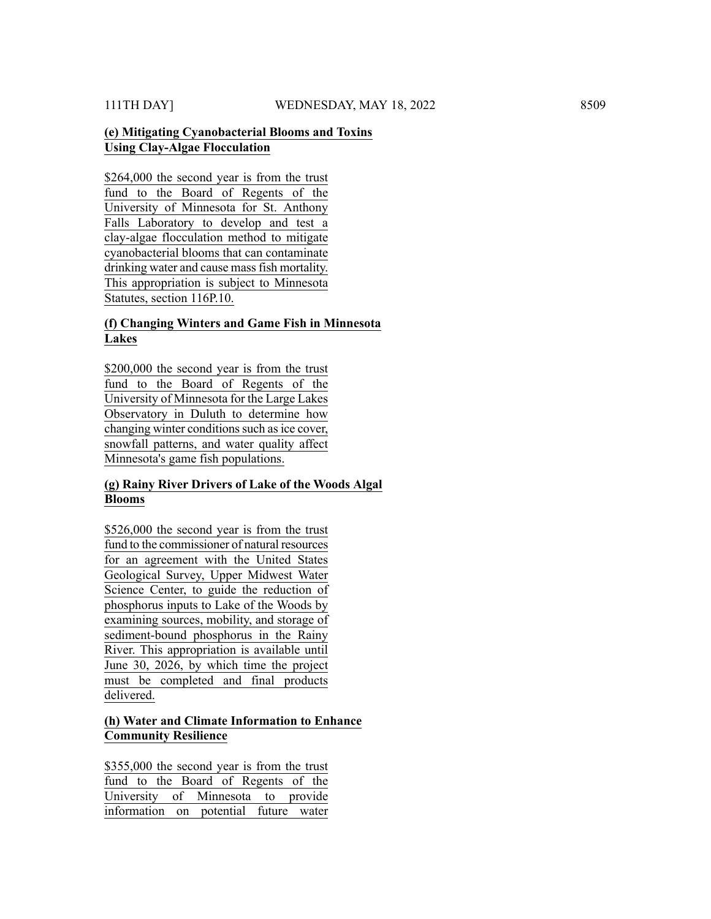# **(e) Mitigating Cyanobacterial Blooms and Toxins Using Clay-Algae Flocculation**

\$264,000 the second year is from the trust fund to the Board of Regents of the University of Minnesota for St. Anthony Falls Laboratory to develop and test a clay-algae flocculation method to mitigate cyanobacterial blooms that can contaminate drinking water and cause mass fish mortality. This appropriation is subject to Minnesota Statutes, section 116P.10.

# **(f) Changing Winters and Game Fish in Minnesota Lakes**

\$200,000 the second year is from the trust fund to the Board of Regents of the University of Minnesota for the Large Lakes Observatory in Duluth to determine how changing winter conditions such as ice cover, snowfall patterns, and water quality affect Minnesota's game fish populations.

#### **(g) Rainy River Drivers of Lake of the Woods Algal Blooms**

\$526,000 the second year is from the trust fund to the commissioner of natural resources for an agreement with the United States Geological Survey, Upper Midwest Water Science Center, to guide the reduction of phosphorus inputs to Lake of the Woods by examining sources, mobility, and storage of sediment-bound phosphorus in the Rainy River. This appropriation is available until June 30, 2026, by which time the project must be completed and final products delivered.

# **(h) Water and Climate Information to Enhance Community Resilience**

\$355,000 the second year is from the trust fund to the Board of Regents of the University of Minnesota to provide information on potential future water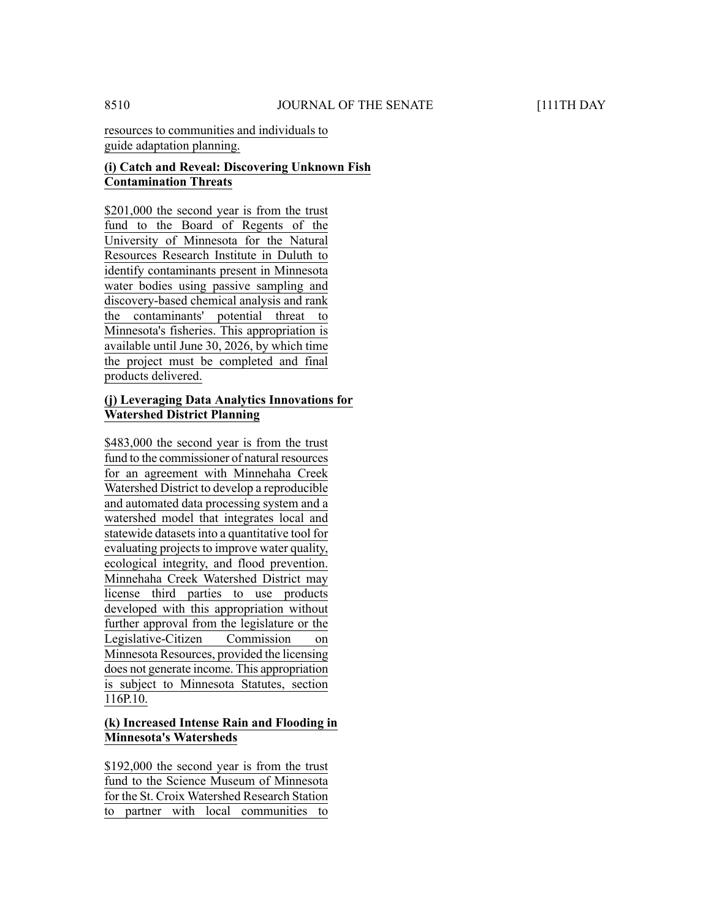# **(i) Catch and Reveal: Discovering Unknown Fish Contamination Threats**

\$201,000 the second year is from the trust fund to the Board of Regents of the University of Minnesota for the Natural Resources Research Institute in Duluth to identify contaminants present in Minnesota water bodies using passive sampling and discovery-based chemical analysis and rank the contaminants' potential threat to Minnesota's fisheries. This appropriation is available until June 30, 2026, by which time the project must be completed and final products delivered.

# **(j) Leveraging Data Analytics Innovations for Watershed District Planning**

\$483,000 the second year is from the trust fund to the commissioner of natural resources for an agreement with Minnehaha Creek Watershed District to develop a reproducible and automated data processing system and a watershed model that integrates local and statewide datasets into a quantitative tool for evaluating projects to improve water quality, ecological integrity, and flood prevention. Minnehaha Creek Watershed District may license third parties to use products developed with this appropriation without further approval from the legislature or the Legislative-Citizen Commission on Minnesota Resources, provided the licensing does not generate income. This appropriation is subject to Minnesota Statutes, section 116P.10.

# **(k) Increased Intense Rain and Flooding in Minnesota's Watersheds**

\$192,000 the second year is from the trust fund to the Science Museum of Minnesota for the St. Croix Watershed Research Station to partner with local communities to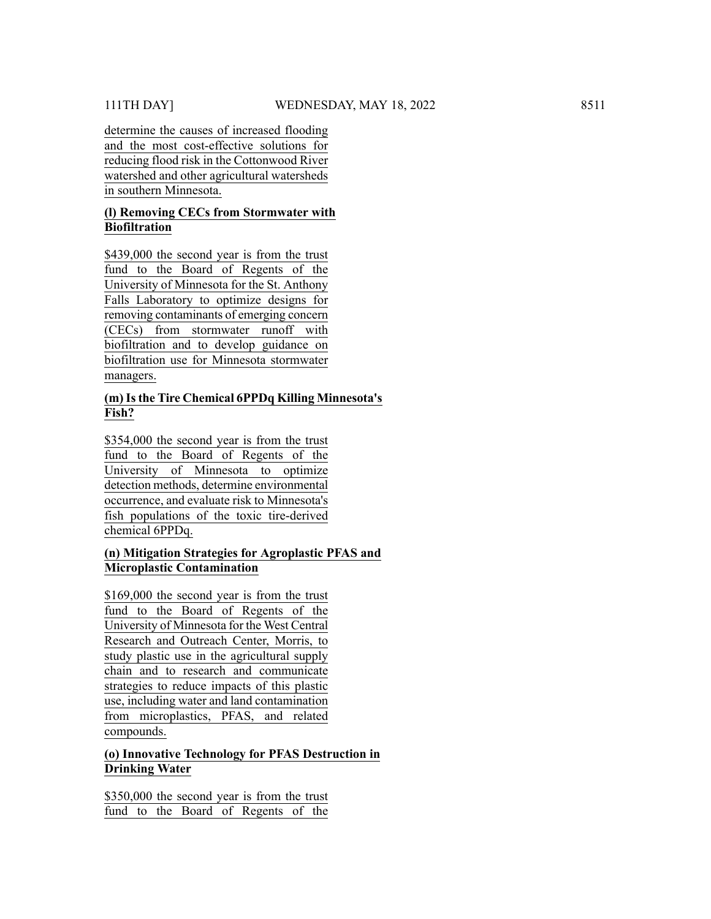determine the causes of increased flooding and the most cost-effective solutions for reducing flood risk in the Cottonwood River watershed and other agricultural watersheds in southern Minnesota.

#### **(l) Removing CECs from Stormwater with Biofiltration**

\$439,000 the second year is from the trust fund to the Board of Regents of the University of Minnesota for the St. Anthony Falls Laboratory to optimize designs for removing contaminants of emerging concern (CECs) from stormwater runoff with biofiltration and to develop guidance on biofiltration use for Minnesota stormwater managers.

# **(m)Isthe Tire Chemical 6PPDq Killing Minnesota's Fish?**

\$354,000 the second year is from the trust fund to the Board of Regents of the University of Minnesota to optimize detection methods, determine environmental occurrence, and evaluate risk to Minnesota's fish populations of the toxic tire-derived chemical 6PPDq.

# **(n) Mitigation Strategies for Agroplastic PFAS and Microplastic Contamination**

\$169,000 the second year is from the trust fund to the Board of Regents of the University of Minnesota for the West Central Research and Outreach Center, Morris, to study plastic use in the agricultural supply chain and to research and communicate strategies to reduce impacts of this plastic use, including water and land contamination from microplastics, PFAS, and related compounds.

# **(o) Innovative Technology for PFAS Destruction in Drinking Water**

\$350,000 the second year is from the trust fund to the Board of Regents of the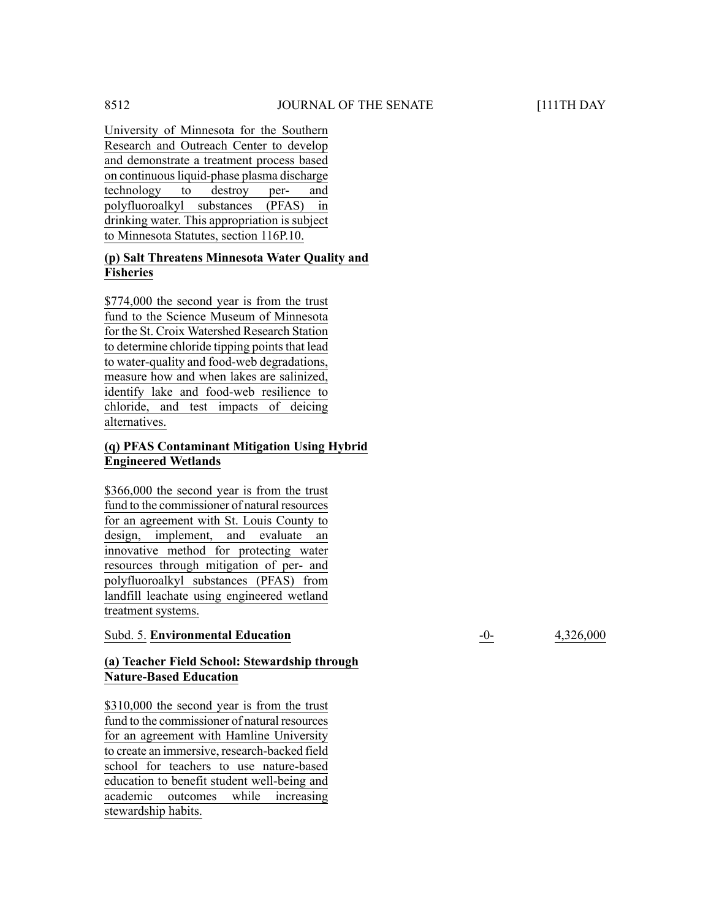University of Minnesota for the Southern Research and Outreach Center to develop and demonstrate a treatment process based on continuous liquid-phase plasma discharge technology to destroy per- and polyfluoroalkyl substances (PFAS) in drinking water. This appropriation is subject to Minnesota Statutes, section 116P.10.

# **(p) Salt Threatens Minnesota Water Quality and Fisheries**

\$774,000 the second year is from the trust fund to the Science Museum of Minnesota for the St. Croix Watershed Research Station to determine chloride tipping points that lead to water-quality and food-web degradations, measure how and when lakes are salinized, identify lake and food-web resilience to chloride, and test impacts of deicing alternatives.

# **(q) PFAS Contaminant Mitigation Using Hybrid Engineered Wetlands**

\$366,000 the second year is from the trust fund to the commissioner of natural resources for an agreement with St. Louis County to design, implement, and evaluate an innovative method for protecting water resources through mitigation of per- and polyfluoroalkyl substances (PFAS) from landfill leachate using engineered wetland treatment systems.

# **Subd. 5. Environmental Education**  $-0$ - 4,326,000

# **(a) Teacher Field School: Stewardship through Nature-Based Education**

\$310,000 the second year is from the trust fund to the commissioner of natural resources for an agreement with Hamline University to create an immersive, research-backed field school for teachers to use nature-based education to benefit student well-being and academic outcomes while increasing stewardship habits.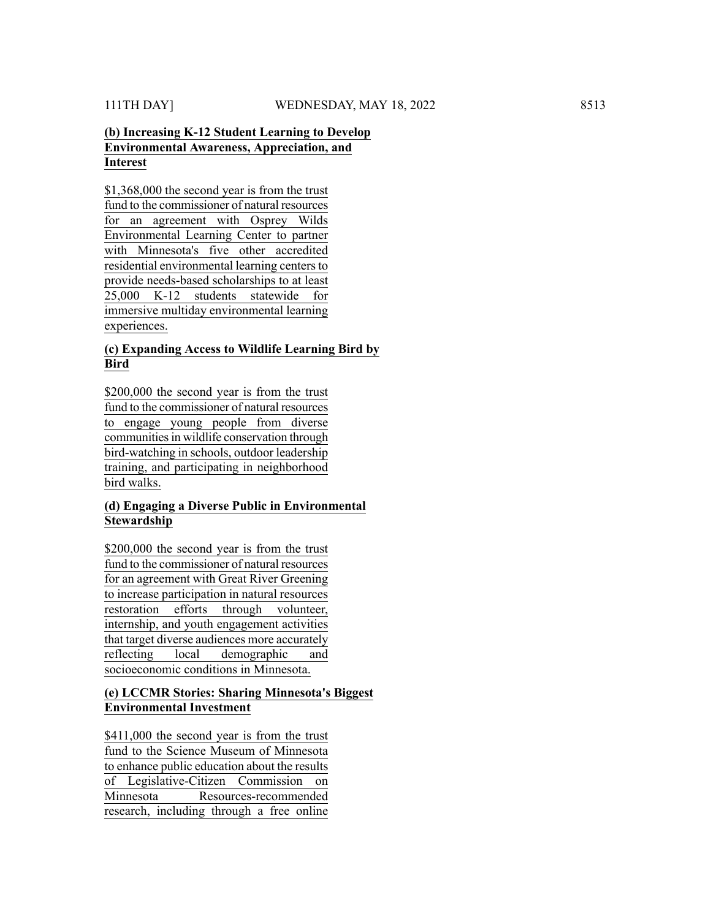# **(b) Increasing K-12 Student Learning to Develop Environmental Awareness, Appreciation, and Interest**

\$1,368,000 the second year is from the trust fund to the commissioner of natural resources for an agreement with Osprey Wilds Environmental Learning Center to partner with Minnesota's five other accredited residential environmental learning centers to provide needs-based scholarships to at least 25,000 K-12 students statewide for immersive multiday environmental learning experiences.

#### **(c) Expanding Access to Wildlife Learning Bird by Bird**

\$200,000 the second year is from the trust fund to the commissioner of natural resources to engage young people from diverse communities in wildlife conservation through bird-watching in schools, outdoor leadership training, and participating in neighborhood bird walks.

# **(d) Engaging a Diverse Public in Environmental Stewardship**

\$200,000 the second year is from the trust fund to the commissioner of natural resources for an agreement with Great River Greening to increase participation in natural resources restoration efforts through volunteer, internship, and youth engagement activities that target diverse audiences more accurately reflecting local demographic and socioeconomic conditions in Minnesota.

# **(e) LCCMR Stories: Sharing Minnesota's Biggest Environmental Investment**

\$411,000 the second year is from the trust fund to the Science Museum of Minnesota to enhance public education about the results of Legislative-Citizen Commission on Minnesota Resources-recommended research, including through a free online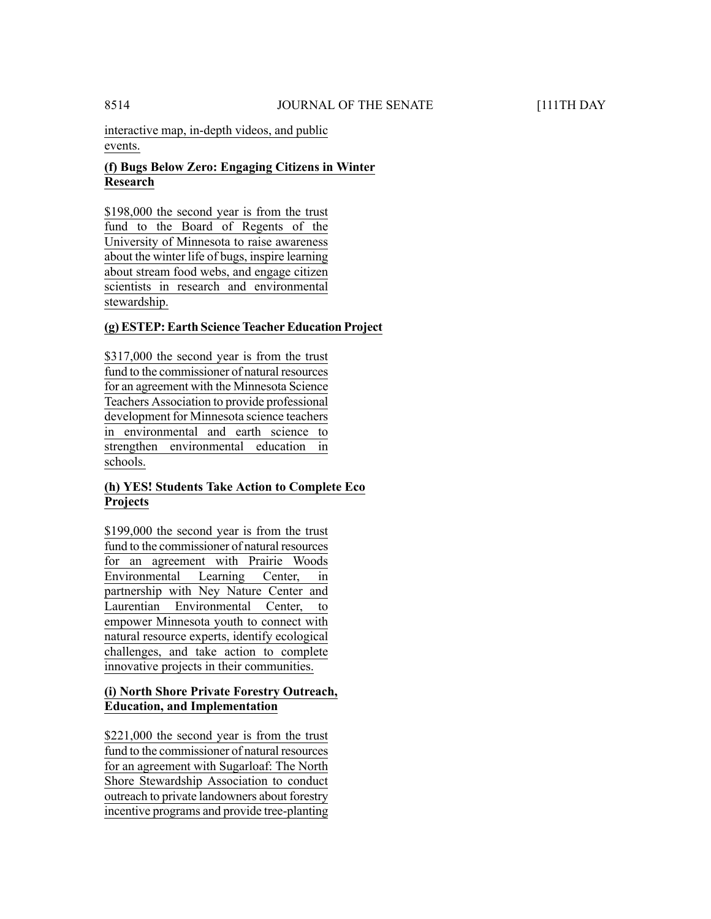interactive map, in-depth videos, and public events.

# **(f) Bugs Below Zero: Engaging Citizens in Winter Research**

\$198,000 the second year is from the trust fund to the Board of Regents of the University of Minnesota to raise awareness about the winter life of bugs, inspire learning about stream food webs, and engage citizen scientists in research and environmental stewardship.

# **(g) ESTEP: Earth Science Teacher Education Project**

\$317,000 the second year is from the trust fund to the commissioner of natural resources for an agreement with the Minnesota Science Teachers Association to provide professional development for Minnesota science teachers in environmental and earth science to strengthen environmental education in schools.

# **(h) YES! Students Take Action to Complete Eco Projects**

\$199,000 the second year is from the trust fund to the commissioner of natural resources for an agreement with Prairie Woods Environmental Learning Center, in partnership with Ney Nature Center and Laurentian Environmental Center, to empower Minnesota youth to connect with natural resource experts, identify ecological challenges, and take action to complete innovative projects in their communities.

# **(i) North Shore Private Forestry Outreach, Education, and Implementation**

\$221,000 the second year is from the trust fund to the commissioner of natural resources for an agreement with Sugarloaf: The North Shore Stewardship Association to conduct outreach to private landowners about forestry incentive programs and provide tree-planting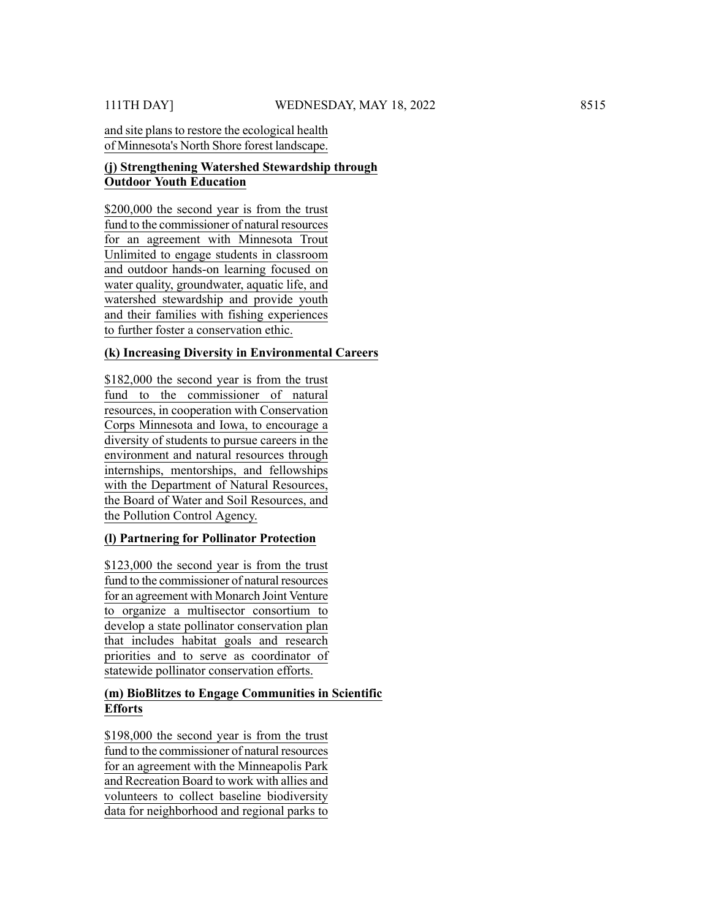# and site plans to restore the ecological health of Minnesota's North Shore forest landscape.

# **(j) Strengthening Watershed Stewardship through Outdoor Youth Education**

\$200,000 the second year is from the trust fund to the commissioner of natural resources for an agreement with Minnesota Trout Unlimited to engage students in classroom and outdoor hands-on learning focused on water quality, groundwater, aquatic life, and watershed stewardship and provide youth and their families with fishing experiences to further foster a conservation ethic.

# **(k) Increasing Diversity in Environmental Careers**

\$182,000 the second year is from the trust fund to the commissioner of natural resources, in cooperation with Conservation Corps Minnesota and Iowa, to encourage a diversity of students to pursue careers in the environment and natural resources through internships, mentorships, and fellowships with the Department of Natural Resources, the Board of Water and Soil Resources, and the Pollution Control Agency.

# **(l) Partnering for Pollinator Protection**

\$123,000 the second year is from the trust fund to the commissioner of natural resources for an agreement with Monarch Joint Venture to organize a multisector consortium to develop a state pollinator conservation plan that includes habitat goals and research priorities and to serve as coordinator of statewide pollinator conservation efforts.

# **(m) BioBlitzes to Engage Communities in Scientific Efforts**

\$198,000 the second year is from the trust fund to the commissioner of natural resources for an agreement with the Minneapolis Park and Recreation Board to work with allies and volunteers to collect baseline biodiversity data for neighborhood and regional parks to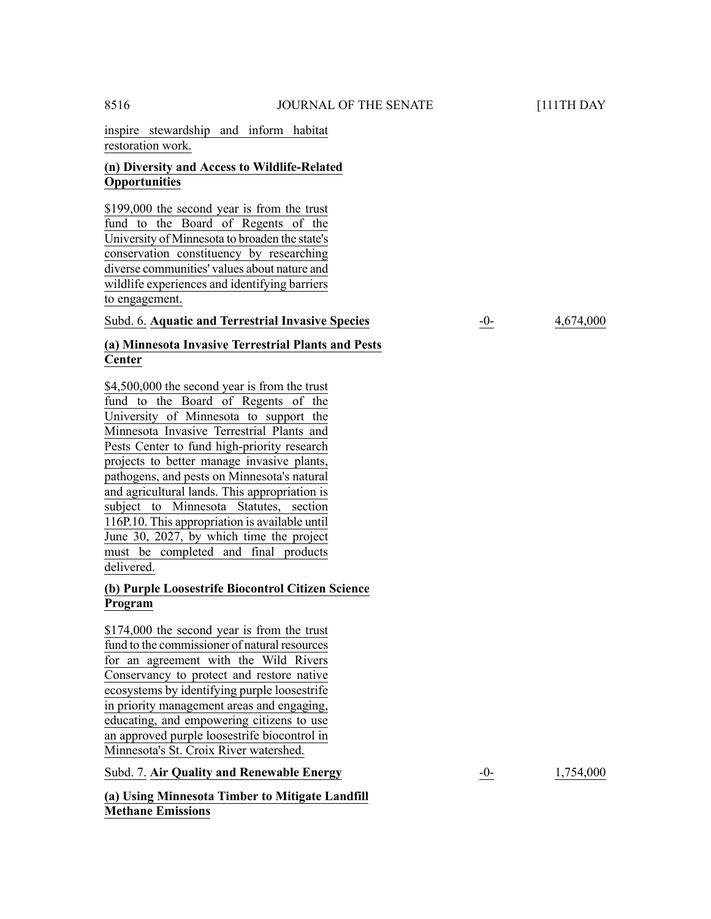inspire stewardship and inform habitat restoration work.

# **(n) Diversity and Access to Wildlife-Related Opportunities**

\$199,000 the second year is from the trust fund to the Board of Regents of the University of Minnesota to broaden the state's conservation constituency by researching diverse communities' values about nature and wildlife experiences and identifying barriers to engagement.

#### Subd. 6. **Aquatic and Terrestrial Invasive Species** -0- 4,674,000

# **(a) Minnesota Invasive Terrestrial Plants and Pests Center**

\$4,500,000 the second year is from the trust fund to the Board of Regents of the University of Minnesota to support the Minnesota Invasive Terrestrial Plants and Pests Center to fund high-priority research projects to better manage invasive plants, pathogens, and pests on Minnesota's natural and agricultural lands. This appropriation is subject to Minnesota Statutes, section 116P.10. This appropriation is available until June 30, 2027, by which time the project must be completed and final products delivered.

### **(b) Purple Loosestrife Biocontrol Citizen Science Program**

\$174,000 the second year is from the trust fund to the commissioner of natural resources for an agreement with the Wild Rivers Conservancy to protect and restore native ecosystems by identifying purple loosestrife in priority management areas and engaging, educating, and empowering citizens to use an approved purple loosestrife biocontrol in Minnesota's St. Croix River watershed.

Subd. 7. **Air Quality and Renewable Energy** -0- 1,754,000

**(a) Using Minnesota Timber to Mitigate Landfill Methane Emissions**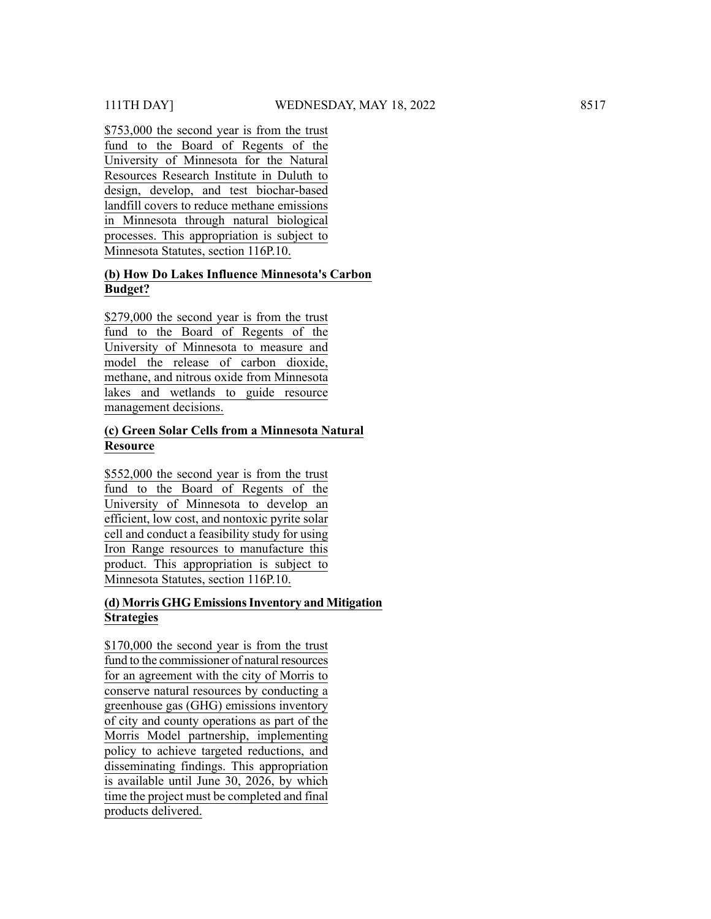\$753,000 the second year is from the trust fund to the Board of Regents of the University of Minnesota for the Natural Resources Research Institute in Duluth to design, develop, and test biochar-based landfill covers to reduce methane emissions in Minnesota through natural biological processes. This appropriation is subject to Minnesota Statutes, section 116P.10.

# **(b) How Do Lakes Influence Minnesota's Carbon Budget?**

\$279,000 the second year is from the trust fund to the Board of Regents of the University of Minnesota to measure and model the release of carbon dioxide, methane, and nitrous oxide from Minnesota lakes and wetlands to guide resource management decisions.

#### **(c) Green Solar Cells from a Minnesota Natural Resource**

\$552,000 the second year is from the trust fund to the Board of Regents of the University of Minnesota to develop an efficient, low cost, and nontoxic pyrite solar cell and conduct a feasibility study for using Iron Range resources to manufacture this product. This appropriation is subject to Minnesota Statutes, section 116P.10.

# **(d) Morris GHG EmissionsInventory and Mitigation Strategies**

\$170,000 the second year is from the trust fund to the commissioner of natural resources for an agreement with the city of Morris to conserve natural resources by conducting a greenhouse gas (GHG) emissions inventory of city and county operations as part of the Morris Model partnership, implementing policy to achieve targeted reductions, and disseminating findings. This appropriation is available until June 30, 2026, by which time the project must be completed and final 111TH DAY1<br>
111TH DAY1<br>
111TH DAY1<br>
111TH DAY<br>
<u>Group to the Bound of the Statume of</u> the Hust<br>
<u>Interactivered Recentral Institutere in Day of the Boundary of Minnesota for the Statume<br>
Elementary of Minnesota Recentral I</u>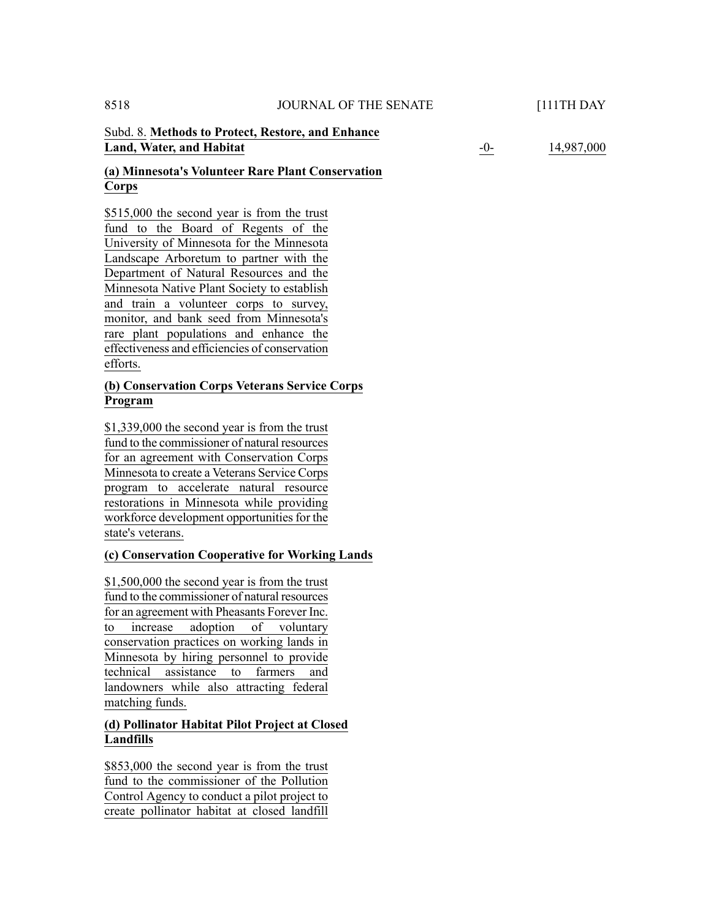### Subd. 8. **Methods to Protect, Restore, and Enhance Land, Water, and Habitat**

-0- 14,987,000

# **(a) Minnesota's Volunteer Rare Plant Conservation Corps**

\$515,000 the second year is from the trust fund to the Board of Regents of the University of Minnesota for the Minnesota Landscape Arboretum to partner with the Department of Natural Resources and the Minnesota Native Plant Society to establish and train a volunteer corps to survey, monitor, and bank seed from Minnesota's rare plant populations and enhance the effectiveness and efficiencies of conservation efforts.

# **(b) Conservation Corps Veterans Service Corps Program**

\$1,339,000 the second year is from the trust fund to the commissioner of natural resources for an agreement with Conservation Corps Minnesota to create a Veterans Service Corps program to accelerate natural resource restorations in Minnesota while providing workforce development opportunities for the state's veterans.

# **(c) Conservation Cooperative for Working Lands**

\$1,500,000 the second year is from the trust fund to the commissioner of natural resources for an agreement with Pheasants Forever Inc. to increase adoption of voluntary conservation practices on working lands in Minnesota by hiring personnel to provide technical assistance to farmers and landowners while also attracting federal matching funds.

# **(d) Pollinator Habitat Pilot Project at Closed Landfills**

\$853,000 the second year is from the trust fund to the commissioner of the Pollution Control Agency to conduct a pilot project to create pollinator habitat at closed landfill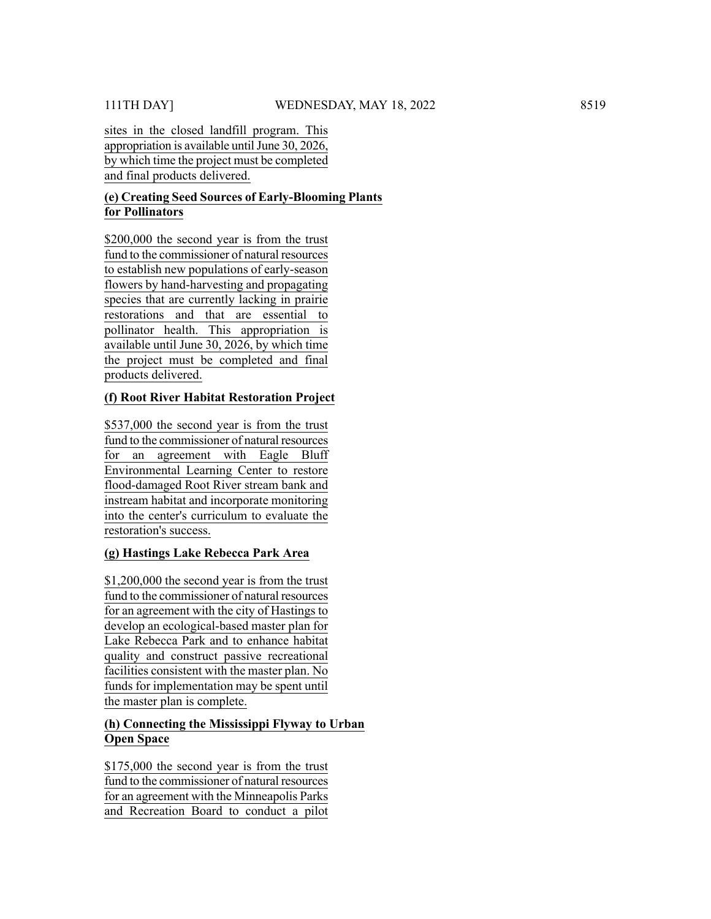sites in the closed landfill program. This appropriation is available until June 30, 2026, by which time the project must be completed and final products delivered.

### **(e) Creating Seed Sources of Early-Blooming Plants for Pollinators**

\$200,000 the second year is from the trust fund to the commissioner of natural resources to establish new populations of early-season flowers by hand-harvesting and propagating species that are currently lacking in prairie restorations and that are essential to pollinator health. This appropriation is available until June 30, 2026, by which time the project must be completed and final products delivered.

#### **(f) Root River Habitat Restoration Project**

\$537,000 the second year is from the trust fund to the commissioner of natural resources for an agreement with Eagle Bluff Environmental Learning Center to restore flood-damaged Root River stream bank and instream habitat and incorporate monitoring into the center's curriculum to evaluate the restoration's success.

# **(g) Hastings Lake Rebecca Park Area**

\$1,200,000 the second year is from the trust fund to the commissioner of natural resources for an agreement with the city of Hastings to develop an ecological-based master plan for Lake Rebecca Park and to enhance habitat quality and construct passive recreational facilities consistent with the master plan. No funds for implementation may be spent until the master plan is complete.

# **(h) Connecting the Mississippi Flyway to Urban Open Space**

\$175,000 the second year is from the trust fund to the commissioner of natural resources for an agreement with the Minneapolis Parks and Recreation Board to conduct a pilot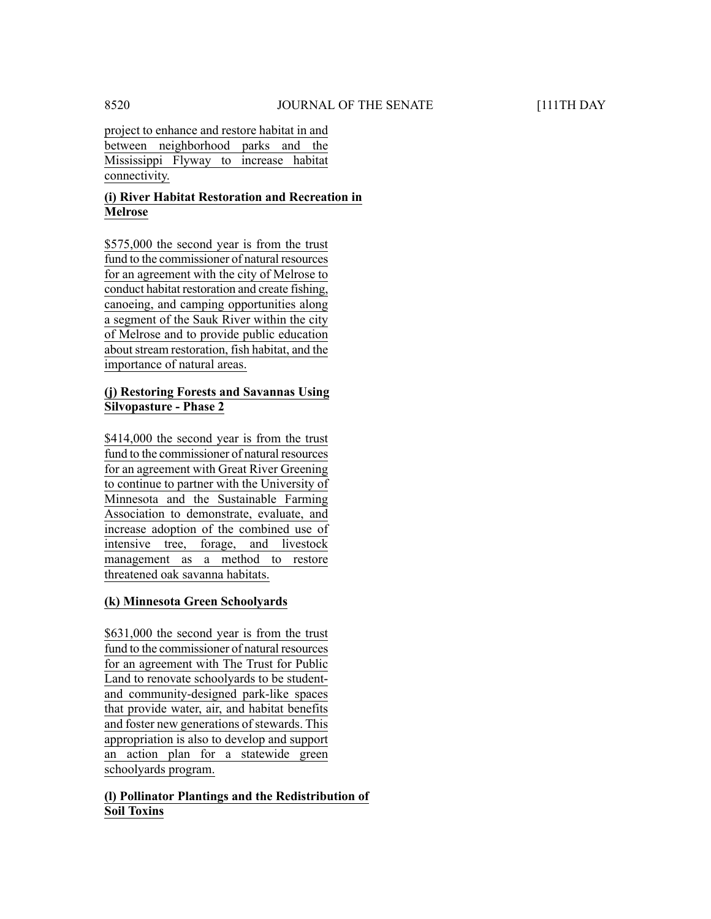project to enhance and restore habitat in and between neighborhood parks and the Mississippi Flyway to increase habitat connectivity.

# **(i) River Habitat Restoration and Recreation in Melrose**

\$575,000 the second year is from the trust fund to the commissioner of natural resources for an agreement with the city of Melrose to conduct habitat restoration and create fishing, canoeing, and camping opportunities along a segment of the Sauk River within the city of Melrose and to provide public education about stream restoration, fish habitat, and the importance of natural areas.

# **(j) Restoring Forests and Savannas Using Silvopasture - Phase 2**

\$414,000 the second year is from the trust fund to the commissioner of natural resources for an agreement with Great River Greening to continue to partner with the University of Minnesota and the Sustainable Farming Association to demonstrate, evaluate, and increase adoption of the combined use of intensive tree, forage, and livestock management as a method to restore threatened oak savanna habitats.

# **(k) Minnesota Green Schoolyards**

\$631,000 the second year is from the trust fund to the commissioner of natural resources for an agreement with The Trust for Public Land to renovate schoolyards to be student and community-designed park-like spaces that provide water, air, and habitat benefits and foster new generations of stewards. This appropriation is also to develop and support an action plan for a statewide green schoolyards program.

# **(l) Pollinator Plantings and the Redistribution of Soil Toxins**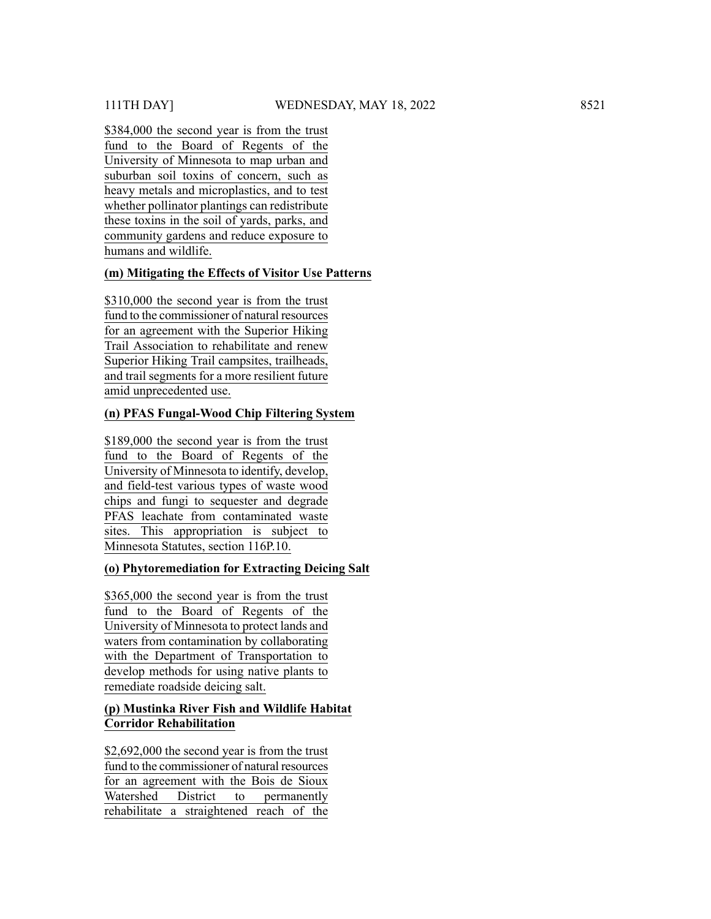\$384,000 the second year is from the trust fund to the Board of Regents of the University of Minnesota to map urban and suburban soil toxins of concern, such as heavy metals and microplastics, and to test whether pollinator plantings can redistribute these toxins in the soil of yards, parks, and community gardens and reduce exposure to humans and wildlife.

# **(m) Mitigating the Effects of Visitor Use Patterns**

\$310,000 the second year is from the trust fund to the commissioner of natural resources for an agreement with the Superior Hiking Trail Association to rehabilitate and renew Superior Hiking Trail campsites, trailheads, and trail segments for a more resilient future amid unprecedented use.

# **(n) PFAS Fungal-Wood Chip Filtering System**

\$189,000 the second year is from the trust fund to the Board of Regents of the University of Minnesota to identify, develop, and field-test various types of waste wood chips and fungi to sequester and degrade PFAS leachate from contaminated waste sites. This appropriation is subject to Minnesota Statutes, section 116P.10.

# **(o) Phytoremediation for Extracting Deicing Salt**

\$365,000 the second year is from the trust fund to the Board of Regents of the University of Minnesota to protect lands and waters from contamination by collaborating with the Department of Transportation to develop methods for using native plants to remediate roadside deicing salt.

# **(p) Mustinka River Fish and Wildlife Habitat Corridor Rehabilitation**

\$2,692,000 the second year is from the trust fund to the commissioner of natural resources for an agreement with the Bois de Sioux Watershed District to permanently rehabilitate a straightened reach of the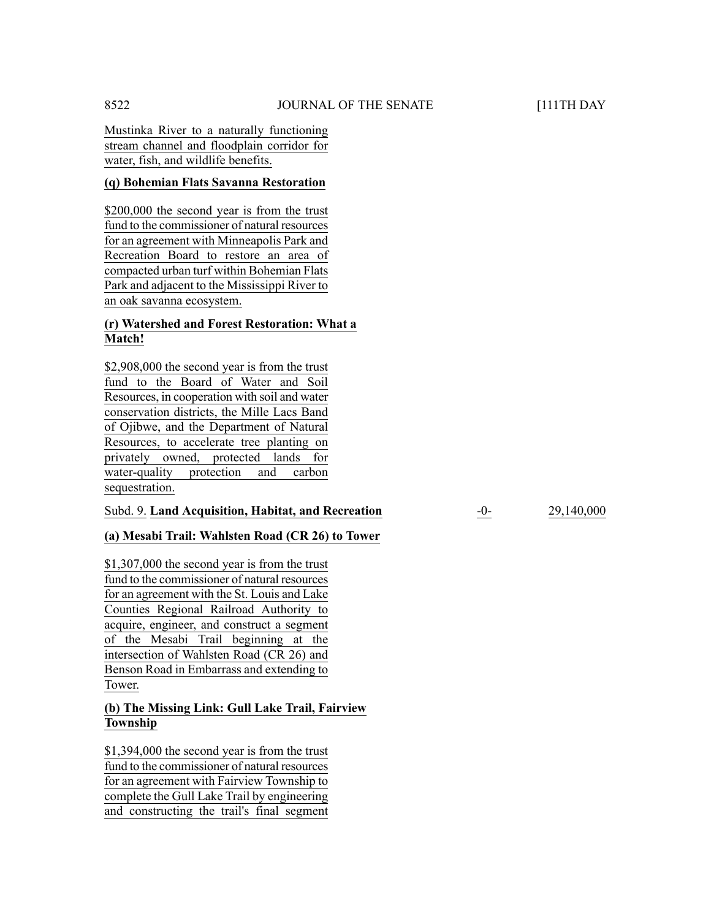Mustinka River to a naturally functioning stream channel and floodplain corridor for water, fish, and wildlife benefits.

#### **(q) Bohemian Flats Savanna Restoration**

\$200,000 the second year is from the trust fund to the commissioner of natural resources for an agreement with Minneapolis Park and Recreation Board to restore an area of compacted urban turf within Bohemian Flats Park and adjacent to the Mississippi River to an oak savanna ecosystem.

# **(r) Watershed and Forest Restoration: What a Match!**

\$2,908,000 the second year is from the trust fund to the Board of Water and Soil Resources, in cooperation with soil and water conservation districts, the Mille Lacs Band of Ojibwe, and the Department of Natural Resources, to accelerate tree planting on privately owned, protected lands for water-quality protection and carbon sequestration.

#### Subd. 9. **Land Acquisition, Habitat, and Recreation** -0- 29,140,000

# **(a) Mesabi Trail: Wahlsten Road (CR 26) to Tower**

\$1,307,000 the second year is from the trust fund to the commissioner of natural resources for an agreement with the St. Louis and Lake Counties Regional Railroad Authority to acquire, engineer, and construct a segment of the Mesabi Trail beginning at the intersection of Wahlsten Road (CR 26) and Benson Road in Embarrass and extending to Tower.

# **(b) The Missing Link: Gull Lake Trail, Fairview Township**

\$1,394,000 the second year is from the trust fund to the commissioner of natural resources for an agreement with Fairview Township to complete the Gull Lake Trail by engineering and constructing the trail's final segment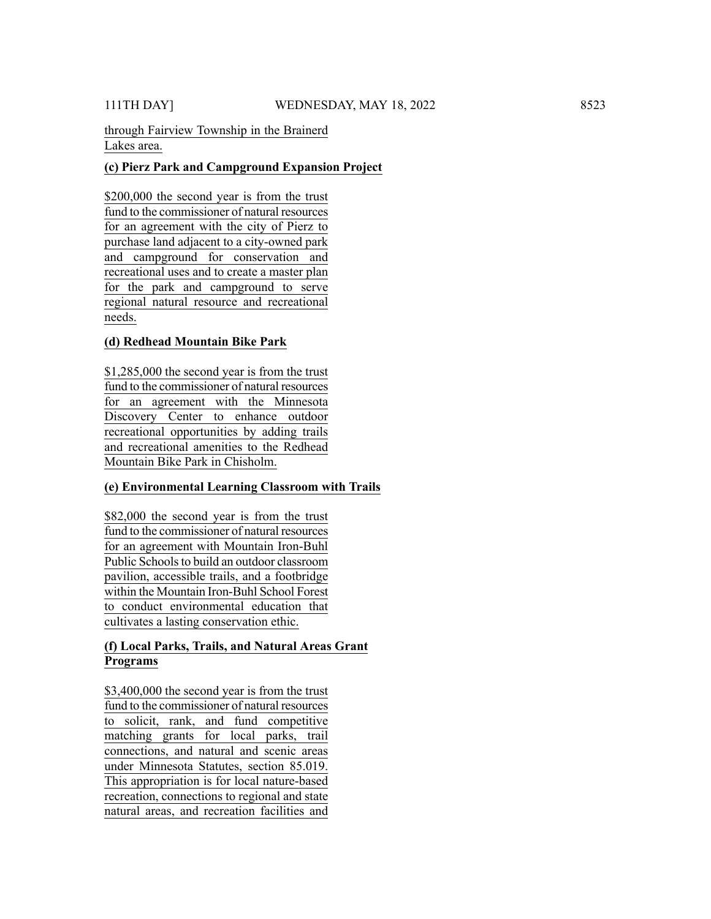through Fairview Township in the Brainerd Lakes area.

# **(c) Pierz Park and Campground Expansion Project**

\$200,000 the second year is from the trust fund to the commissioner of natural resources for an agreement with the city of Pierz to purchase land adjacent to a city-owned park and campground for conservation and recreational uses and to create a master plan for the park and campground to serve regional natural resource and recreational needs.

# **(d) Redhead Mountain Bike Park**

\$1,285,000 the second year is from the trust fund to the commissioner of natural resources for an agreement with the Minnesota Discovery Center to enhance outdoor recreational opportunities by adding trails and recreational amenities to the Redhead Mountain Bike Park in Chisholm.

# **(e) Environmental Learning Classroom with Trails**

\$82,000 the second year is from the trust fund to the commissioner of natural resources for an agreement with Mountain Iron-Buhl Public Schools to build an outdoor classroom pavilion, accessible trails, and a footbridge within the Mountain Iron-Buhl School Forest to conduct environmental education that cultivates a lasting conservation ethic.

# **(f) Local Parks, Trails, and Natural Areas Grant Programs**

\$3,400,000 the second year is from the trust fund to the commissioner of natural resources to solicit, rank, and fund competitive matching grants for local parks, trail connections, and natural and scenic areas under Minnesota Statutes, section 85.019. This appropriation is for local nature-based recreation, connections to regional and state natural areas, and recreation facilities and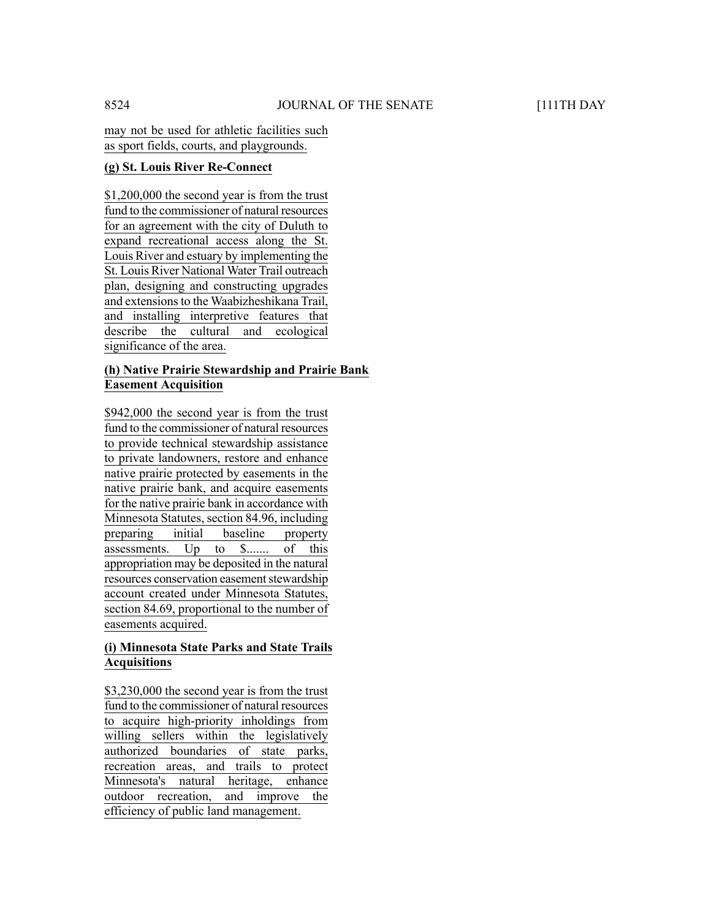may not be used for athletic facilities such as sport fields, courts, and playgrounds.

# **(g) St. Louis River Re-Connect**

\$1,200,000 the second year is from the trust fund to the commissioner of natural resources for an agreement with the city of Duluth to expand recreational access along the St. Louis River and estuary by implementing the St. Louis River National Water Trail outreach plan, designing and constructing upgrades and extensions to the Waabizheshikana Trail, and installing interpretive features that describe the cultural and ecological significance of the area.

# **(h) Native Prairie Stewardship and Prairie Bank Easement Acquisition**

\$942,000 the second year is from the trust fund to the commissioner of natural resources to provide technical stewardship assistance to private landowners, restore and enhance native prairie protected by easements in the native prairie bank, and acquire easements for the native prairie bank in accordance with Minnesota Statutes, section 84.96, including preparing initial baseline property assessments. Up to \$....... of this appropriation may be deposited in the natural resources conservation easement stewardship account created under Minnesota Statutes, section 84.69, proportional to the number of easements acquired.

# **(i) Minnesota State Parks and State Trails Acquisitions**

\$3,230,000 the second year is from the trust fund to the commissioner of natural resources to acquire high-priority inholdings from willing sellers within the legislatively authorized boundaries of state parks, recreation areas, and trails to protect Minnesota's natural heritage, enhance outdoor recreation, and improve the efficiency of public land management.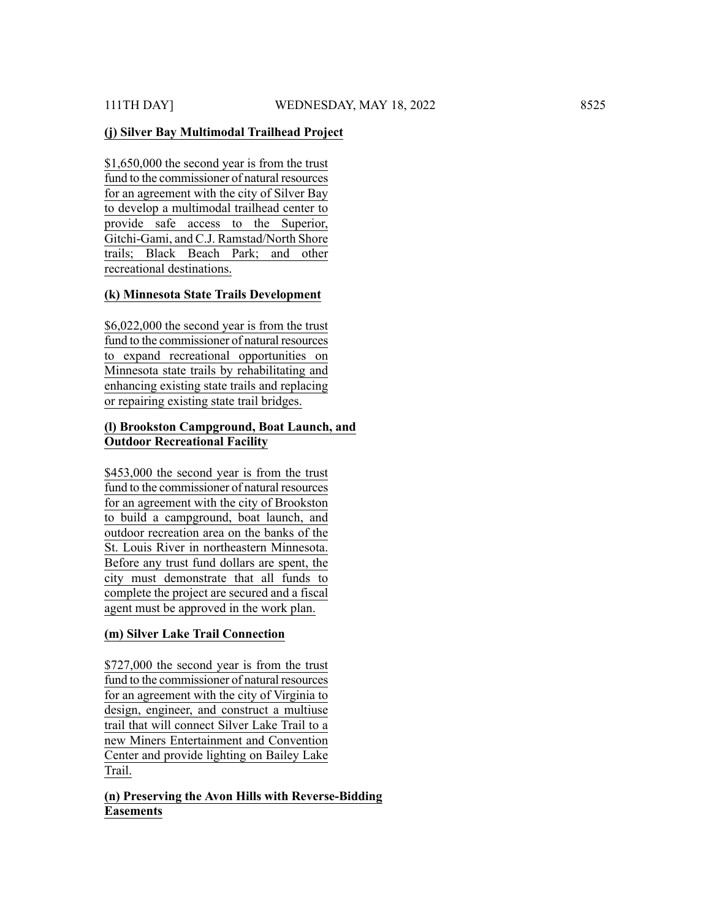#### **(j) Silver Bay Multimodal Trailhead Project**

\$1,650,000 the second year is from the trust fund to the commissioner of natural resources for an agreement with the city of Silver Bay to develop a multimodal trailhead center to provide safe access to the Superior, Gitchi-Gami, and C.J. Ramstad/North Shore trails; Black Beach Park; and other recreational destinations.

#### **(k) Minnesota State Trails Development**

\$6,022,000 the second year is from the trust fund to the commissioner of natural resources to expand recreational opportunities on Minnesota state trails by rehabilitating and enhancing existing state trails and replacing or repairing existing state trail bridges.

#### **(l) Brookston Campground, Boat Launch, and Outdoor Recreational Facility**

\$453,000 the second year is from the trust fund to the commissioner of natural resources for an agreement with the city of Brookston to build a campground, boat launch, and outdoor recreation area on the banks of the St. Louis River in northeastern Minnesota. Before any trust fund dollars are spent, the city must demonstrate that all funds to complete the project are secured and a fiscal agent must be approved in the work plan.

#### **(m) Silver Lake Trail Connection**

\$727,000 the second year is from the trust fund to the commissioner of natural resources for an agreement with the city of Virginia to design, engineer, and construct a multiuse trail that will connect Silver Lake Trail to a new Miners Entertainment and Convention Center and provide lighting on Bailey Lake Trail.

# **(n) Preserving the Avon Hills with Reverse-Bidding Easements**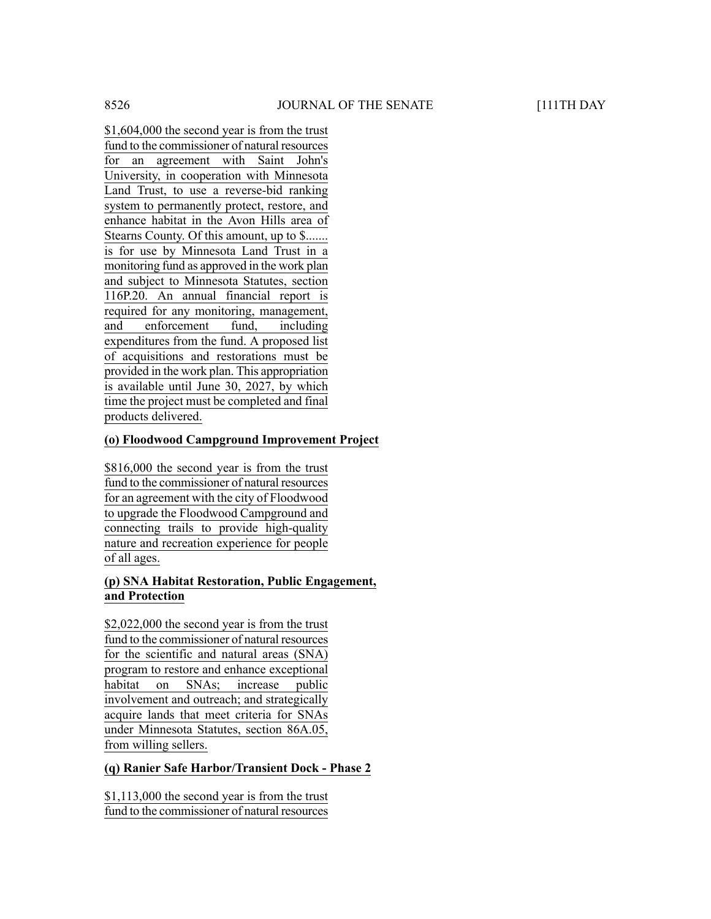\$1,604,000 the second year is from the trust fund to the commissioner of natural resources for an agreement with Saint John's University, in cooperation with Minnesota Land Trust, to use a reverse-bid ranking system to permanently protect, restore, and enhance habitat in the Avon Hills area of Stearns County. Of this amount, up to \$....... is for use by Minnesota Land Trust in a monitoring fund as approved in the work plan and subject to Minnesota Statutes, section 116P.20. An annual financial report is required for any monitoring, management, and enforcement fund, including expenditures from the fund. A proposed list of acquisitions and restorations must be provided in the work plan. This appropriation is available until June 30, 2027, by which time the project must be completed and final products delivered.

# **(o) Floodwood Campground Improvement Project**

\$816,000 the second year is from the trust fund to the commissioner of natural resources for an agreement with the city of Floodwood to upgrade the Floodwood Campground and connecting trails to provide high-quality nature and recreation experience for people of all ages.

#### **(p) SNA Habitat Restoration, Public Engagement, and Protection**

\$2,022,000 the second year is from the trust fund to the commissioner of natural resources for the scientific and natural areas (SNA) program to restore and enhance exceptional habitat on SNAs; increase public involvement and outreach; and strategically acquire lands that meet criteria for SNAs under Minnesota Statutes, section 86A.05, from willing sellers.

# **(q) Ranier Safe Harbor/Transient Dock - Phase 2**

\$1,113,000 the second year is from the trust fund to the commissioner of natural resources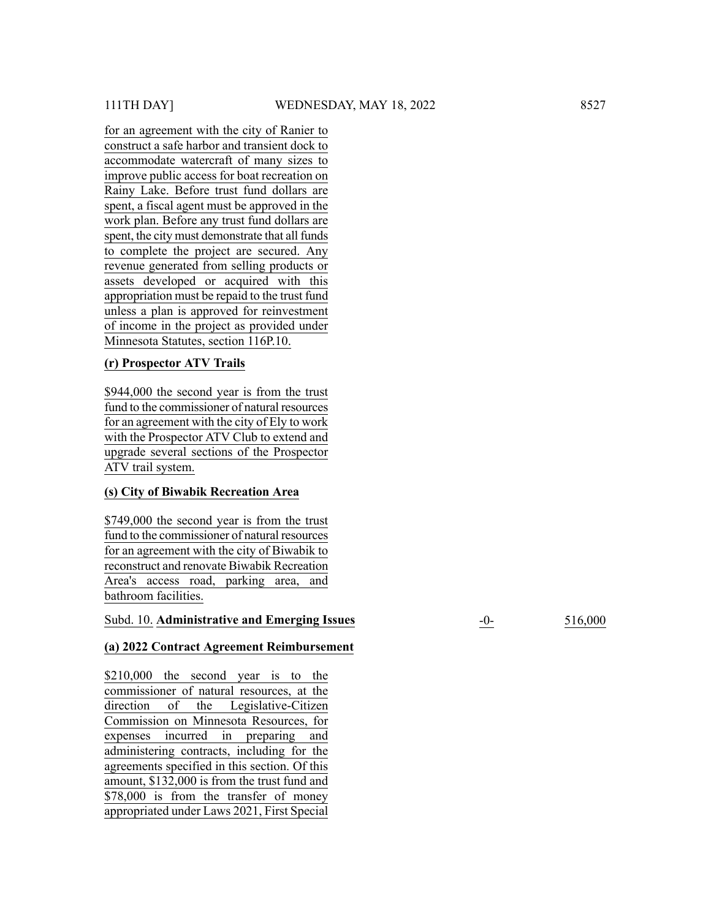for an agreement with the city of Ranier to construct a safe harbor and transient dock to accommodate watercraft of many sizes to improve public access for boat recreation on Rainy Lake. Before trust fund dollars are spent, a fiscal agent must be approved in the work plan. Before any trust fund dollars are spent, the city must demonstrate that all funds to complete the project are secured. Any revenue generated from selling products or assets developed or acquired with this appropriation must be repaid to the trust fund unless a plan is approved for reinvestment of income in the project as provided under Minnesota Statutes, section 116P.10.

# **(r) Prospector ATV Trails**

\$944,000 the second year is from the trust fund to the commissioner of natural resources for an agreement with the city of Ely to work with the Prospector ATV Club to extend and upgrade several sections of the Prospector ATV trail system.

#### **(s) City of Biwabik Recreation Area**

\$749,000 the second year is from the trust fund to the commissioner of natural resources for an agreement with the city of Biwabik to reconstruct and renovate Biwabik Recreation Area's access road, parking area, and bathroom facilities.

#### Subd. 10. **Administrative and Emerging Issues** -0- 516,000

#### **(a) 2022 Contract Agreement Reimbursement**

\$210,000 the second year is to the commissioner of natural resources, at the direction of the Legislative-Citizen Commission on Minnesota Resources, for expenses incurred in preparing and administering contracts, including for the agreements specified in this section. Of this amount, \$132,000 is from the trust fund and \$78,000 is from the transfer of money appropriated under Laws 2021, First Special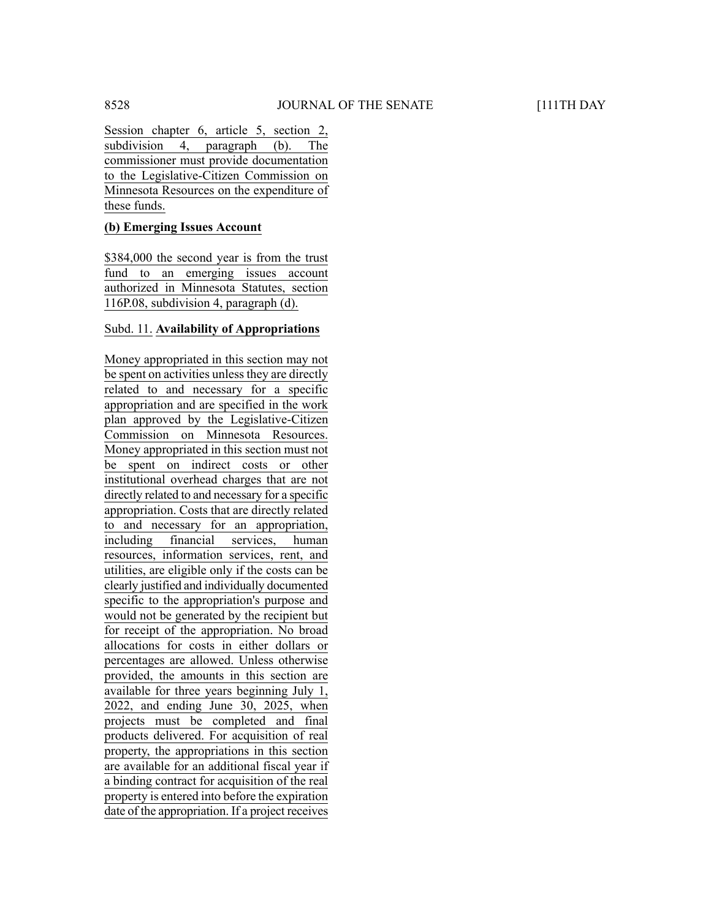Session chapter 6, article 5, section 2, subdivision 4, paragraph (b). The commissioner must provide documentation to the Legislative-Citizen Commission on Minnesota Resources on the expenditure of these funds.

#### **(b) Emerging Issues Account**

\$384,000 the second year is from the trust fund to an emerging issues account authorized in Minnesota Statutes, section 116P.08, subdivision 4, paragraph (d).

#### Subd. 11. **Availability of Appropriations**

Money appropriated in this section may not be spent on activities unless they are directly related to and necessary for a specific appropriation and are specified in the work plan approved by the Legislative-Citizen Commission on Minnesota Resources. Money appropriated in this section must not be spent on indirect costs or other institutional overhead charges that are not directly related to and necessary for a specific appropriation. Costs that are directly related to and necessary for an appropriation, including financial services, human resources, information services, rent, and utilities, are eligible only if the costs can be clearly justified and individually documented specific to the appropriation's purpose and would not be generated by the recipient but for receipt of the appropriation. No broad allocations for costs in either dollars or percentages are allowed. Unless otherwise provided, the amounts in this section are available for three years beginning July 1, 2022, and ending June 30, 2025, when projects must be completed and final products delivered. For acquisition of real property, the appropriations in this section are available for an additional fiscal year if a binding contract for acquisition of the real property is entered into before the expiration date of the appropriation. If a project receives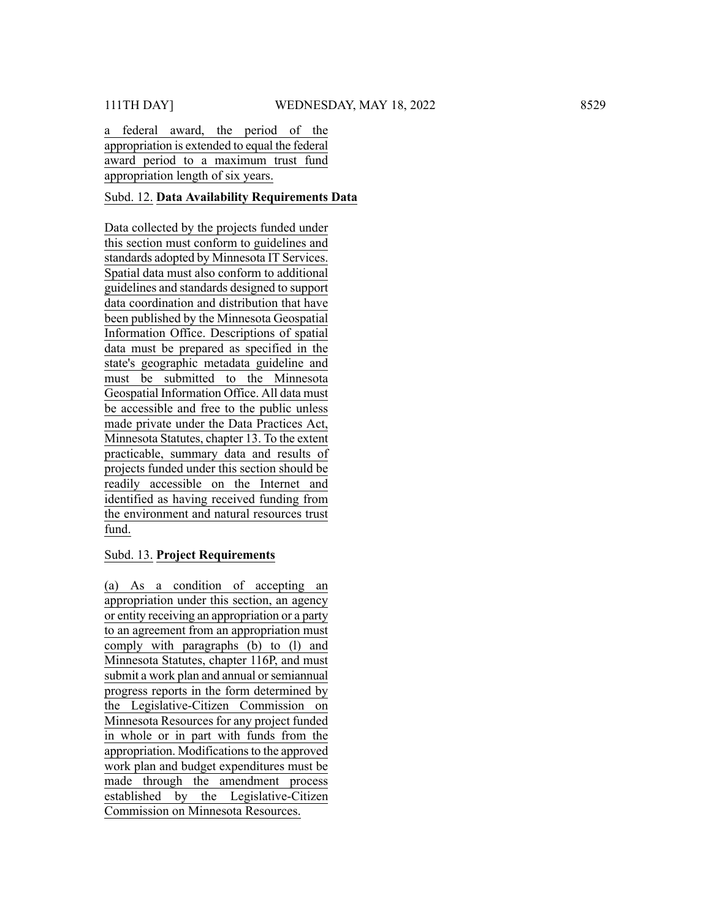a federal award, the period of the appropriation is extended to equal the federal award period to a maximum trust fund appropriation length of six years.

### Subd. 12. **Data Availability Requirements Data**

Data collected by the projects funded under this section must conform to guidelines and standards adopted by Minnesota IT Services. Spatial data must also conform to additional guidelines and standards designed to support data coordination and distribution that have been published by the Minnesota Geospatial Information Office. Descriptions of spatial data must be prepared as specified in the state's geographic metadata guideline and must be submitted to the Minnesota Geospatial Information Office. All data must be accessible and free to the public unless made private under the Data Practices Act, Minnesota Statutes, chapter 13. To the extent practicable, summary data and results of projects funded under this section should be readily accessible on the Internet and identified as having received funding from the environment and natural resources trust fund. 11TH DAY] We are the model of the model of the model of the model of the model of the model of the model of the model of the model of the model of the model of the model of the model of the model of the model of the model

#### Subd. 13. **Project Requirements**

(a) As a condition of accepting an appropriation under this section, an agency or entity receiving an appropriation or a party to an agreement from an appropriation must comply with paragraphs (b) to (l) and Minnesota Statutes, chapter 116P, and must submit a work plan and annual or semiannual progress reports in the form determined by the Legislative-Citizen Commission on Minnesota Resources for any project funded in whole or in part with funds from the appropriation. Modifications to the approved work plan and budget expenditures must be made through the amendment process established by the Legislative-Citizen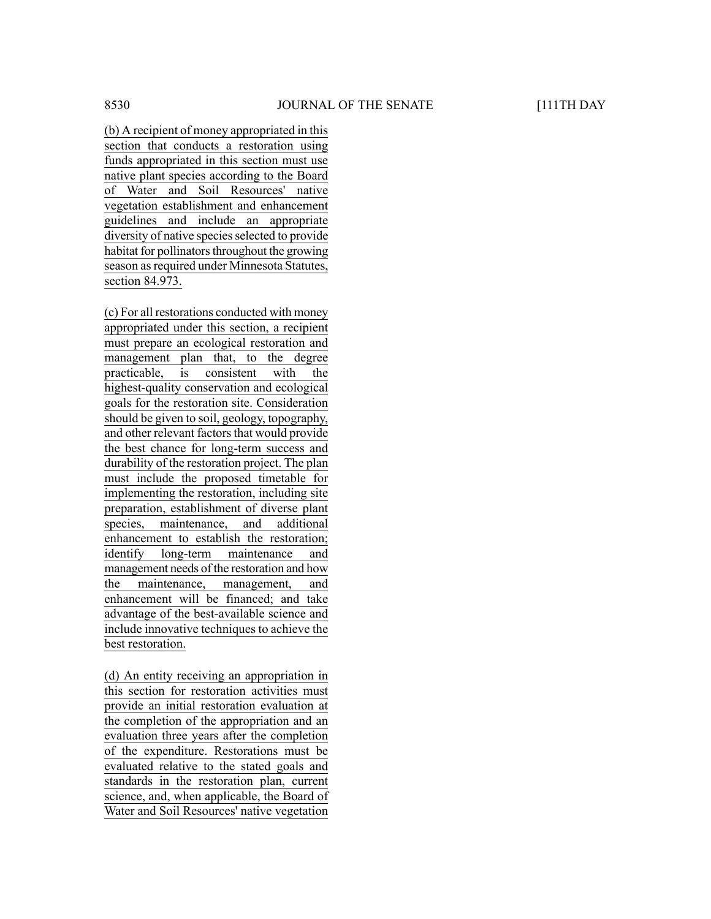(b) A recipient of money appropriated in this section that conducts a restoration using funds appropriated in this section must use native plant species according to the Board of Water and Soil Resources' native vegetation establishment and enhancement guidelines and include an appropriate diversity of native species selected to provide habitat for pollinators throughout the growing season as required under Minnesota Statutes, section 84.973.

(c) For all restorations conducted with money appropriated under this section, a recipient must prepare an ecological restoration and management plan that, to the degree practicable, is consistent with the highest-quality conservation and ecological goals for the restoration site. Consideration should be given to soil, geology, topography, and other relevant factors that would provide the best chance for long-term success and durability of the restoration project. The plan must include the proposed timetable for implementing the restoration, including site preparation, establishment of diverse plant species, maintenance, and additional enhancement to establish the restoration; identify long-term maintenance and management needs of the restoration and how the maintenance, management, and enhancement will be financed; and take advantage of the best-available science and include innovative techniques to achieve the best restoration.

(d) An entity receiving an appropriation in this section for restoration activities must provide an initial restoration evaluation at the completion of the appropriation and an evaluation three years after the completion of the expenditure. Restorations must be evaluated relative to the stated goals and standards in the restoration plan, current science, and, when applicable, the Board of Water and Soil Resources' native vegetation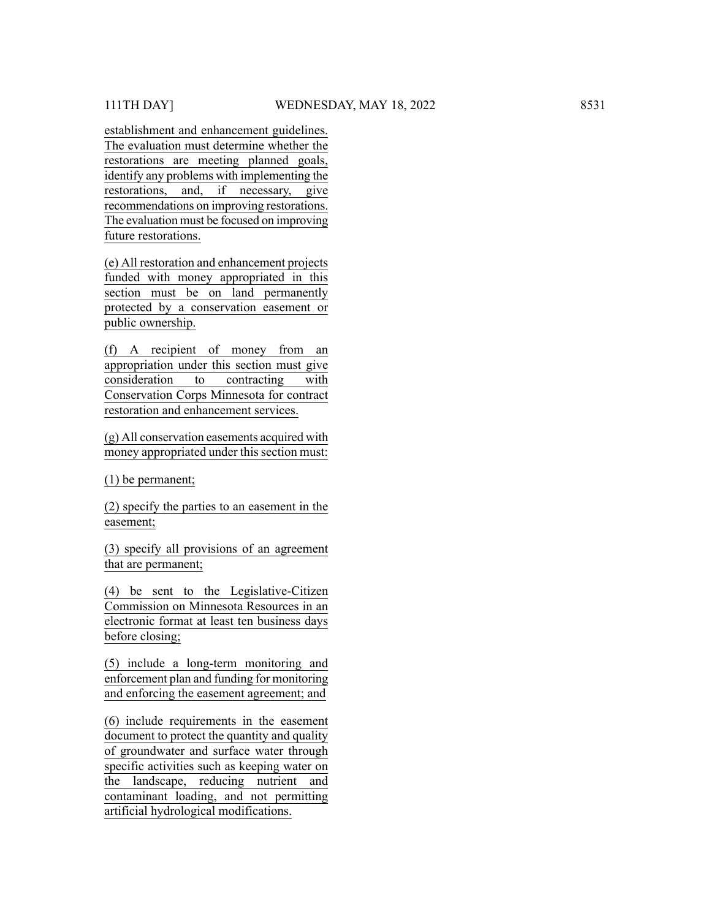establishment and enhancement guidelines. The evaluation must determine whether the restorations are meeting planned goals, identify any problems with implementing the restorations, and, if necessary, give recommendations on improving restorations. The evaluation must be focused on improving future restorations.

(e) All restoration and enhancement projects funded with money appropriated in this section must be on land permanently protected by a conservation easement or public ownership.

(f) A recipient of money from an appropriation under this section must give consideration to contracting with Conservation Corps Minnesota for contract restoration and enhancement services.

(g) All conservation easements acquired with money appropriated under this section must:

(1) be permanent;

(2) specify the parties to an easement in the easement;

(3) specify all provisions of an agreement that are permanent;

(4) be sent to the Legislative-Citizen Commission on Minnesota Resources in an electronic format at least ten business days before closing;

(5) include a long-term monitoring and enforcement plan and funding for monitoring and enforcing the easement agreement; and

(6) include requirements in the easement document to protect the quantity and quality of groundwater and surface water through specific activities such as keeping water on the landscape, reducing nutrient and contaminant loading, and not permitting artificial hydrological modifications.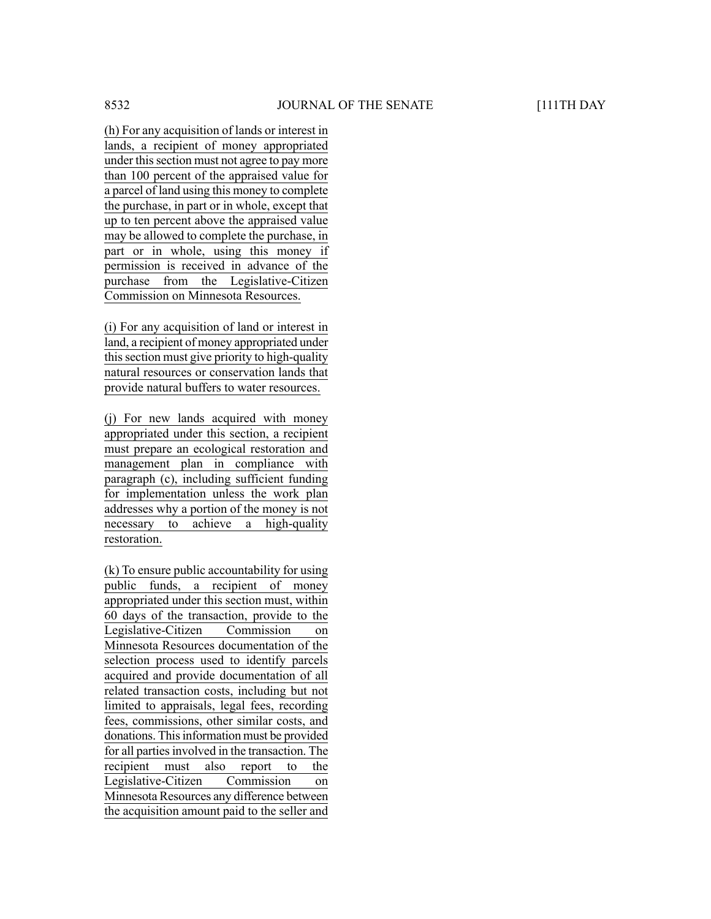(h) For any acquisition of lands or interest in lands, a recipient of money appropriated under this section must not agree to pay more than 100 percent of the appraised value for a parcel of land using this money to complete the purchase, in part or in whole, except that up to ten percent above the appraised value may be allowed to complete the purchase, in part or in whole, using this money if permission is received in advance of the purchase from the Legislative-Citizen Commission on Minnesota Resources.

(i) For any acquisition of land or interest in land, a recipient of money appropriated under this section must give priority to high-quality natural resources or conservation lands that provide natural buffers to water resources.

(j) For new lands acquired with money appropriated under this section, a recipient must prepare an ecological restoration and management plan in compliance with paragraph (c), including sufficient funding for implementation unless the work plan addresses why a portion of the money is not necessary to achieve a high-quality restoration.

(k) To ensure public accountability for using public funds, a recipient of money appropriated under this section must, within 60 days of the transaction, provide to the Legislative-Citizen Commission on Minnesota Resources documentation of the selection process used to identify parcels acquired and provide documentation of all related transaction costs, including but not limited to appraisals, legal fees, recording fees, commissions, other similar costs, and donations. This information must be provided for all parties involved in the transaction. The recipient must also report to the Legislative-Citizen Commission on Minnesota Resources any difference between the acquisition amount paid to the seller and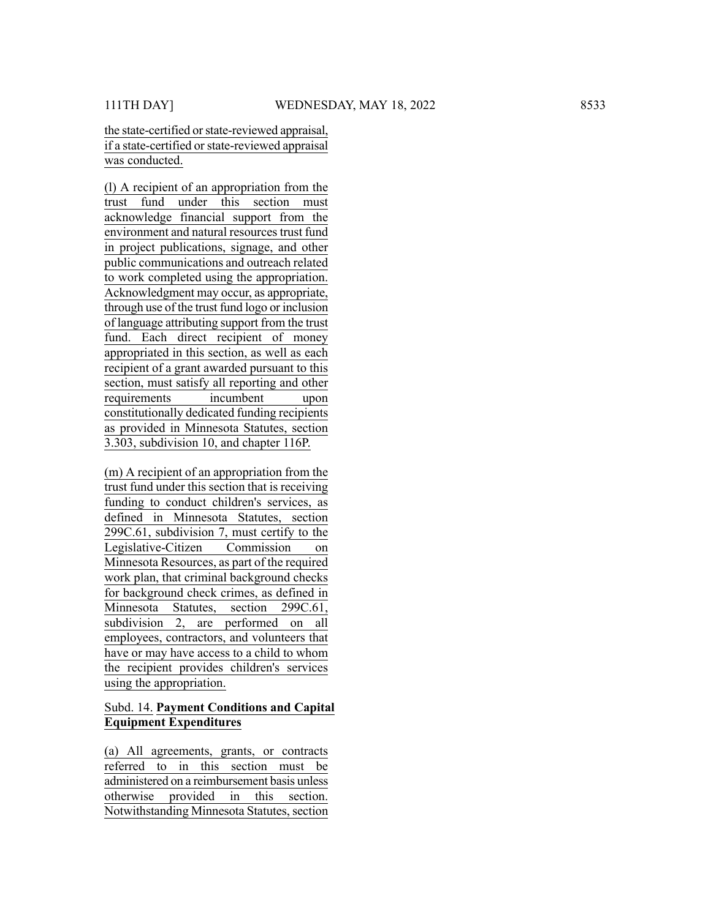the state-certified or state-reviewed appraisal, if a state-certified orstate-reviewed appraisal was conducted.

(l) A recipient of an appropriation from the trust fund under this section must acknowledge financial support from the environment and natural resources trust fund in project publications, signage, and other public communications and outreach related to work completed using the appropriation. Acknowledgment may occur , as appropriate, through use of the trust fund logo or inclusion of language attributing support from the trust fund. Each direct recipient of money appropriated in this section, as well as each recipient of a grant awarded pursuant to this section, must satisfy all reporting and other requirements incumbent upon constitutionally dedicated funding recipients as provided in Minnesota Statutes, section 3.303, subdivision 10, and chapter 116P. 111TH DAY<br>
11 The David of State evolvisor and the main term of the status of the status of the status of the status of the status of the status of the status of the status of the status of the status of the status of the

(m) A recipient of an appropriation from the trust fund under this section that is receiving funding to conduct children's services, as defined in Minnesota Statutes, section 299C.61, subdivision 7, must certify to the Legislative-Citizen Commission on Minnesota Resources, as part of the required work plan, that criminal background checks for background check crimes, as defined in Minnesota Statutes, section 299C.61, subdivision 2, are performed on all employees, contractors, and volunteers that have or may have access to a child to whom the recipient provides children's services using the appropriation.

# Subd. 14. **Payment Conditions and Capital Equipment Expenditures**

(a) All agreements, grants, or contracts referred to in this section must be administered on a reimbursement basis unless otherwise provided in this section.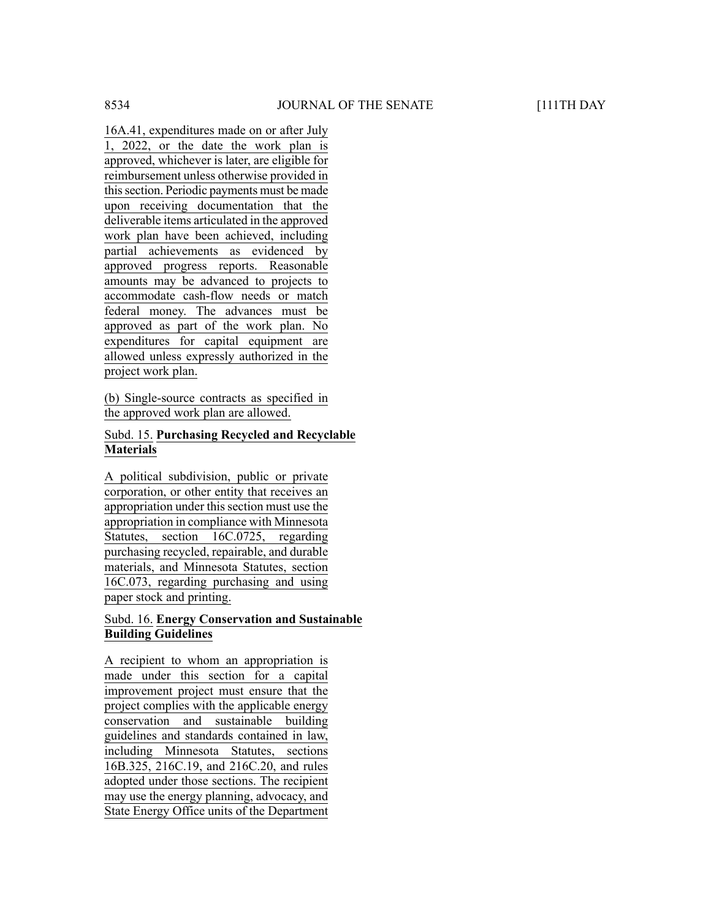16A.41, expenditures made on or after July 1, 2022, or the date the work plan is approved, whichever is later, are eligible for reimbursement unless otherwise provided in this section. Periodic payments must be made upon receiving documentation that the deliverable items articulated in the approved work plan have been achieved, including partial achievements as evidenced by approved progress reports. Reasonable amounts may be advanced to projects to accommodate cash-flow needs or match federal money. The advances must be approved as part of the work plan. No expenditures for capital equipment are allowed unless expressly authorized in the project work plan.

(b) Single-source contracts as specified in the approved work plan are allowed.

# Subd. 15. **Purchasing Recycled and Recyclable Materials**

A political subdivision, public or private corporation, or other entity that receives an appropriation under this section must use the appropriation in compliance with Minnesota Statutes, section 16C.0725, regarding purchasing recycled, repairable, and durable materials, and Minnesota Statutes, section 16C.073, regarding purchasing and using paper stock and printing.

#### Subd. 16. **Energy Conservation and Sustainable Building Guidelines**

A recipient to whom an appropriation is made under this section for a capital improvement project must ensure that the project complies with the applicable energy conservation and sustainable building guidelines and standards contained in law, including Minnesota Statutes, sections 16B.325, 216C.19, and 216C.20, and rules adopted under those sections. The recipient may use the energy planning, advocacy, and State Energy Office units of the Department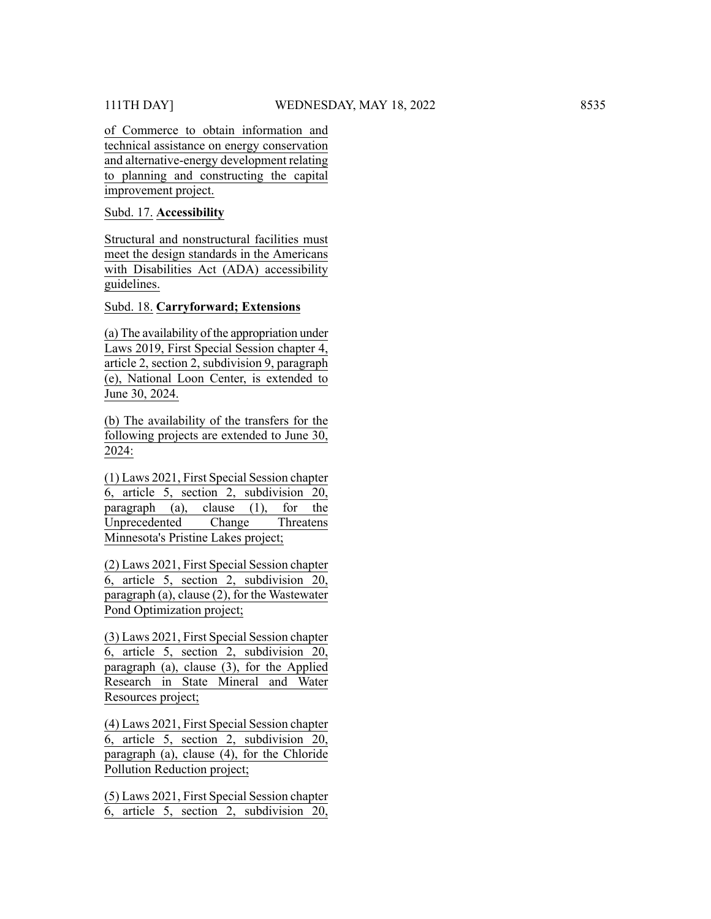of Commerce to obtain information and technical assistance on energy conservation and alternative-energy development relating to planning and constructing the capital improvement project.

Subd. 17. **Accessibility**

Structural and nonstructural facilities must meet the design standards in the Americans with Disabilities Act (ADA) accessibility guidelines.

Subd. 18. **Carryforward; Extensions**

(a) The availability of the appropriation under Laws 2019, First Special Session chapter 4, article 2, section 2, subdivision 9, paragraph (e), National Loon Center, is extended to June 30, 2024.

(b) The availability of the transfers for the following projects are extended to June 30, 2024:

(1) Laws 2021, First Special Session chapter 6, article 5, section 2, subdivision 20, paragraph (a), clause (1), for the Unprecedented Change Threatens Minnesota's Pristine Lakes project;

(2) Laws 2021, First Special Session chapter 6, article 5, section 2, subdivision 20, paragraph (a), clause (2), for the Wastewater Pond Optimization project;

(3) Laws 2021, First Special Session chapter 6, article 5, section 2, subdivision 20, paragraph  $(a)$ , clause  $(3)$ , for the Applied Research in State Mineral and Water Resources project;

(4) Laws 2021, First Special Session chapter 6, article 5, section 2, subdivision 20, paragraph (a), clause (4), for the Chloride Pollution Reduction project;

(5) Laws 2021, First Special Session chapter 6, article 5, section 2, subdivision 20,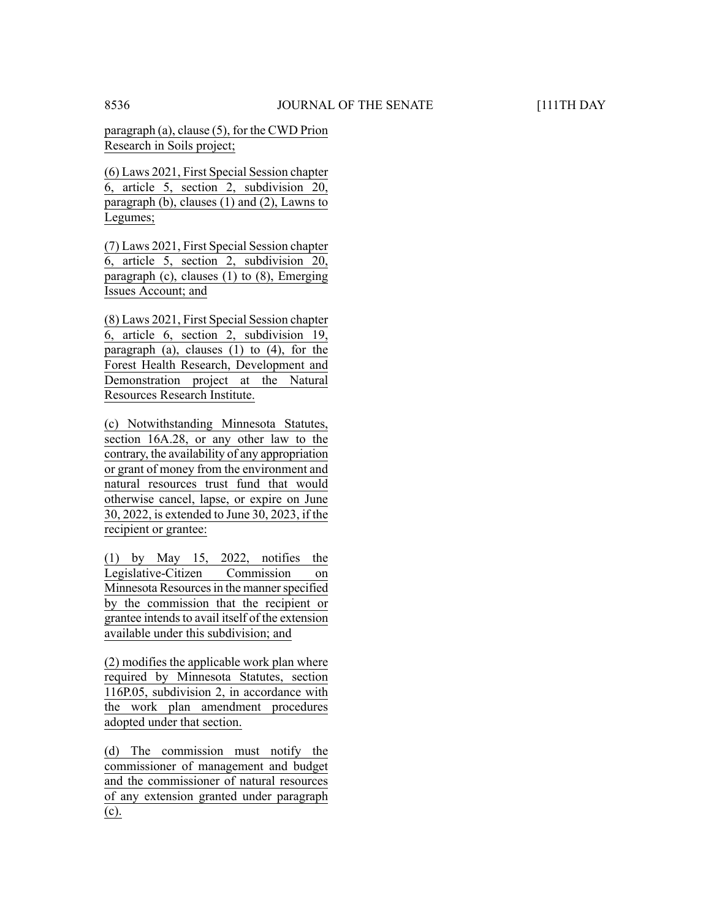paragraph (a), clause (5), for the CWD Prion Research in Soils project;

(6) Laws 2021, First Special Session chapter 6, article 5, section 2, subdivision 20, paragraph (b), clauses (1) and (2), Lawns to Legumes;

(7) Laws 2021, First Special Session chapter 6, article 5, section 2, subdivision 20, paragraph (c), clauses (1) to (8), Emerging Issues Account; and

(8) Laws 2021, First Special Session chapter 6, article 6, section 2, subdivision 19, paragraph (a), clauses (1) to (4), for the Forest Health Research, Development and Demonstration project at the Natural Resources Research Institute.

(c) Notwithstanding Minnesota Statutes, section 16A.28, or any other law to the contrary, the availability of any appropriation or grant of money from the environment and natural resources trust fund that would otherwise cancel, lapse, or expire on June 30, 2022, is extended to June 30, 2023, if the recipient or grantee:

(1) by May 15, 2022, notifies the Legislative-Citizen Commission on Minnesota Resources in the manner specified by the commission that the recipient or grantee intends to avail itself of the extension available under this subdivision; and

(2) modifies the applicable work plan where required by Minnesota Statutes, section 116P.05, subdivision 2, in accordance with the work plan amendment procedures adopted under that section.

(d) The commission must notify the commissioner of management and budget and the commissioner of natural resources of any extension granted under paragraph (c).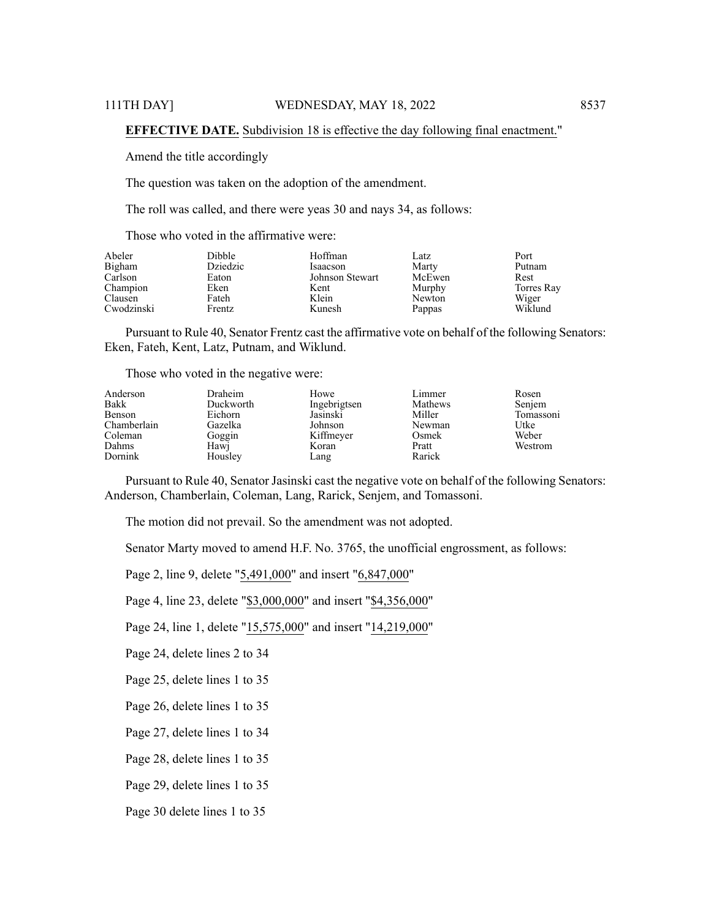#### **EFFECTIVE DATE.** Subdivision 18 is effective the day following final enactment."

Amend the title accordingly

The question was taken on the adoption of the amendment.

The roll was called, and there were yeas 30 and nays 34, as follows:

Those who voted in the affirmative were:

| Abeler<br>Bigham | <b>Dibble</b><br>Dziedzic | Hoffman<br>Isaacson | Latz<br>Marty | Port<br>Putnam |
|------------------|---------------------------|---------------------|---------------|----------------|
| Carlson          | Eaton                     | Johnson Stewart     | McEwen        | Rest           |
| Champion         | Eken                      | Kent                | Murphy        | Torres Ray     |
| Clausen          | Fateh                     | Klein               | Newton        | Wiger          |
| Cwodzinski       | Frentz                    | Kunesh              | Pappas        | Wiklund        |

Pursuant to Rule 40, Senator Frentz cast the affirmative vote on behalf of the following Senators: Eken, Fateh, Kent, Latz, Putnam, and Wiklund.

Those who voted in the negative were:

| Anderson    | Draheim   | Howe         | Limmer  | Rosen     |
|-------------|-----------|--------------|---------|-----------|
| Bakk        | Duckworth | Ingebrigtsen | Mathews | Senjem    |
| Benson      | Eichorn   | Jasinski     | Miller  | Tomassoni |
| Chamberlain | Gazelka   | Johnson      | Newman  | Utke      |
| Coleman     | Goggin    | Kiffmeyer    | Osmek   | Weber     |
| Dahms       | Hawi      | Koran        | Pratt   | Westrom   |
| Dornink     | Housley   | Lang         | Rarick  |           |

Pursuant to Rule 40, Senator Jasinski cast the negative vote on behalf of the following Senators: Anderson, Chamberlain, Coleman, Lang, Rarick, Senjem, and Tomassoni.

The motion did not prevail. So the amendment was not adopted.

Senator Marty moved to amend H.F. No. 3765, the unofficial engrossment, as follows:

Page 2, line 9, delete "5,491,000" and insert "6,847,000"

Page 4, line 23, delete "\$3,000,000" and insert "\$4,356,000"

Page 24, line 1, delete "15,575,000" and insert "14,219,000"

Page 24, delete lines 2 to 34

Page 25, delete lines 1 to 35

Page 26, delete lines 1 to 35

Page 27, delete lines 1 to 34

Page 28, delete lines 1 to 35

Page 29, delete lines 1 to 35

Page 30 delete lines 1 to 35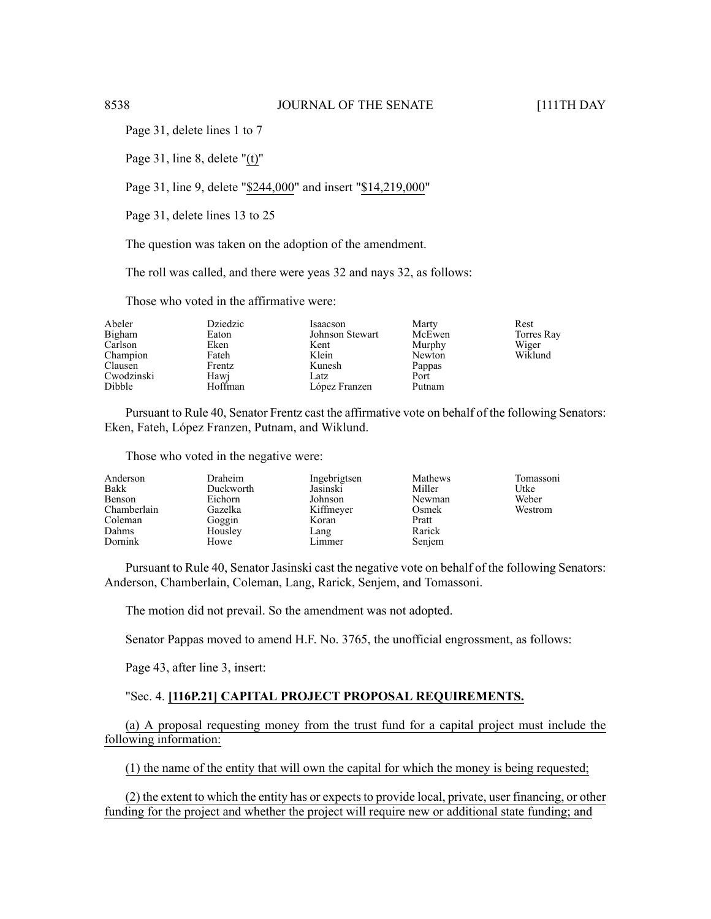Page 31, delete lines 1 to 7

Page 31, line 8, delete "(t)"

Page 31, line 9, delete "\$244,000" and insert "\$14,219,000"

Page 31, delete lines 13 to 25

The question was taken on the adoption of the amendment.

The roll was called, and there were yeas 32 and nays 32, as follows:

Those who voted in the affirmative were:

| Abeler     | Dziedzic | Isaacson        | Marty  | Rest       |
|------------|----------|-----------------|--------|------------|
| Bigham     | Eaton    | Johnson Stewart | McEwen | Torres Ray |
| Carlson    | Eken     | Kent            | Murphy | Wiger      |
| Champion   | Fateh    | Klein           | Newton | Wiklund    |
| Clausen    | Frentz   | Kunesh          | Pappas |            |
| Cwodzinski | Hawi     | Latz            | Port   |            |
| Dibble     | Hoffman  | López Franzen   | Putnam |            |

Pursuant to Rule 40, Senator Frentz cast the affirmative vote on behalf of the following Senators: Eken, Fateh, López Franzen, Putnam, and Wiklund.

Those who voted in the negative were:

| Anderson<br>Bakk | Draheim<br>Duckworth | Ingebrigtsen<br>Jasinski | Mathews<br>Miller | Tomassoni<br>Utke |
|------------------|----------------------|--------------------------|-------------------|-------------------|
| Benson           | Eichorn              | Johnson                  | Newman            | Weber             |
| Chamberlain      | Gazelka              | Kiffmeyer                | Osmek             | Westrom           |
| Coleman          | Goggin               | Koran                    | Pratt             |                   |
| Dahms            | Housley              | Lang                     | Rarick            |                   |
| Dornink          | Howe                 | Limmer                   | Senjem            |                   |

Pursuant to Rule 40, Senator Jasinski cast the negative vote on behalf of the following Senators: Anderson, Chamberlain, Coleman, Lang, Rarick, Senjem, and Tomassoni.

The motion did not prevail. So the amendment was not adopted.

Senator Pappas moved to amend H.F. No. 3765, the unofficial engrossment, as follows:

Page 43, after line 3, insert:

#### "Sec. 4. **[116P.21] CAPITAL PROJECT PROPOSAL REQUIREMENTS.**

(a) A proposal requesting money from the trust fund for a capital project must include the following information:

(1) the name of the entity that will own the capital for which the money is being requested;

(2) the extent to which the entity has or expects to provide local, private, user financing, or other funding for the project and whether the project will require new or additional state funding; and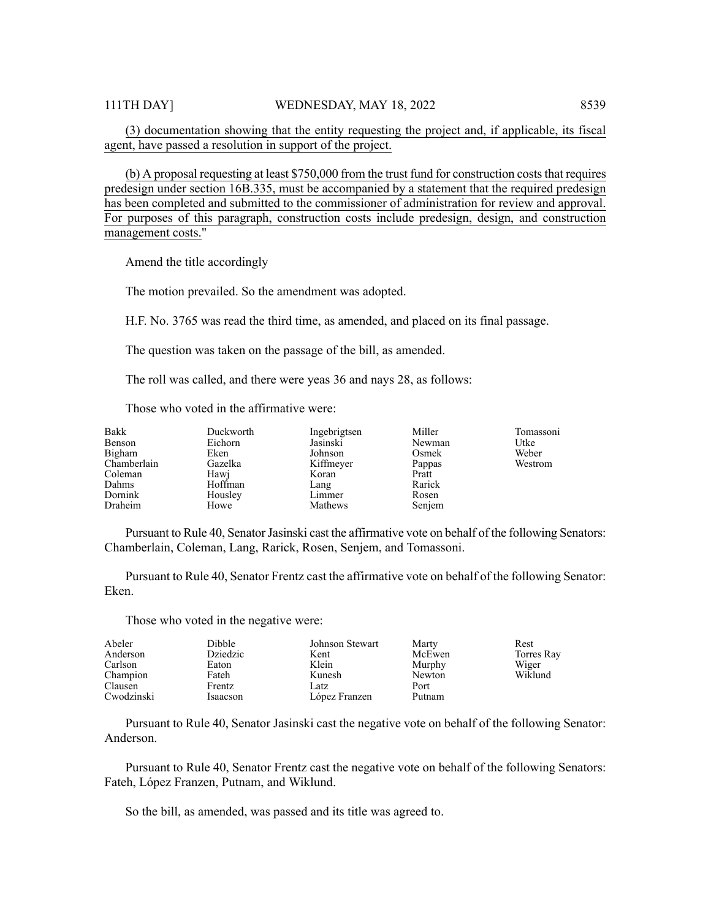(3) documentation showing that the entity requesting the project and, if applicable, its fiscal agent, have passed a resolution in support of the project.

(b) A proposal requesting at least \$750,000 from the trust fund for construction coststhat requires predesign under section 16B.335, must be accompanied by a statement that the required predesign has been completed and submitted to the commissioner of administration for review and approval. For purposes of this paragraph, construction costs include predesign, design, and construction management costs."

Amend the title accordingly

The motion prevailed. So the amendment was adopted.

H.F. No. 3765 was read the third time, as amended, and placed on its final passage.

The question was taken on the passage of the bill, as amended.

The roll was called, and there were yeas 36 and nays 28, as follows:

Those who voted in the affirmative were:

| Bakk<br>Benson<br>Bigham<br>Chamberlain<br>Coleman<br>Dahms<br>Dornink | Duckworth<br>Eichorn<br>Eken<br>Gazelka<br>Hawj<br>Hoffman<br>Housley | Ingebrigtsen<br>Jasinski<br>Johnson<br>Kiffmeyer<br>Koran<br>Lang<br>Limmer | Miller<br>Newman<br>Osmek<br>Pappas<br>Pratt<br>Rarick<br>Rosen | Tomassoni<br>Utke<br>Weber<br>Westrom |
|------------------------------------------------------------------------|-----------------------------------------------------------------------|-----------------------------------------------------------------------------|-----------------------------------------------------------------|---------------------------------------|
| Draheim                                                                | Howe                                                                  | Mathews                                                                     | Senjem                                                          |                                       |

Pursuant to Rule 40, Senator Jasinski cast the affirmative vote on behalf of the following Senators: Chamberlain, Coleman, Lang, Rarick, Rosen, Senjem, and Tomassoni.

Pursuant to Rule 40, Senator Frentz cast the affirmative vote on behalf of the following Senator: Eken.

Those who voted in the negative were:

| Abeler     | <b>Dibble</b> | Johnson Stewart | Marty  | Rest       |
|------------|---------------|-----------------|--------|------------|
| Anderson   | Dziedzic      | Kent            | McEwen | Torres Ray |
| Carlson    | Eaton         | Klein           | Murphy | Wiger      |
| Champion   | Fateh         | Kunesh          | Newton | Wiklund    |
| Clausen    | Frentz        | Latz            | Port   |            |
| Cwodzinski | Isaacson      | López Franzen   | Putnam |            |

Pursuant to Rule 40, Senator Jasinski cast the negative vote on behalf of the following Senator: Anderson.

Pursuant to Rule 40, Senator Frentz cast the negative vote on behalf of the following Senators: Fateh, López Franzen, Putnam, and Wiklund.

So the bill, as amended, was passed and its title was agreed to.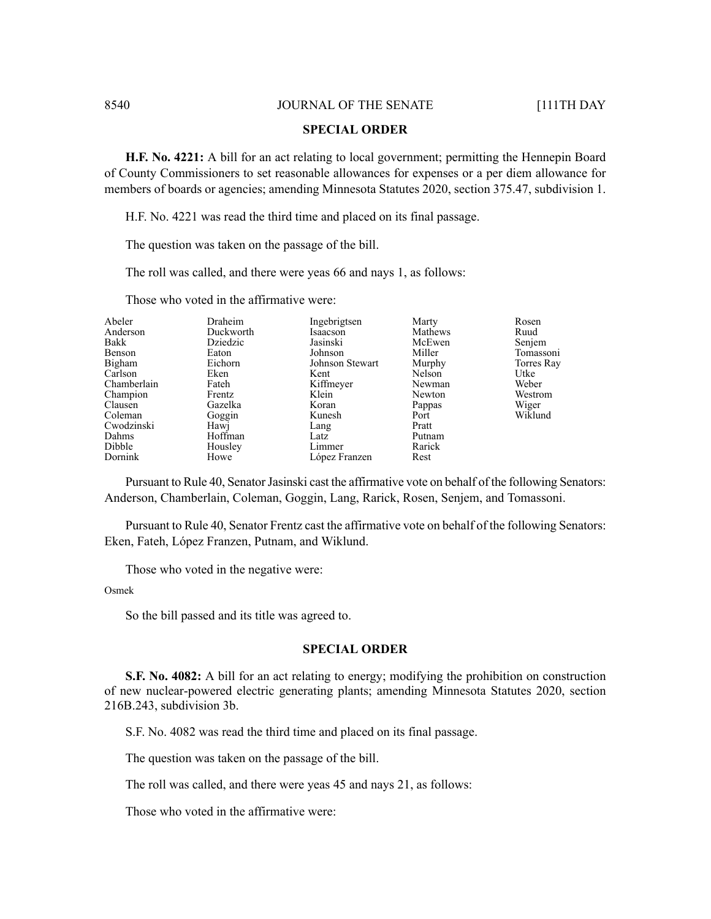#### **SPECIAL ORDER**

**H.F. No. 4221:** A bill for an act relating to local government; permitting the Hennepin Board of County Commissioners to set reasonable allowances for expenses or a per diem allowance for members of boards or agencies; amending Minnesota Statutes 2020, section 375.47, subdivision 1.

H.F. No. 4221 was read the third time and placed on its final passage.

The question was taken on the passage of the bill.

The roll was called, and there were yeas 66 and nays 1, as follows:

Those who voted in the affirmative were:

| Abeler      | Draheim   | Ingebrigtsen    | Marty   | Rosen      |
|-------------|-----------|-----------------|---------|------------|
| Anderson    | Duckworth | Isaacson        | Mathews | Ruud       |
| Bakk        | Dziedzic  | Jasinski        | McEwen  | Senjem     |
| Benson      | Eaton     | Johnson         | Miller  | Tomassoni  |
| Bigham      | Eichorn   | Johnson Stewart | Murphy  | Torres Ray |
| Carlson     | Eken      | Kent            | Nelson  | Utke       |
| Chamberlain | Fateh     | Kiffmeyer       | Newman  | Weber      |
| Champion    | Frentz    | Klein           | Newton  | Westrom    |
| Clausen     | Gazelka   | Koran           | Pappas  | Wiger      |
| Coleman     | Goggin    | Kunesh          | Port    | Wiklund    |
| Cwodzinski  | Hawj      | Lang            | Pratt   |            |
| Dahms       | Hoffman   | Latz            | Putnam  |            |
| Dibble      | Housley   | Limmer          | Rarick  |            |
| Dornink     | Howe      | López Franzen   | Rest    |            |

Pursuant to Rule 40, Senator Jasinski cast the affirmative vote on behalf of the following Senators: Anderson, Chamberlain, Coleman, Goggin, Lang, Rarick, Rosen, Senjem, and Tomassoni.

Pursuant to Rule 40, Senator Frentz cast the affirmative vote on behalf of the following Senators: Eken, Fateh, López Franzen, Putnam, and Wiklund.

Those who voted in the negative were:

Osmek

So the bill passed and its title was agreed to.

#### **SPECIAL ORDER**

**S.F. No. 4082:** A bill for an act relating to energy; modifying the prohibition on construction of new nuclear-powered electric generating plants; amending Minnesota Statutes 2020, section 216B.243, subdivision 3b.

S.F. No. 4082 was read the third time and placed on its final passage.

The question was taken on the passage of the bill.

The roll was called, and there were yeas 45 and nays 21, as follows:

Those who voted in the affirmative were: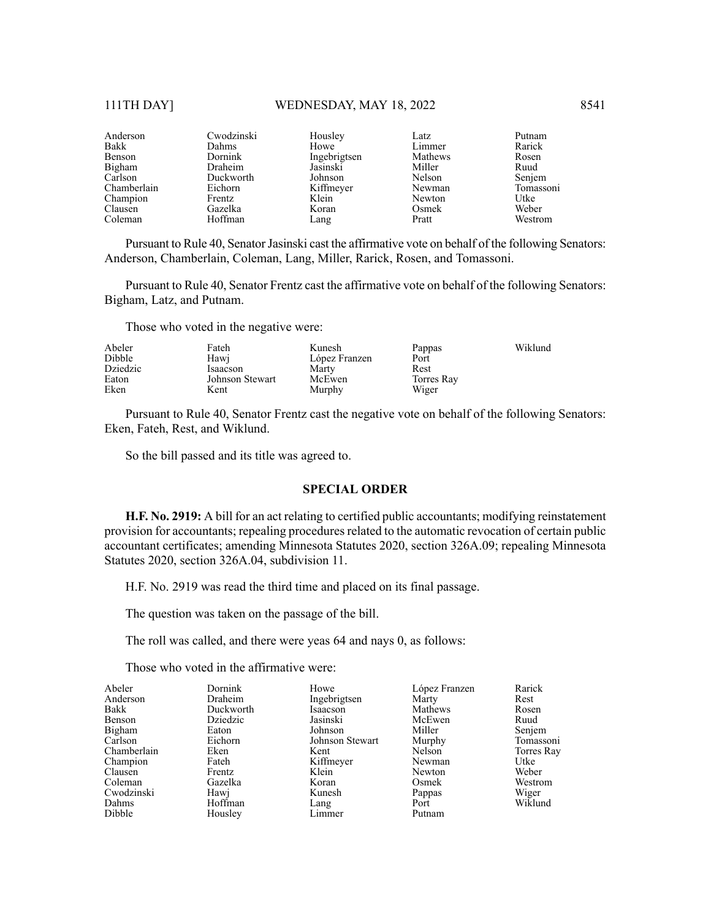| Anderson    | Cwodzinski   | Housley      | Latz    | Putnam    |
|-------------|--------------|--------------|---------|-----------|
| Bakk        | <b>Dahms</b> | Howe         | Limmer  | Rarick    |
| Benson      | Dornink      | Ingebrigtsen | Mathews | Rosen     |
| Bigham      | Draheim      | Jasinski     | Miller  | Ruud      |
| Carlson     | Duckworth    | Johnson      | Nelson  | Senjem    |
| Chamberlain | Eichorn      | Kiffmeyer    | Newman  | Tomassoni |
| Champion    | Frentz       | Klein        | Newton  | Utke      |
| Clausen     | Gazelka      | Koran        | Osmek   | Weber     |
| Coleman     | Hoffman      | Lang         | Pratt   | Westrom   |

Pursuant to Rule 40, Senator Jasinski cast the affirmative vote on behalf of the following Senators: Anderson, Chamberlain, Coleman, Lang, Miller, Rarick, Rosen, and Tomassoni.

Pursuant to Rule 40, Senator Frentz cast the affirmative vote on behalf of the following Senators: Bigham, Latz, and Putnam.

Those who voted in the negative were:

| Abeler   | Fateh           | Kunesh        | Pappas     | Wiklund |
|----------|-----------------|---------------|------------|---------|
| Dibble   | Hawi            | López Franzen | Port       |         |
| Dziedzic | Isaacson        | Marty         | Rest       |         |
| Eaton    | Johnson Stewart | McEwen        | Torres Ray |         |
| Eken     | Kent            | Murphy        | Wiger      |         |

Pursuant to Rule 40, Senator Frentz cast the negative vote on behalf of the following Senators: Eken, Fateh, Rest, and Wiklund.

So the bill passed and its title was agreed to.

#### **SPECIAL ORDER**

**H.F. No. 2919:** A bill for an act relating to certified public accountants; modifying reinstatement provision for accountants; repealing procedures related to the automatic revocation of certain public accountant certificates; amending Minnesota Statutes 2020, section 326A.09; repealing Minnesota Statutes 2020, section 326A.04, subdivision 11.

H.F. No. 2919 was read the third time and placed on its final passage.

The question was taken on the passage of the bill.

The roll was called, and there were yeas 64 and nays 0, as follows:

Those who voted in the affirmative were:

| Dornink   | Howe            | López Franzen     | Rarick     |
|-----------|-----------------|-------------------|------------|
| Draheim   | Ingebrigtsen    | Marty             | Rest       |
| Duckworth | Isaacson        | Mathews           | Rosen      |
| Dziedzic  | Jasinski        | McEwen            | Ruud       |
| Eaton     | Johnson         | Miller            | Senjem     |
| Eichorn   | Johnson Stewart | Murphy            | Tomassoni  |
| Eken      | Kent            | Nelson            | Torres Ray |
| Fateh     |                 | Newman            | Utke       |
| Frentz    | Klein           | Newton            | Weber      |
| Gazelka   | Koran           | Osmek             | Westrom    |
| Hawi      | Kunesh          | Pappas            | Wiger      |
| Hoffman   |                 | Port              | Wiklund    |
| Housley   | Limmer          | Putnam            |            |
|           |                 | Kiffmeyer<br>Lang |            |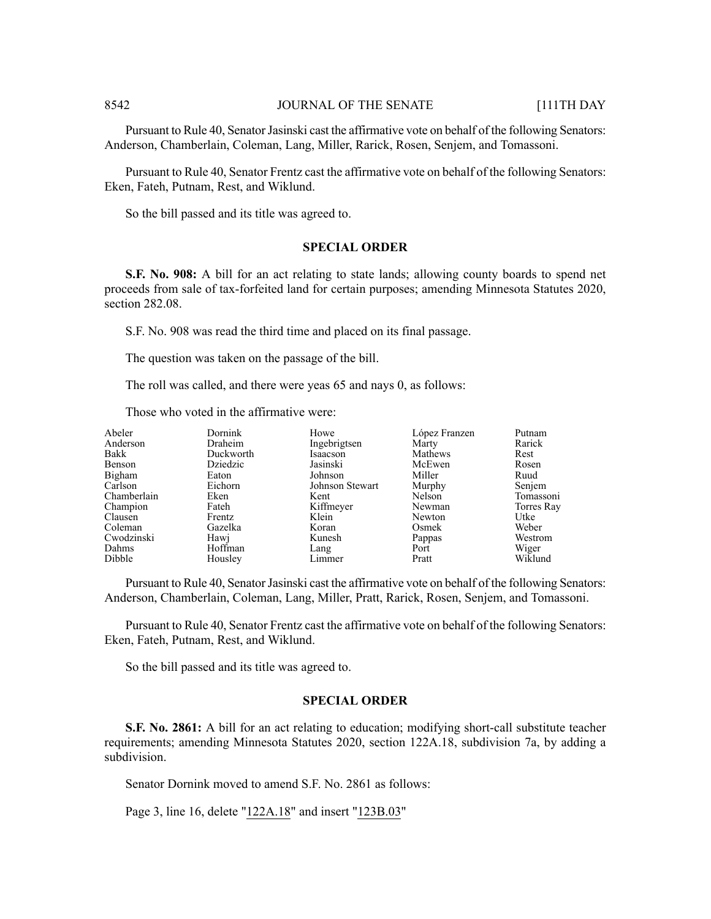Pursuant to Rule 40, Senator Jasinski cast the affirmative vote on behalf of the following Senators: Anderson, Chamberlain, Coleman, Lang, Miller, Rarick, Rosen, Senjem, and Tomassoni.

Pursuant to Rule 40, Senator Frentz cast the affirmative vote on behalf of the following Senators: Eken, Fateh, Putnam, Rest, and Wiklund.

So the bill passed and its title was agreed to.

#### **SPECIAL ORDER**

**S.F. No. 908:** A bill for an act relating to state lands; allowing county boards to spend net proceeds from sale of tax-forfeited land for certain purposes; amending Minnesota Statutes 2020, section 282.08.

S.F. No. 908 was read the third time and placed on its final passage.

The question was taken on the passage of the bill.

The roll was called, and there were yeas 65 and nays 0, as follows:

Those who voted in the affirmative were:

| Abeler      | Dornink   | Howe            | López Franzen | Putnam     |
|-------------|-----------|-----------------|---------------|------------|
| Anderson    | Draheim   | Ingebrigtsen    | Marty         | Rarick     |
| Bakk        | Duckworth | Isaacson        | Mathews       | Rest       |
| Benson      | Dziedzic  | Jasinski        | McEwen        | Rosen      |
| Bigham      | Eaton     | Johnson         | Miller        | Ruud       |
| Carlson     | Eichorn   | Johnson Stewart | Murphy        | Senjem     |
| Chamberlain | Eken      | Kent            | Nelson        | Tomassoni  |
| Champion    | Fateh     | Kiffmeyer       | Newman        | Torres Ray |
| Clausen     | Frentz    | Klein           | Newton        | Utke       |
| Coleman     | Gazelka   | Koran           | Osmek         | Weber      |
| Cwodzinski  | Hawj      | Kunesh          | Pappas        | Westrom    |
| Dahms       | Hoffman   | Lang            | Port          | Wiger      |
| Dibble      | Housley   | Limmer          | Pratt         | Wiklund    |

Pursuant to Rule 40, Senator Jasinski cast the affirmative vote on behalf of the following Senators: Anderson, Chamberlain, Coleman, Lang, Miller, Pratt, Rarick, Rosen, Senjem, and Tomassoni.

Pursuant to Rule 40, Senator Frentz cast the affirmative vote on behalf of the following Senators: Eken, Fateh, Putnam, Rest, and Wiklund.

So the bill passed and its title was agreed to.

#### **SPECIAL ORDER**

**S.F. No. 2861:** A bill for an act relating to education; modifying short-call substitute teacher requirements; amending Minnesota Statutes 2020, section 122A.18, subdivision 7a, by adding a subdivision.

Senator Dornink moved to amend S.F. No. 2861 as follows:

Page 3, line 16, delete "122A.18" and insert "123B.03"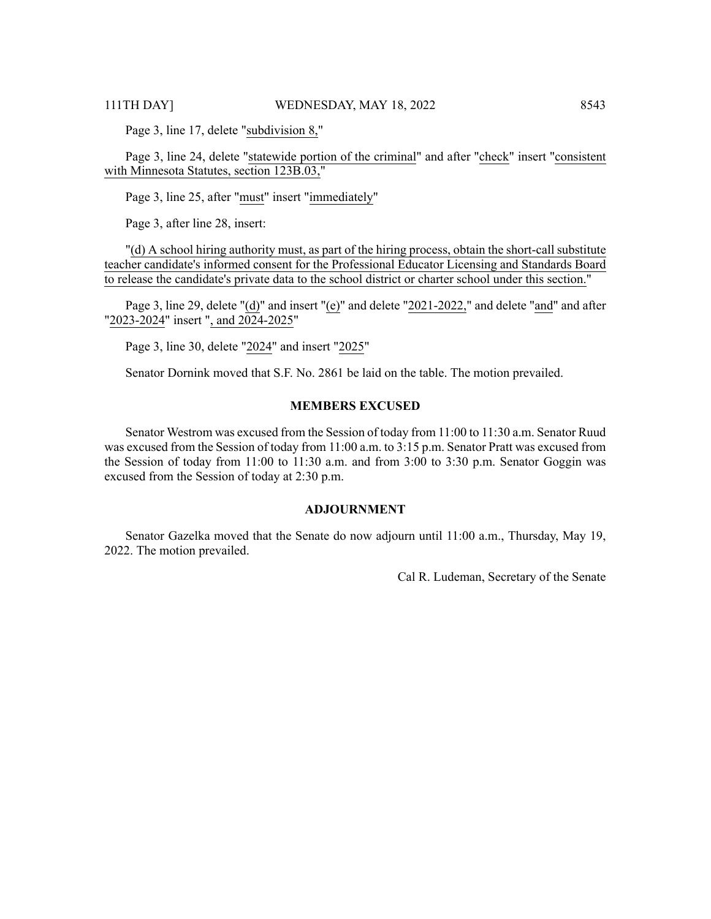Page 3, line 17, delete "subdivision 8,"

Page 3, line 24, delete "statewide portion of the criminal" and after "check" insert "consistent with Minnesota Statutes, section 123B.03,"

Page 3, line 25, after "must" insert "immediately"

Page 3, after line 28, insert:

"(d) A school hiring authority must, as part of the hiring process, obtain the short-call substitute teacher candidate's informed consent for the Professional Educator Licensing and Standards Board to release the candidate's private data to the school district or charter school under this section."

Page 3, line 29, delete "(d)" and insert "(e)" and delete "2021-2022," and delete "and" and after "2023-2024" insert ", and 2024-2025"

Page 3, line 30, delete "2024" and insert "2025"

Senator Dornink moved that S.F. No. 2861 be laid on the table. The motion prevailed.

#### **MEMBERS EXCUSED**

Senator Westrom was excused from the Session of today from 11:00 to 11:30 a.m. Senator Ruud was excused from the Session of today from 11:00 a.m. to 3:15 p.m. Senator Pratt was excused from the Session of today from 11:00 to 11:30 a.m. and from 3:00 to 3:30 p.m. Senator Goggin was excused from the Session of today at 2:30 p.m.

#### **ADJOURNMENT**

Senator Gazelka moved that the Senate do now adjourn until 11:00 a.m., Thursday, May 19, 2022. The motion prevailed.

Cal R. Ludeman, Secretary of the Senate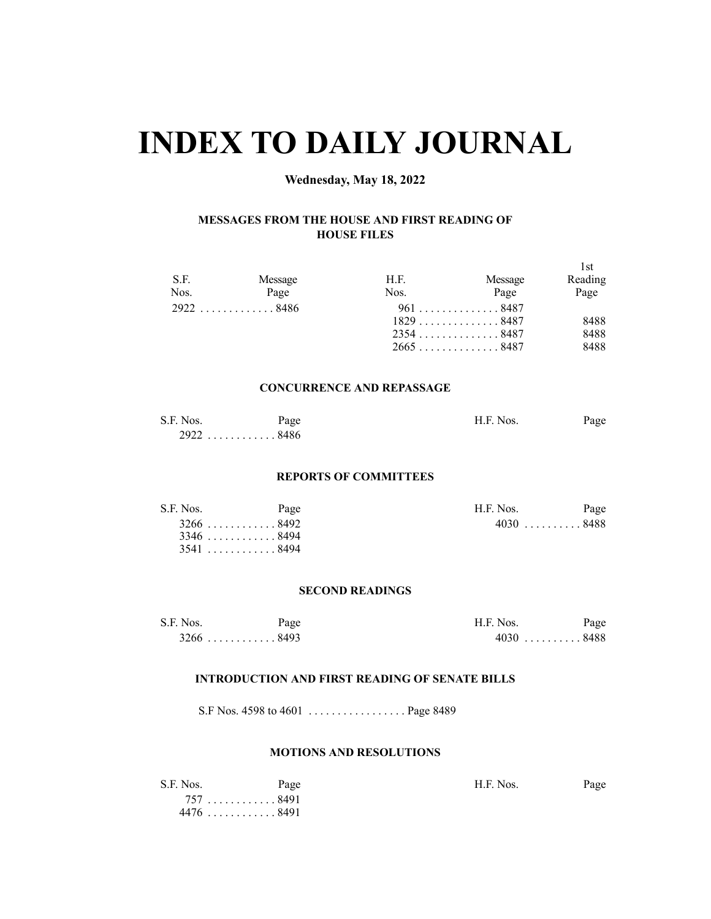# **INDEX TO DAILY JOURNAL**

# **Wednesday, May 18, 2022**

#### **MESSAGES FROM THE HOUSE AND FIRST READING OF HOUSE FILES**

| S.F.<br>Nos. | Message<br>Page | H.F.<br>Nos. | Message<br>Page | -l st<br>Reading<br>Page |
|--------------|-----------------|--------------|-----------------|--------------------------|
|              | $2922$ 8486     |              | 961 8487        |                          |
|              |                 |              | $1829$ 8487     | 8488                     |
|              |                 |              | 23548487        | 8488                     |
|              |                 |              | 26658487        | 8488                     |

#### **CONCURRENCE AND REPASSAGE**

| S.F. Nos.   | Page | H.F. Nos. | Page |
|-------------|------|-----------|------|
| $2922$ 8486 |      |           |      |

#### **REPORTS OF COMMITTEES**

| S.F. Nos. | Page        | H.F. Nos.   | Page |
|-----------|-------------|-------------|------|
|           | $3266$ 8492 | $4030$ 8488 |      |
|           | $3346$ 8494 |             |      |
|           | $3541$ 8494 |             |      |

#### **SECOND READINGS**

| S.F. Nos. | Page                                    | H.F. Nos.   | Page |
|-----------|-----------------------------------------|-------------|------|
|           | $3266 \ldots \ldots \ldots \ldots 8493$ | $4030$ 8488 |      |

#### **INTRODUCTION AND FIRST READING OF SENATE BILLS**

S.F Nos. 4598 to 4601 . . . . . . . . . . . . . . . . . Page 8489

#### **MOTIONS AND RESOLUTIONS**

| S.F. Nos. | Page      | H.F. Nos. | Page |
|-----------|-----------|-----------|------|
|           | 757 8491  |           |      |
|           | 4476 8491 |           |      |